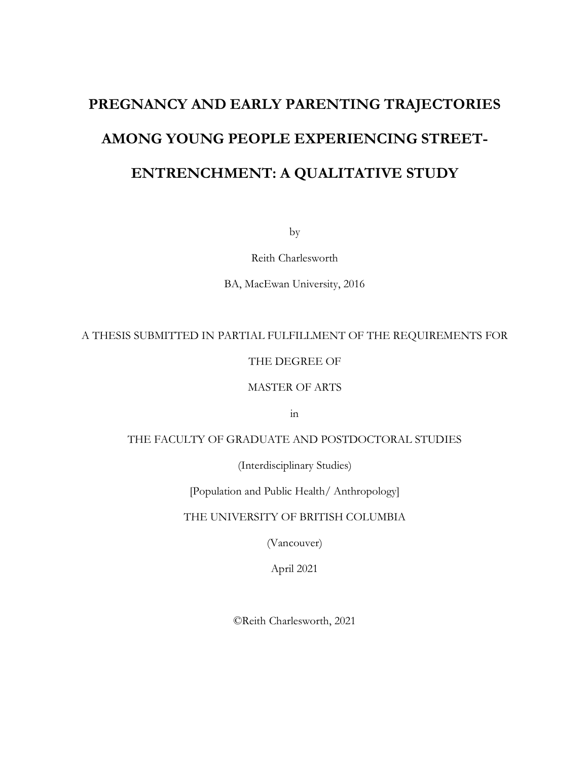# **PREGNANCY AND EARLY PARENTING TRAJECTORIES AMONG YOUNG PEOPLE EXPERIENCING STREET-ENTRENCHMENT: A QUALITATIVE STUDY**

by

Reith Charlesworth

BA, MacEwan University, 2016

#### A THESIS SUBMITTED IN PARTIAL FULFILLMENT OF THE REQUIREMENTS FOR

#### THE DEGREE OF

#### MASTER OF ARTS

in

### THE FACULTY OF GRADUATE AND POSTDOCTORAL STUDIES

(Interdisciplinary Studies)

[Population and Public Health/ Anthropology]

THE UNIVERSITY OF BRITISH COLUMBIA

(Vancouver)

April 2021

©Reith Charlesworth, 2021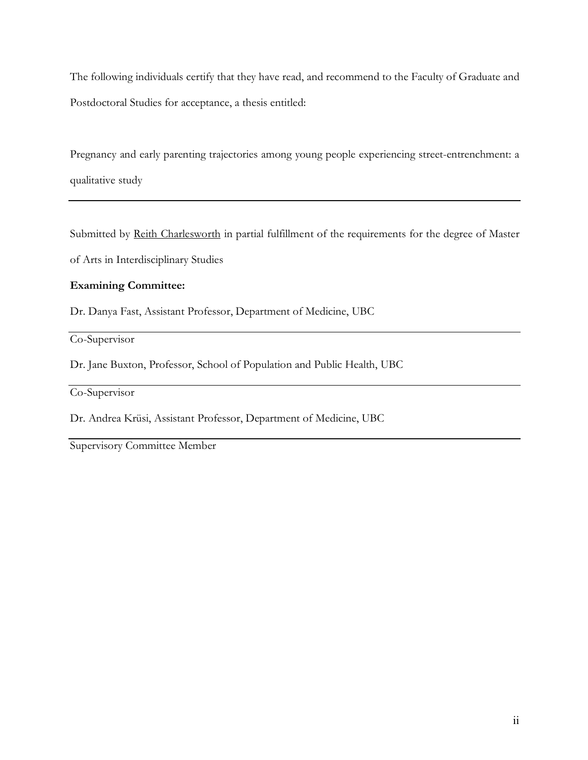The following individuals certify that they have read, and recommend to the Faculty of Graduate and Postdoctoral Studies for acceptance, a thesis entitled:

Pregnancy and early parenting trajectories among young people experiencing street-entrenchment: a qualitative study

Submitted by Reith Charlesworth in partial fulfillment of the requirements for the degree of Master

of Arts in Interdisciplinary Studies

#### **Examining Committee:**

Dr. Danya Fast, Assistant Professor, Department of Medicine, UBC

Co-Supervisor

Dr. Jane Buxton, Professor, School of Population and Public Health, UBC

Co-Supervisor

Dr. Andrea Krüsi, Assistant Professor, Department of Medicine, UBC

Supervisory Committee Member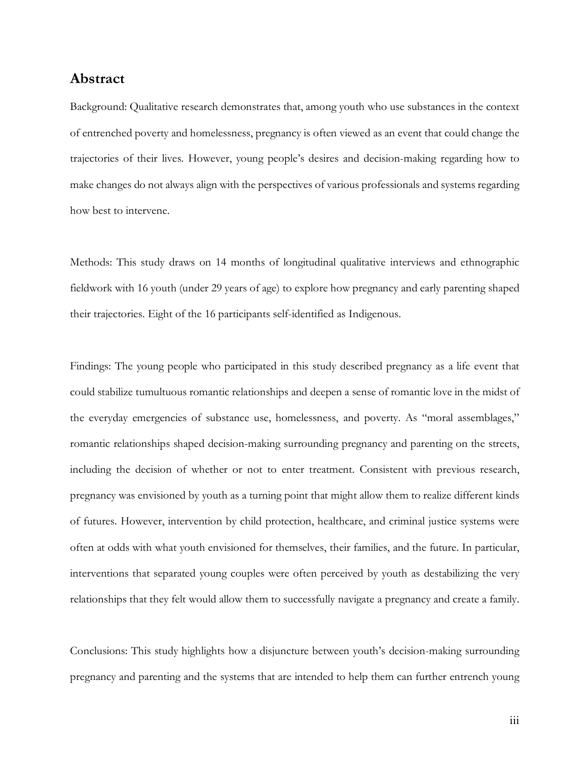### **Abstract**

Background: Qualitative research demonstrates that, among youth who use substances in the context of entrenched poverty and homelessness, pregnancy is often viewed as an event that could change the trajectories of their lives. However, young people's desires and decision-making regarding how to make changes do not always align with the perspectives of various professionals and systems regarding how best to intervene.

Methods: This study draws on 14 months of longitudinal qualitative interviews and ethnographic fieldwork with 16 youth (under 29 years of age) to explore how pregnancy and early parenting shaped their trajectories. Eight of the 16 participants self-identified as Indigenous.

Findings: The young people who participated in this study described pregnancy as a life event that could stabilize tumultuous romantic relationships and deepen a sense of romantic love in the midst of the everyday emergencies of substance use, homelessness, and poverty. As "moral assemblages," romantic relationships shaped decision-making surrounding pregnancy and parenting on the streets, including the decision of whether or not to enter treatment. Consistent with previous research, pregnancy was envisioned by youth as a turning point that might allow them to realize different kinds of futures. However, intervention by child protection, healthcare, and criminal justice systems were often at odds with what youth envisioned for themselves, their families, and the future. In particular, interventions that separated young couples were often perceived by youth as destabilizing the very relationships that they felt would allow them to successfully navigate a pregnancy and create a family.

Conclusions: This study highlights how a disjuncture between youth's decision-making surrounding pregnancy and parenting and the systems that are intended to help them can further entrench young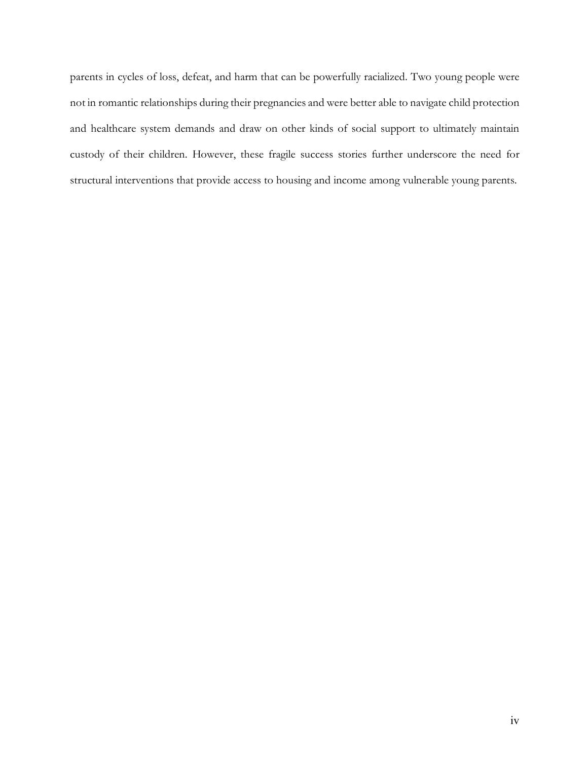parents in cycles of loss, defeat, and harm that can be powerfully racialized. Two young people were not in romantic relationships during their pregnancies and were better able to navigate child protection and healthcare system demands and draw on other kinds of social support to ultimately maintain custody of their children. However, these fragile success stories further underscore the need for structural interventions that provide access to housing and income among vulnerable young parents.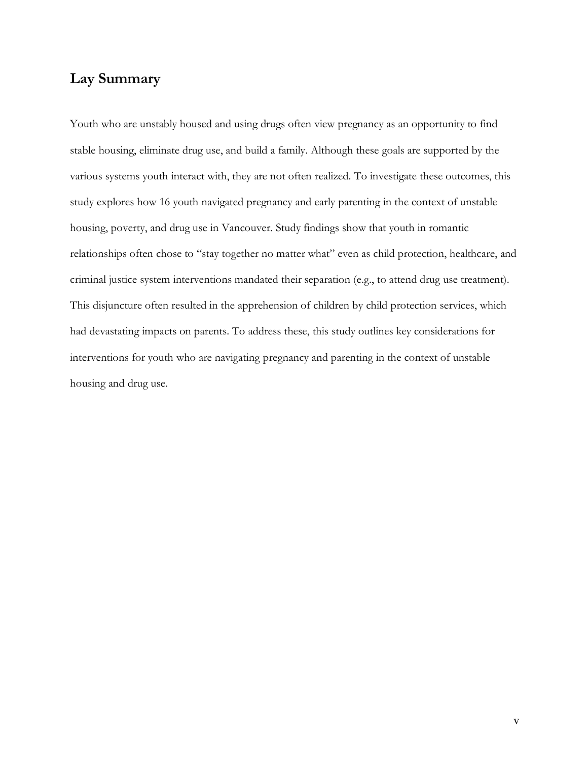## **Lay Summary**

Youth who are unstably housed and using drugs often view pregnancy as an opportunity to find stable housing, eliminate drug use, and build a family. Although these goals are supported by the various systems youth interact with, they are not often realized. To investigate these outcomes, this study explores how 16 youth navigated pregnancy and early parenting in the context of unstable housing, poverty, and drug use in Vancouver. Study findings show that youth in romantic relationships often chose to "stay together no matter what" even as child protection, healthcare, and criminal justice system interventions mandated their separation (e.g., to attend drug use treatment). This disjuncture often resulted in the apprehension of children by child protection services, which had devastating impacts on parents. To address these, this study outlines key considerations for interventions for youth who are navigating pregnancy and parenting in the context of unstable housing and drug use.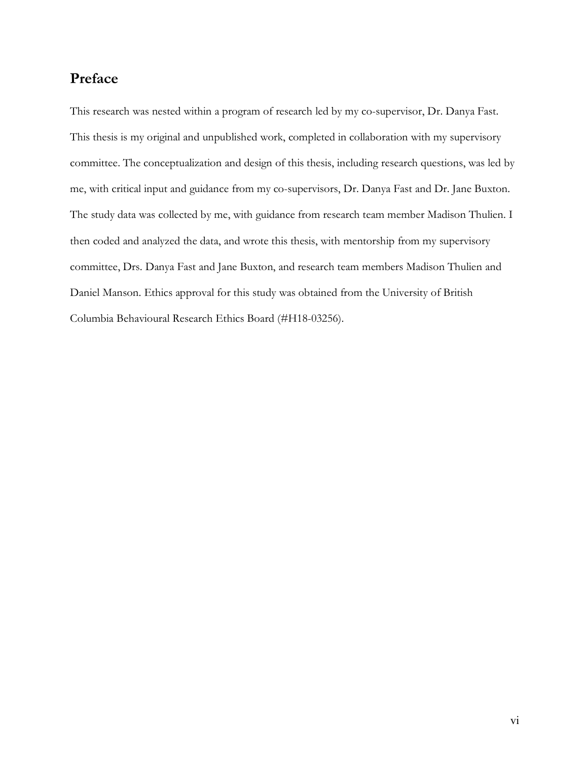# **Preface**

This research was nested within a program of research led by my co-supervisor, Dr. Danya Fast. This thesis is my original and unpublished work, completed in collaboration with my supervisory committee. The conceptualization and design of this thesis, including research questions, was led by me, with critical input and guidance from my co-supervisors, Dr. Danya Fast and Dr. Jane Buxton. The study data was collected by me, with guidance from research team member Madison Thulien. I then coded and analyzed the data, and wrote this thesis, with mentorship from my supervisory committee, Drs. Danya Fast and Jane Buxton, and research team members Madison Thulien and Daniel Manson. Ethics approval for this study was obtained from the University of British Columbia Behavioural Research Ethics Board (#H18-03256).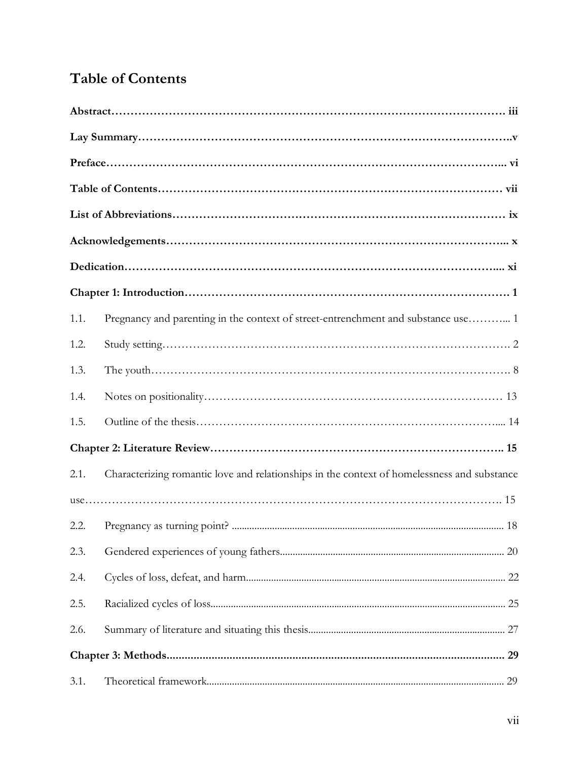# **Table of Contents**

| 1.1. | Pregnancy and parenting in the context of street-entrenchment and substance use 1           |  |
|------|---------------------------------------------------------------------------------------------|--|
| 1.2. |                                                                                             |  |
| 1.3. |                                                                                             |  |
| 1.4. |                                                                                             |  |
| 1.5. |                                                                                             |  |
|      |                                                                                             |  |
| 2.1. | Characterizing romantic love and relationships in the context of homelessness and substance |  |
|      |                                                                                             |  |
| 2.2. |                                                                                             |  |
| 2.3. |                                                                                             |  |
| 2.4. |                                                                                             |  |
| 2.5. |                                                                                             |  |
| 2.6. |                                                                                             |  |
|      |                                                                                             |  |
| 3.1. |                                                                                             |  |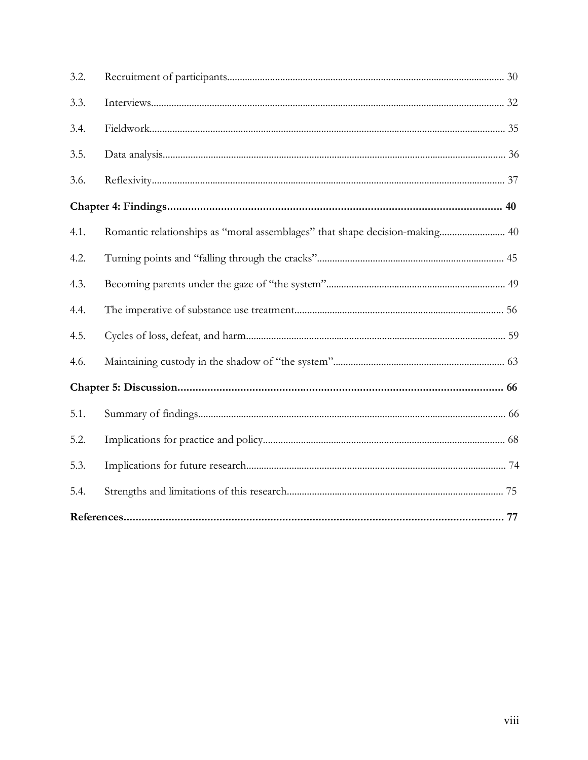| 3.2. |                                                                             |  |
|------|-----------------------------------------------------------------------------|--|
| 3.3. |                                                                             |  |
| 3.4. |                                                                             |  |
| 3.5. |                                                                             |  |
| 3.6. |                                                                             |  |
|      |                                                                             |  |
| 4.1. | Romantic relationships as "moral assemblages" that shape decision-making 40 |  |
| 4.2. |                                                                             |  |
| 4.3. |                                                                             |  |
| 4.4. |                                                                             |  |
| 4.5. |                                                                             |  |
| 4.6. |                                                                             |  |
|      |                                                                             |  |
| 5.1. |                                                                             |  |
| 5.2. |                                                                             |  |
| 5.3. |                                                                             |  |
| 5.4. |                                                                             |  |
|      |                                                                             |  |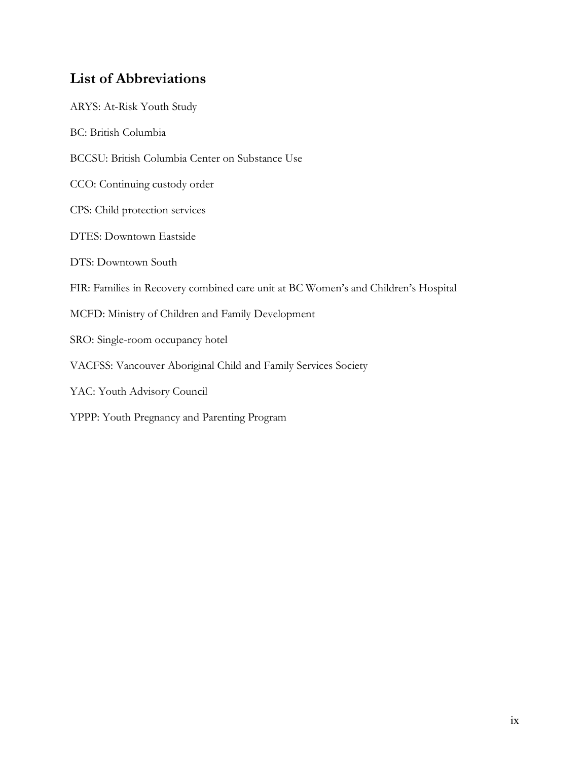# **List of Abbreviations**

| ARYS: At-Risk Youth Study                                                          |
|------------------------------------------------------------------------------------|
| <b>BC: British Columbia</b>                                                        |
| BCCSU: British Columbia Center on Substance Use                                    |
| CCO: Continuing custody order                                                      |
| CPS: Child protection services                                                     |
| <b>DTES: Downtown Eastside</b>                                                     |
| DTS: Downtown South                                                                |
| FIR: Families in Recovery combined care unit at BC Women's and Children's Hospital |
| MCFD: Ministry of Children and Family Development                                  |
| SRO: Single-room occupancy hotel                                                   |
| VACFSS: Vancouver Aboriginal Child and Family Services Society                     |
| YAC: Youth Advisory Council                                                        |
| YPPP: Youth Pregnancy and Parenting Program                                        |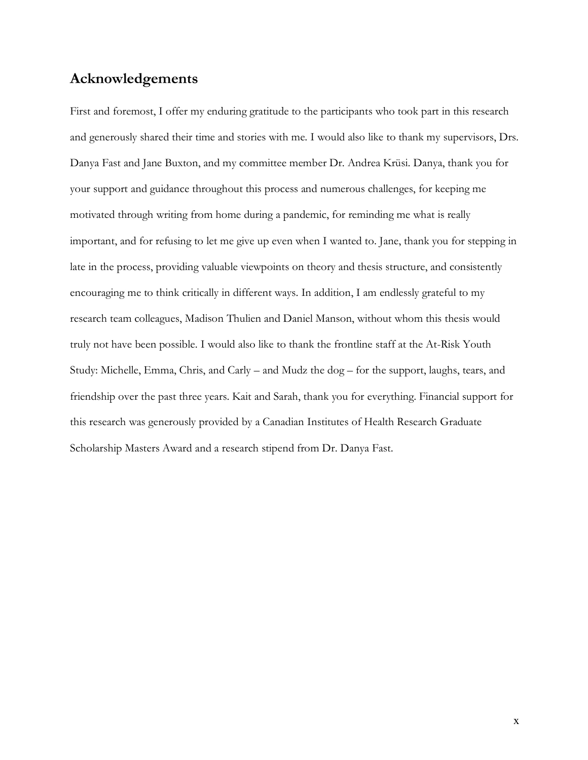### **Acknowledgements**

First and foremost, I offer my enduring gratitude to the participants who took part in this research and generously shared their time and stories with me. I would also like to thank my supervisors, Drs. Danya Fast and Jane Buxton, and my committee member Dr. Andrea Krüsi. Danya, thank you for your support and guidance throughout this process and numerous challenges, for keeping me motivated through writing from home during a pandemic, for reminding me what is really important, and for refusing to let me give up even when I wanted to. Jane, thank you for stepping in late in the process, providing valuable viewpoints on theory and thesis structure, and consistently encouraging me to think critically in different ways. In addition, I am endlessly grateful to my research team colleagues, Madison Thulien and Daniel Manson, without whom this thesis would truly not have been possible. I would also like to thank the frontline staff at the At-Risk Youth Study: Michelle, Emma, Chris, and Carly – and Mudz the dog – for the support, laughs, tears, and friendship over the past three years. Kait and Sarah, thank you for everything. Financial support for this research was generously provided by a Canadian Institutes of Health Research Graduate Scholarship Masters Award and a research stipend from Dr. Danya Fast.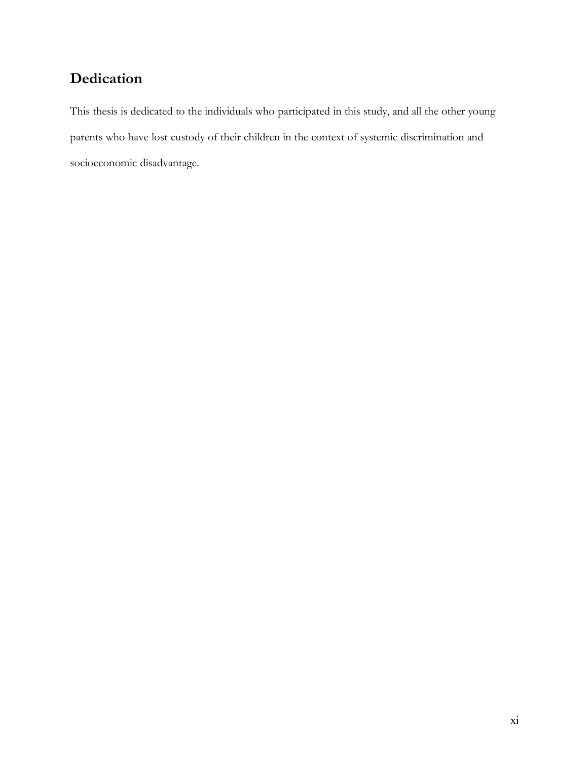# **Dedication**

This thesis is dedicated to the individuals who participated in this study, and all the other young parents who have lost custody of their children in the context of systemic discrimination and socioeconomic disadvantage.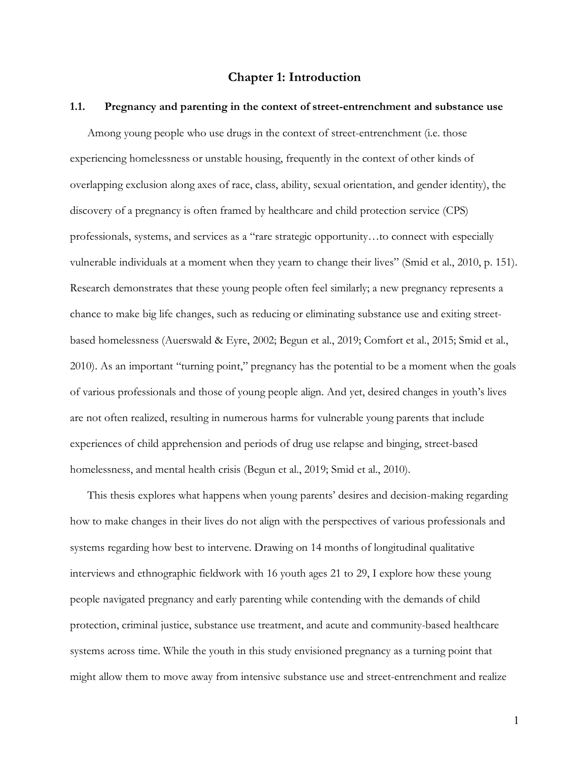#### **Chapter 1: Introduction**

#### **1.1. Pregnancy and parenting in the context of street-entrenchment and substance use**

Among young people who use drugs in the context of street-entrenchment (i.e. those experiencing homelessness or unstable housing, frequently in the context of other kinds of overlapping exclusion along axes of race, class, ability, sexual orientation, and gender identity), the discovery of a pregnancy is often framed by healthcare and child protection service (CPS) professionals, systems, and services as a "rare strategic opportunity…to connect with especially vulnerable individuals at a moment when they yearn to change their lives" (Smid et al., 2010, p. 151). Research demonstrates that these young people often feel similarly; a new pregnancy represents a chance to make big life changes, such as reducing or eliminating substance use and exiting streetbased homelessness (Auerswald & Eyre, 2002; Begun et al., 2019; Comfort et al., 2015; Smid et al., 2010). As an important "turning point," pregnancy has the potential to be a moment when the goals of various professionals and those of young people align. And yet, desired changes in youth's lives are not often realized, resulting in numerous harms for vulnerable young parents that include experiences of child apprehension and periods of drug use relapse and binging, street-based homelessness, and mental health crisis (Begun et al., 2019; Smid et al., 2010).

This thesis explores what happens when young parents' desires and decision-making regarding how to make changes in their lives do not align with the perspectives of various professionals and systems regarding how best to intervene. Drawing on 14 months of longitudinal qualitative interviews and ethnographic fieldwork with 16 youth ages 21 to 29, I explore how these young people navigated pregnancy and early parenting while contending with the demands of child protection, criminal justice, substance use treatment, and acute and community-based healthcare systems across time. While the youth in this study envisioned pregnancy as a turning point that might allow them to move away from intensive substance use and street-entrenchment and realize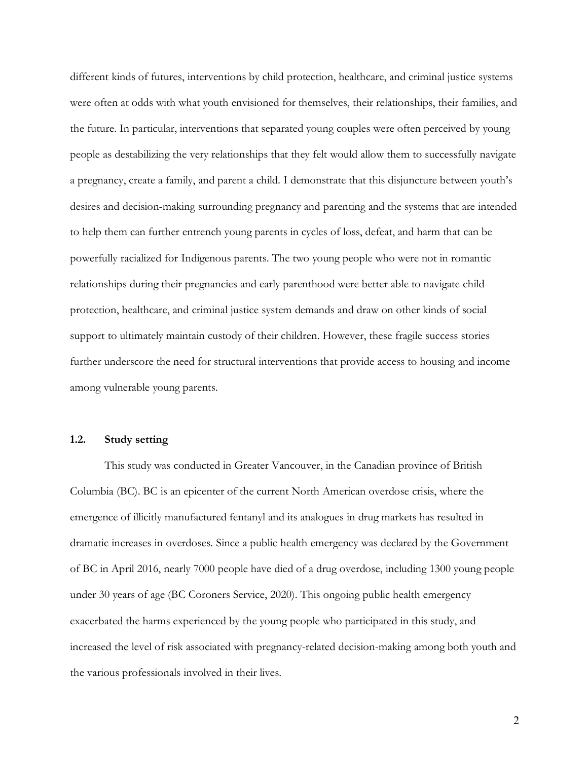different kinds of futures, interventions by child protection, healthcare, and criminal justice systems were often at odds with what youth envisioned for themselves, their relationships, their families, and the future. In particular, interventions that separated young couples were often perceived by young people as destabilizing the very relationships that they felt would allow them to successfully navigate a pregnancy, create a family, and parent a child. I demonstrate that this disjuncture between youth's desires and decision-making surrounding pregnancy and parenting and the systems that are intended to help them can further entrench young parents in cycles of loss, defeat, and harm that can be powerfully racialized for Indigenous parents. The two young people who were not in romantic relationships during their pregnancies and early parenthood were better able to navigate child protection, healthcare, and criminal justice system demands and draw on other kinds of social support to ultimately maintain custody of their children. However, these fragile success stories further underscore the need for structural interventions that provide access to housing and income among vulnerable young parents.

#### **1.2. Study setting**

This study was conducted in Greater Vancouver, in the Canadian province of British Columbia (BC). BC is an epicenter of the current North American overdose crisis, where the emergence of illicitly manufactured fentanyl and its analogues in drug markets has resulted in dramatic increases in overdoses. Since a public health emergency was declared by the Government of BC in April 2016, nearly 7000 people have died of a drug overdose, including 1300 young people under 30 years of age (BC Coroners Service, 2020). This ongoing public health emergency exacerbated the harms experienced by the young people who participated in this study, and increased the level of risk associated with pregnancy-related decision-making among both youth and the various professionals involved in their lives.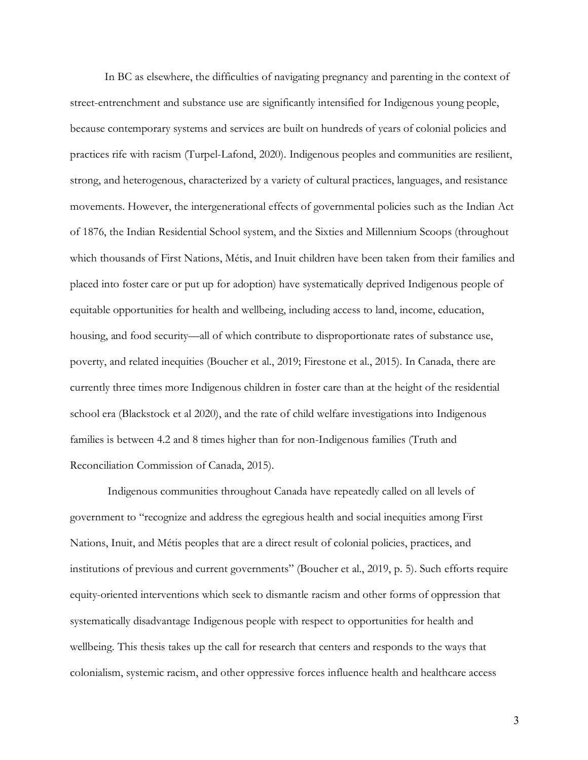In BC as elsewhere, the difficulties of navigating pregnancy and parenting in the context of street-entrenchment and substance use are significantly intensified for Indigenous young people, because contemporary systems and services are built on hundreds of years of colonial policies and practices rife with racism (Turpel-Lafond, 2020). Indigenous peoples and communities are resilient, strong, and heterogenous, characterized by a variety of cultural practices, languages, and resistance movements. However, the intergenerational effects of governmental policies such as the Indian Act of 1876, the Indian Residential School system, and the Sixties and Millennium Scoops (throughout which thousands of First Nations, Métis, and Inuit children have been taken from their families and placed into foster care or put up for adoption) have systematically deprived Indigenous people of equitable opportunities for health and wellbeing, including access to land, income, education, housing, and food security—all of which contribute to disproportionate rates of substance use, poverty, and related inequities (Boucher et al., 2019; Firestone et al., 2015). In Canada, there are currently three times more Indigenous children in foster care than at the height of the residential school era (Blackstock et al 2020), and the rate of child welfare investigations into Indigenous families is between 4.2 and 8 times higher than for non-Indigenous families (Truth and Reconciliation Commission of Canada, 2015).

Indigenous communities throughout Canada have repeatedly called on all levels of government to "recognize and address the egregious health and social inequities among First Nations, Inuit, and Métis peoples that are a direct result of colonial policies, practices, and institutions of previous and current governments" (Boucher et al., 2019, p. 5). Such efforts require equity-oriented interventions which seek to dismantle racism and other forms of oppression that systematically disadvantage Indigenous people with respect to opportunities for health and wellbeing. This thesis takes up the call for research that centers and responds to the ways that colonialism, systemic racism, and other oppressive forces influence health and healthcare access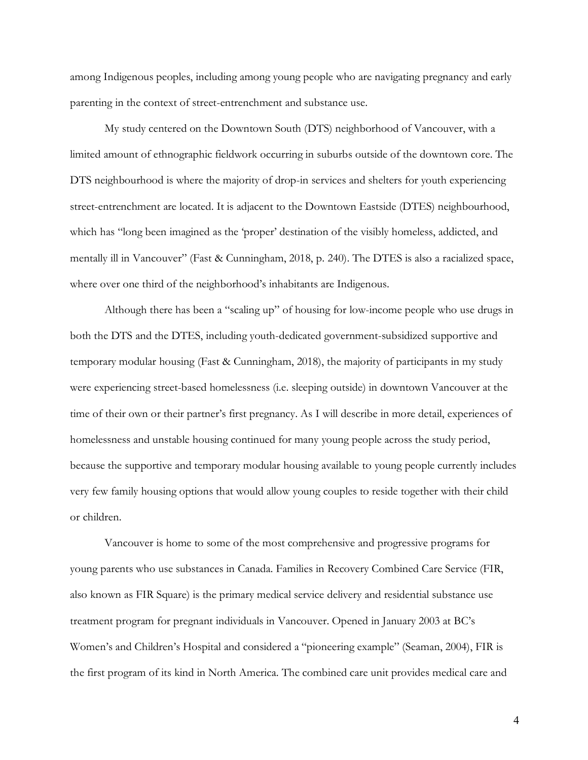among Indigenous peoples, including among young people who are navigating pregnancy and early parenting in the context of street-entrenchment and substance use.

My study centered on the Downtown South (DTS) neighborhood of Vancouver, with a limited amount of ethnographic fieldwork occurring in suburbs outside of the downtown core. The DTS neighbourhood is where the majority of drop-in services and shelters for youth experiencing street-entrenchment are located. It is adjacent to the Downtown Eastside (DTES) neighbourhood, which has "long been imagined as the 'proper' destination of the visibly homeless, addicted, and mentally ill in Vancouver" (Fast & Cunningham, 2018, p. 240). The DTES is also a racialized space, where over one third of the neighborhood's inhabitants are Indigenous.

Although there has been a "scaling up" of housing for low-income people who use drugs in both the DTS and the DTES, including youth-dedicated government-subsidized supportive and temporary modular housing (Fast & Cunningham, 2018), the majority of participants in my study were experiencing street-based homelessness (i.e. sleeping outside) in downtown Vancouver at the time of their own or their partner's first pregnancy. As I will describe in more detail, experiences of homelessness and unstable housing continued for many young people across the study period, because the supportive and temporary modular housing available to young people currently includes very few family housing options that would allow young couples to reside together with their child or children.

Vancouver is home to some of the most comprehensive and progressive programs for young parents who use substances in Canada. Families in Recovery Combined Care Service (FIR, also known as FIR Square) is the primary medical service delivery and residential substance use treatment program for pregnant individuals in Vancouver. Opened in January 2003 at BC's Women's and Children's Hospital and considered a "pioneering example" (Seaman, 2004), FIR is the first program of its kind in North America. The combined care unit provides medical care and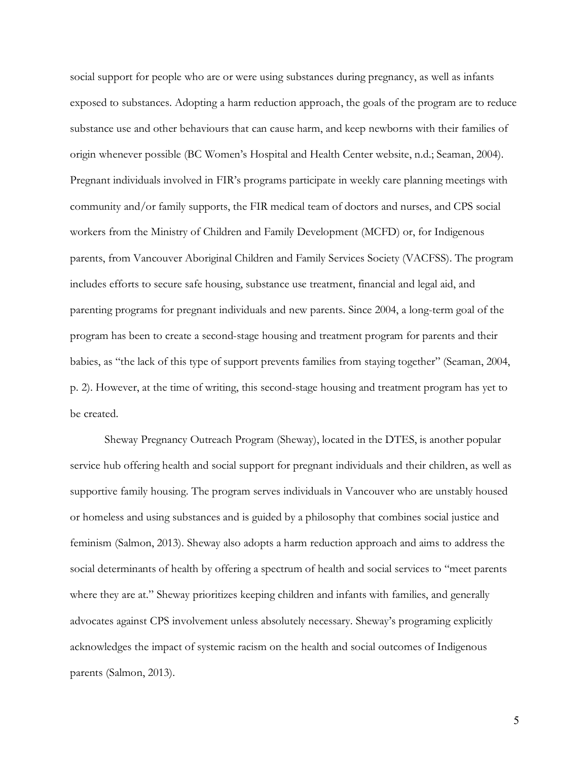social support for people who are or were using substances during pregnancy, as well as infants exposed to substances. Adopting a harm reduction approach, the goals of the program are to reduce substance use and other behaviours that can cause harm, and keep newborns with their families of origin whenever possible (BC Women's Hospital and Health Center website, n.d.; Seaman, 2004). Pregnant individuals involved in FIR's programs participate in weekly care planning meetings with community and/or family supports, the FIR medical team of doctors and nurses, and CPS social workers from the Ministry of Children and Family Development (MCFD) or, for Indigenous parents, from Vancouver Aboriginal Children and Family Services Society (VACFSS). The program includes efforts to secure safe housing, substance use treatment, financial and legal aid, and parenting programs for pregnant individuals and new parents. Since 2004, a long-term goal of the program has been to create a second-stage housing and treatment program for parents and their babies, as "the lack of this type of support prevents families from staying together" (Seaman, 2004, p. 2). However, at the time of writing, this second-stage housing and treatment program has yet to be created.

Sheway Pregnancy Outreach Program (Sheway), located in the DTES, is another popular service hub offering health and social support for pregnant individuals and their children, as well as supportive family housing. The program serves individuals in Vancouver who are unstably housed or homeless and using substances and is guided by a philosophy that combines social justice and feminism (Salmon, 2013). Sheway also adopts a harm reduction approach and aims to address the social determinants of health by offering a spectrum of health and social services to "meet parents where they are at." Sheway prioritizes keeping children and infants with families, and generally advocates against CPS involvement unless absolutely necessary. Sheway's programing explicitly acknowledges the impact of systemic racism on the health and social outcomes of Indigenous parents (Salmon, 2013).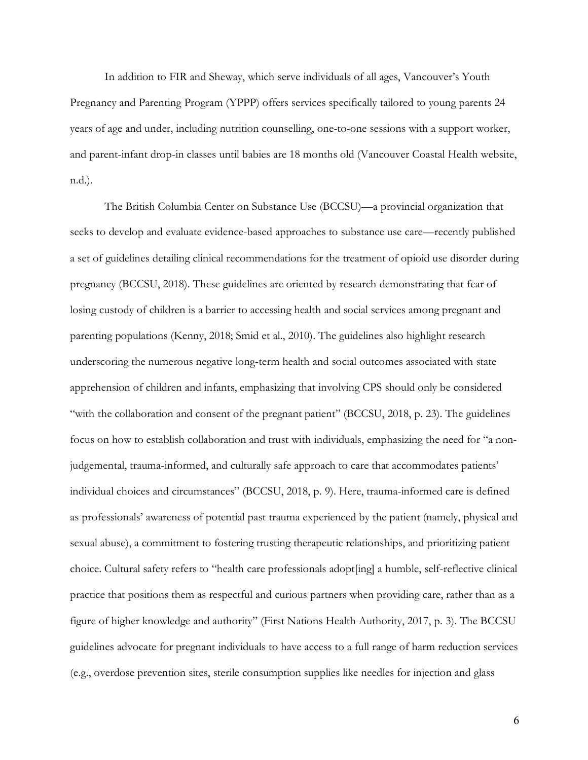In addition to FIR and Sheway, which serve individuals of all ages, Vancouver's Youth Pregnancy and Parenting Program (YPPP) offers services specifically tailored to young parents 24 years of age and under, including nutrition counselling, one-to-one sessions with a support worker, and parent-infant drop-in classes until babies are 18 months old (Vancouver Coastal Health website, n.d.).

The British Columbia Center on Substance Use (BCCSU)—a provincial organization that seeks to develop and evaluate evidence-based approaches to substance use care—recently published a set of guidelines detailing clinical recommendations for the treatment of opioid use disorder during pregnancy (BCCSU, 2018). These guidelines are oriented by research demonstrating that fear of losing custody of children is a barrier to accessing health and social services among pregnant and parenting populations (Kenny, 2018; Smid et al., 2010). The guidelines also highlight research underscoring the numerous negative long-term health and social outcomes associated with state apprehension of children and infants, emphasizing that involving CPS should only be considered "with the collaboration and consent of the pregnant patient" (BCCSU, 2018, p. 23). The guidelines focus on how to establish collaboration and trust with individuals, emphasizing the need for "a nonjudgemental, trauma-informed, and culturally safe approach to care that accommodates patients' individual choices and circumstances" (BCCSU, 2018, p. 9). Here, trauma-informed care is defined as professionals' awareness of potential past trauma experienced by the patient (namely, physical and sexual abuse), a commitment to fostering trusting therapeutic relationships, and prioritizing patient choice. Cultural safety refers to "health care professionals adopt[ing] a humble, self-reflective clinical practice that positions them as respectful and curious partners when providing care, rather than as a figure of higher knowledge and authority" (First Nations Health Authority, 2017, p. 3). The BCCSU guidelines advocate for pregnant individuals to have access to a full range of harm reduction services (e.g., overdose prevention sites, sterile consumption supplies like needles for injection and glass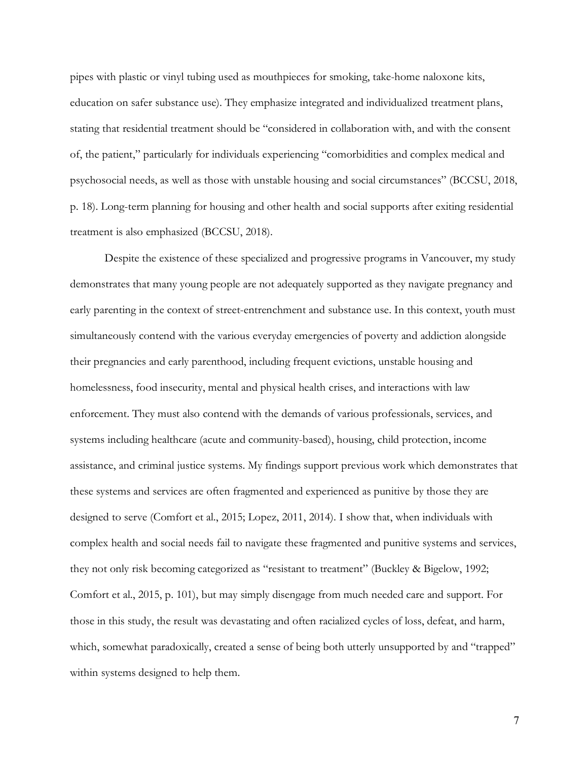pipes with plastic or vinyl tubing used as mouthpieces for smoking, take-home naloxone kits, education on safer substance use). They emphasize integrated and individualized treatment plans, stating that residential treatment should be "considered in collaboration with, and with the consent of, the patient," particularly for individuals experiencing "comorbidities and complex medical and psychosocial needs, as well as those with unstable housing and social circumstances" (BCCSU, 2018, p. 18). Long-term planning for housing and other health and social supports after exiting residential treatment is also emphasized (BCCSU, 2018).

Despite the existence of these specialized and progressive programs in Vancouver, my study demonstrates that many young people are not adequately supported as they navigate pregnancy and early parenting in the context of street-entrenchment and substance use. In this context, youth must simultaneously contend with the various everyday emergencies of poverty and addiction alongside their pregnancies and early parenthood, including frequent evictions, unstable housing and homelessness, food insecurity, mental and physical health crises, and interactions with law enforcement. They must also contend with the demands of various professionals, services, and systems including healthcare (acute and community-based), housing, child protection, income assistance, and criminal justice systems. My findings support previous work which demonstrates that these systems and services are often fragmented and experienced as punitive by those they are designed to serve (Comfort et al., 2015; Lopez, 2011, 2014). I show that, when individuals with complex health and social needs fail to navigate these fragmented and punitive systems and services, they not only risk becoming categorized as "resistant to treatment" (Buckley & Bigelow, 1992; Comfort et al., 2015, p. 101), but may simply disengage from much needed care and support. For those in this study, the result was devastating and often racialized cycles of loss, defeat, and harm, which, somewhat paradoxically, created a sense of being both utterly unsupported by and "trapped" within systems designed to help them.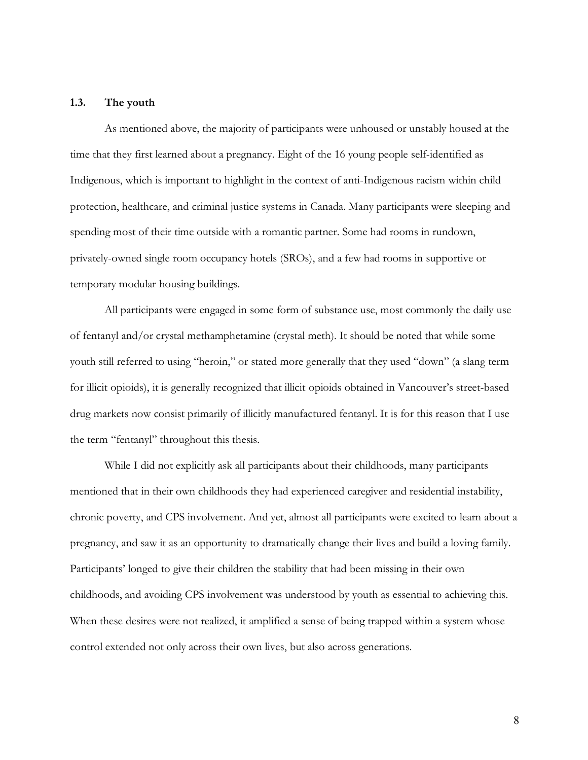#### **1.3. The youth**

As mentioned above, the majority of participants were unhoused or unstably housed at the time that they first learned about a pregnancy. Eight of the 16 young people self-identified as Indigenous, which is important to highlight in the context of anti-Indigenous racism within child protection, healthcare, and criminal justice systems in Canada. Many participants were sleeping and spending most of their time outside with a romantic partner. Some had rooms in rundown, privately-owned single room occupancy hotels (SROs), and a few had rooms in supportive or temporary modular housing buildings.

All participants were engaged in some form of substance use, most commonly the daily use of fentanyl and/or crystal methamphetamine (crystal meth). It should be noted that while some youth still referred to using "heroin," or stated more generally that they used "down" (a slang term for illicit opioids), it is generally recognized that illicit opioids obtained in Vancouver's street-based drug markets now consist primarily of illicitly manufactured fentanyl. It is for this reason that I use the term "fentanyl" throughout this thesis.

While I did not explicitly ask all participants about their childhoods, many participants mentioned that in their own childhoods they had experienced caregiver and residential instability, chronic poverty, and CPS involvement. And yet, almost all participants were excited to learn about a pregnancy, and saw it as an opportunity to dramatically change their lives and build a loving family. Participants' longed to give their children the stability that had been missing in their own childhoods, and avoiding CPS involvement was understood by youth as essential to achieving this. When these desires were not realized, it amplified a sense of being trapped within a system whose control extended not only across their own lives, but also across generations.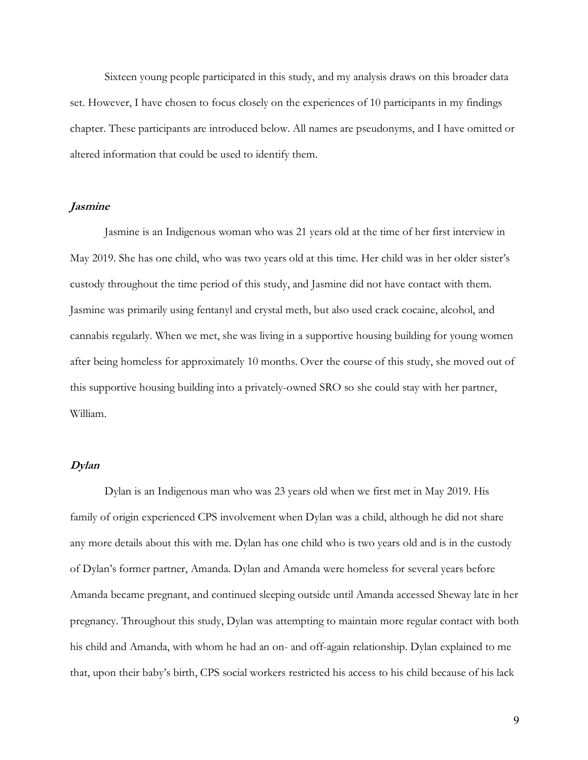Sixteen young people participated in this study, and my analysis draws on this broader data set. However, I have chosen to focus closely on the experiences of 10 participants in my findings chapter. These participants are introduced below. All names are pseudonyms, and I have omitted or altered information that could be used to identify them.

#### **Jasmine**

Jasmine is an Indigenous woman who was 21 years old at the time of her first interview in May 2019. She has one child, who was two years old at this time. Her child was in her older sister's custody throughout the time period of this study, and Jasmine did not have contact with them. Jasmine was primarily using fentanyl and crystal meth, but also used crack cocaine, alcohol, and cannabis regularly. When we met, she was living in a supportive housing building for young women after being homeless for approximately 10 months. Over the course of this study, she moved out of this supportive housing building into a privately-owned SRO so she could stay with her partner, William.

#### **Dylan**

Dylan is an Indigenous man who was 23 years old when we first met in May 2019. His family of origin experienced CPS involvement when Dylan was a child, although he did not share any more details about this with me. Dylan has one child who is two years old and is in the custody of Dylan's former partner, Amanda. Dylan and Amanda were homeless for several years before Amanda became pregnant, and continued sleeping outside until Amanda accessed Sheway late in her pregnancy. Throughout this study, Dylan was attempting to maintain more regular contact with both his child and Amanda, with whom he had an on- and off-again relationship. Dylan explained to me that, upon their baby's birth, CPS social workers restricted his access to his child because of his lack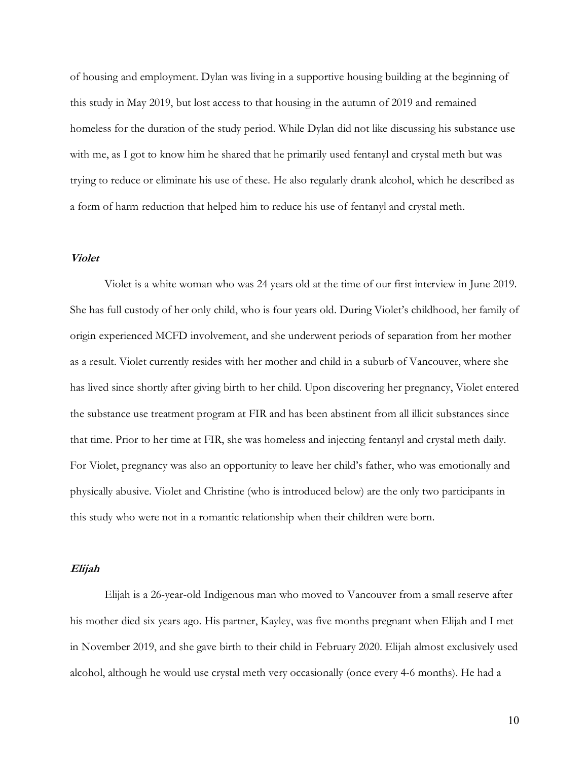of housing and employment. Dylan was living in a supportive housing building at the beginning of this study in May 2019, but lost access to that housing in the autumn of 2019 and remained homeless for the duration of the study period. While Dylan did not like discussing his substance use with me, as I got to know him he shared that he primarily used fentanyl and crystal meth but was trying to reduce or eliminate his use of these. He also regularly drank alcohol, which he described as a form of harm reduction that helped him to reduce his use of fentanyl and crystal meth.

#### **Violet**

Violet is a white woman who was 24 years old at the time of our first interview in June 2019. She has full custody of her only child, who is four years old. During Violet's childhood, her family of origin experienced MCFD involvement, and she underwent periods of separation from her mother as a result. Violet currently resides with her mother and child in a suburb of Vancouver, where she has lived since shortly after giving birth to her child. Upon discovering her pregnancy, Violet entered the substance use treatment program at FIR and has been abstinent from all illicit substances since that time. Prior to her time at FIR, she was homeless and injecting fentanyl and crystal meth daily. For Violet, pregnancy was also an opportunity to leave her child's father, who was emotionally and physically abusive. Violet and Christine (who is introduced below) are the only two participants in this study who were not in a romantic relationship when their children were born.

#### **Elijah**

Elijah is a 26-year-old Indigenous man who moved to Vancouver from a small reserve after his mother died six years ago. His partner, Kayley, was five months pregnant when Elijah and I met in November 2019, and she gave birth to their child in February 2020. Elijah almost exclusively used alcohol, although he would use crystal meth very occasionally (once every 4-6 months). He had a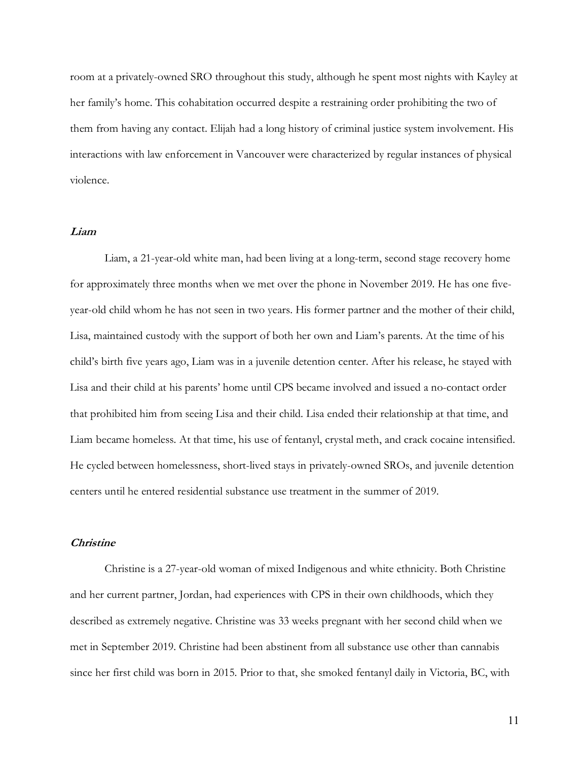room at a privately-owned SRO throughout this study, although he spent most nights with Kayley at her family's home. This cohabitation occurred despite a restraining order prohibiting the two of them from having any contact. Elijah had a long history of criminal justice system involvement. His interactions with law enforcement in Vancouver were characterized by regular instances of physical violence.

#### **Liam**

Liam, a 21-year-old white man, had been living at a long-term, second stage recovery home for approximately three months when we met over the phone in November 2019. He has one fiveyear-old child whom he has not seen in two years. His former partner and the mother of their child, Lisa, maintained custody with the support of both her own and Liam's parents. At the time of his child's birth five years ago, Liam was in a juvenile detention center. After his release, he stayed with Lisa and their child at his parents' home until CPS became involved and issued a no-contact order that prohibited him from seeing Lisa and their child. Lisa ended their relationship at that time, and Liam became homeless. At that time, his use of fentanyl, crystal meth, and crack cocaine intensified. He cycled between homelessness, short-lived stays in privately-owned SROs, and juvenile detention centers until he entered residential substance use treatment in the summer of 2019.

#### **Christine**

Christine is a 27-year-old woman of mixed Indigenous and white ethnicity. Both Christine and her current partner, Jordan, had experiences with CPS in their own childhoods, which they described as extremely negative. Christine was 33 weeks pregnant with her second child when we met in September 2019. Christine had been abstinent from all substance use other than cannabis since her first child was born in 2015. Prior to that, she smoked fentanyl daily in Victoria, BC, with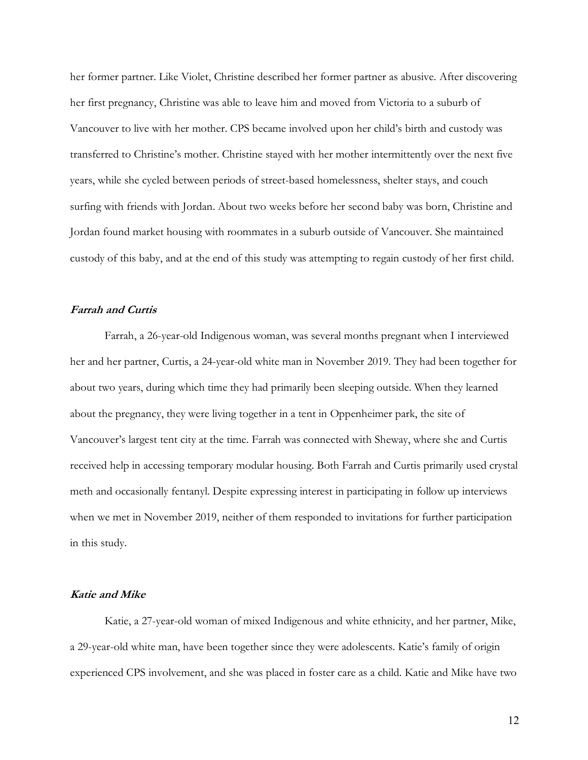her former partner. Like Violet, Christine described her former partner as abusive. After discovering her first pregnancy, Christine was able to leave him and moved from Victoria to a suburb of Vancouver to live with her mother. CPS became involved upon her child's birth and custody was transferred to Christine's mother. Christine stayed with her mother intermittently over the next five years, while she cycled between periods of street-based homelessness, shelter stays, and couch surfing with friends with Jordan. About two weeks before her second baby was born, Christine and Jordan found market housing with roommates in a suburb outside of Vancouver. She maintained custody of this baby, and at the end of this study was attempting to regain custody of her first child.

#### **Farrah and Curtis**

Farrah, a 26-year-old Indigenous woman, was several months pregnant when I interviewed her and her partner, Curtis, a 24-year-old white man in November 2019. They had been together for about two years, during which time they had primarily been sleeping outside. When they learned about the pregnancy, they were living together in a tent in Oppenheimer park, the site of Vancouver's largest tent city at the time. Farrah was connected with Sheway, where she and Curtis received help in accessing temporary modular housing. Both Farrah and Curtis primarily used crystal meth and occasionally fentanyl. Despite expressing interest in participating in follow up interviews when we met in November 2019, neither of them responded to invitations for further participation in this study.

#### **Katie and Mike**

Katie, a 27-year-old woman of mixed Indigenous and white ethnicity, and her partner, Mike, a 29-year-old white man, have been together since they were adolescents. Katie's family of origin experienced CPS involvement, and she was placed in foster care as a child. Katie and Mike have two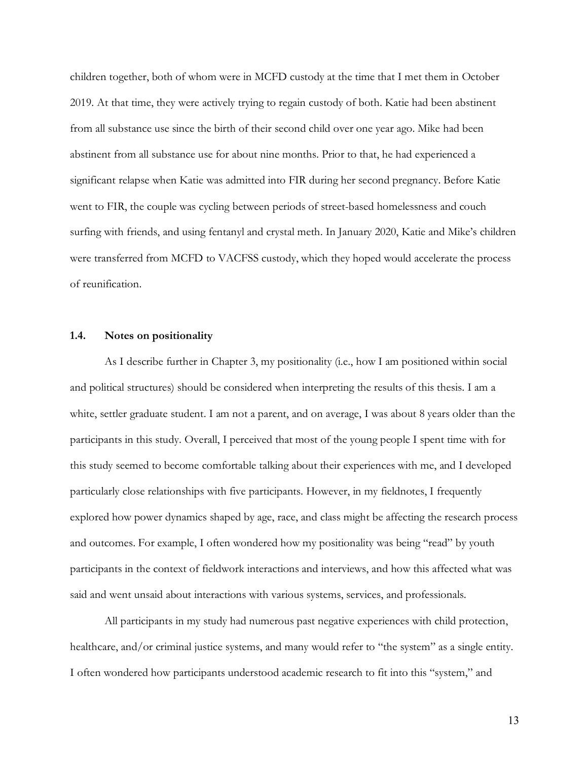children together, both of whom were in MCFD custody at the time that I met them in October 2019. At that time, they were actively trying to regain custody of both. Katie had been abstinent from all substance use since the birth of their second child over one year ago. Mike had been abstinent from all substance use for about nine months. Prior to that, he had experienced a significant relapse when Katie was admitted into FIR during her second pregnancy. Before Katie went to FIR, the couple was cycling between periods of street-based homelessness and couch surfing with friends, and using fentanyl and crystal meth. In January 2020, Katie and Mike's children were transferred from MCFD to VACFSS custody, which they hoped would accelerate the process of reunification.

#### **1.4. Notes on positionality**

As I describe further in Chapter 3, my positionality (i.e., how I am positioned within social and political structures) should be considered when interpreting the results of this thesis. I am a white, settler graduate student. I am not a parent, and on average, I was about 8 years older than the participants in this study. Overall, I perceived that most of the young people I spent time with for this study seemed to become comfortable talking about their experiences with me, and I developed particularly close relationships with five participants. However, in my fieldnotes, I frequently explored how power dynamics shaped by age, race, and class might be affecting the research process and outcomes. For example, I often wondered how my positionality was being "read" by youth participants in the context of fieldwork interactions and interviews, and how this affected what was said and went unsaid about interactions with various systems, services, and professionals.

All participants in my study had numerous past negative experiences with child protection, healthcare, and/or criminal justice systems, and many would refer to "the system" as a single entity. I often wondered how participants understood academic research to fit into this "system," and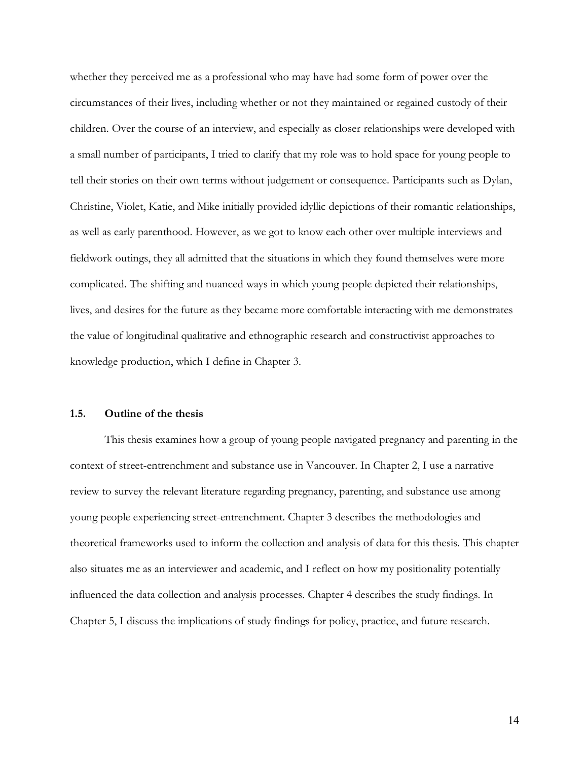whether they perceived me as a professional who may have had some form of power over the circumstances of their lives, including whether or not they maintained or regained custody of their children. Over the course of an interview, and especially as closer relationships were developed with a small number of participants, I tried to clarify that my role was to hold space for young people to tell their stories on their own terms without judgement or consequence. Participants such as Dylan, Christine, Violet, Katie, and Mike initially provided idyllic depictions of their romantic relationships, as well as early parenthood. However, as we got to know each other over multiple interviews and fieldwork outings, they all admitted that the situations in which they found themselves were more complicated. The shifting and nuanced ways in which young people depicted their relationships, lives, and desires for the future as they became more comfortable interacting with me demonstrates the value of longitudinal qualitative and ethnographic research and constructivist approaches to knowledge production, which I define in Chapter 3.

#### **1.5. Outline of the thesis**

This thesis examines how a group of young people navigated pregnancy and parenting in the context of street-entrenchment and substance use in Vancouver. In Chapter 2, I use a narrative review to survey the relevant literature regarding pregnancy, parenting, and substance use among young people experiencing street-entrenchment. Chapter 3 describes the methodologies and theoretical frameworks used to inform the collection and analysis of data for this thesis. This chapter also situates me as an interviewer and academic, and I reflect on how my positionality potentially influenced the data collection and analysis processes. Chapter 4 describes the study findings. In Chapter 5, I discuss the implications of study findings for policy, practice, and future research.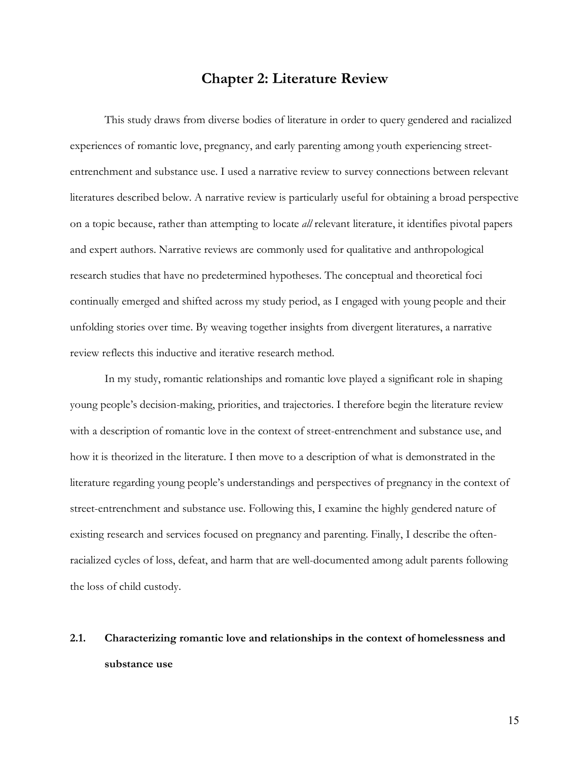### **Chapter 2: Literature Review**

This study draws from diverse bodies of literature in order to query gendered and racialized experiences of romantic love, pregnancy, and early parenting among youth experiencing streetentrenchment and substance use. I used a narrative review to survey connections between relevant literatures described below. A narrative review is particularly useful for obtaining a broad perspective on a topic because, rather than attempting to locate *all* relevant literature, it identifies pivotal papers and expert authors. Narrative reviews are commonly used for qualitative and anthropological research studies that have no predetermined hypotheses. The conceptual and theoretical foci continually emerged and shifted across my study period, as I engaged with young people and their unfolding stories over time. By weaving together insights from divergent literatures, a narrative review reflects this inductive and iterative research method.

In my study, romantic relationships and romantic love played a significant role in shaping young people's decision-making, priorities, and trajectories. I therefore begin the literature review with a description of romantic love in the context of street-entrenchment and substance use, and how it is theorized in the literature. I then move to a description of what is demonstrated in the literature regarding young people's understandings and perspectives of pregnancy in the context of street-entrenchment and substance use. Following this, I examine the highly gendered nature of existing research and services focused on pregnancy and parenting. Finally, I describe the oftenracialized cycles of loss, defeat, and harm that are well-documented among adult parents following the loss of child custody.

# **2.1. Characterizing romantic love and relationships in the context of homelessness and substance use**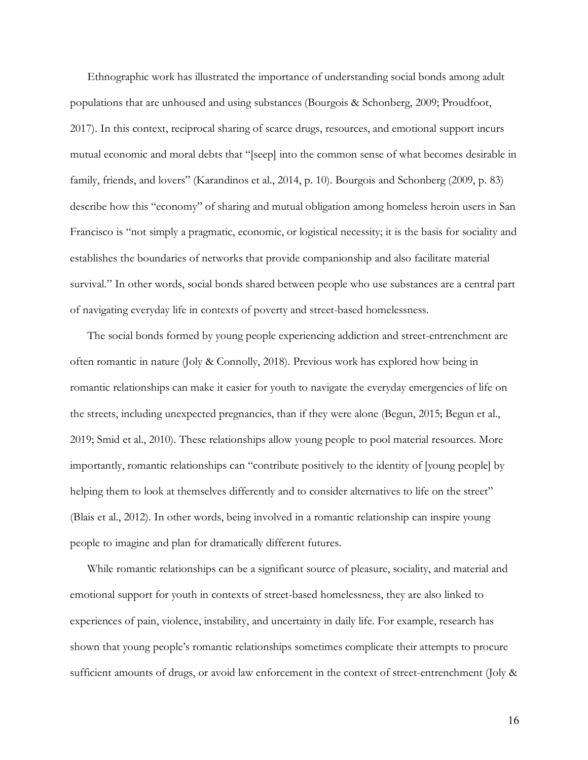Ethnographic work has illustrated the importance of understanding social bonds among adult populations that are unhoused and using substances (Bourgois & Schonberg, 2009; Proudfoot, 2017). In this context, reciprocal sharing of scarce drugs, resources, and emotional support incurs mutual economic and moral debts that "[seep] into the common sense of what becomes desirable in family, friends, and lovers" (Karandinos et al., 2014, p. 10). Bourgois and Schonberg (2009, p. 83) describe how this "economy" of sharing and mutual obligation among homeless heroin users in San Francisco is "not simply a pragmatic, economic, or logistical necessity; it is the basis for sociality and establishes the boundaries of networks that provide companionship and also facilitate material survival." In other words, social bonds shared between people who use substances are a central part of navigating everyday life in contexts of poverty and street-based homelessness.

The social bonds formed by young people experiencing addiction and street-entrenchment are often romantic in nature (Joly & Connolly, 2018). Previous work has explored how being in romantic relationships can make it easier for youth to navigate the everyday emergencies of life on the streets, including unexpected pregnancies, than if they were alone (Begun, 2015; Begun et al., 2019; Smid et al., 2010). These relationships allow young people to pool material resources. More importantly, romantic relationships can "contribute positively to the identity of [young people] by helping them to look at themselves differently and to consider alternatives to life on the street" (Blais et al., 2012). In other words, being involved in a romantic relationship can inspire young people to imagine and plan for dramatically different futures.

While romantic relationships can be a significant source of pleasure, sociality, and material and emotional support for youth in contexts of street-based homelessness, they are also linked to experiences of pain, violence, instability, and uncertainty in daily life. For example, research has shown that young people's romantic relationships sometimes complicate their attempts to procure sufficient amounts of drugs, or avoid law enforcement in the context of street-entrenchment (Joly &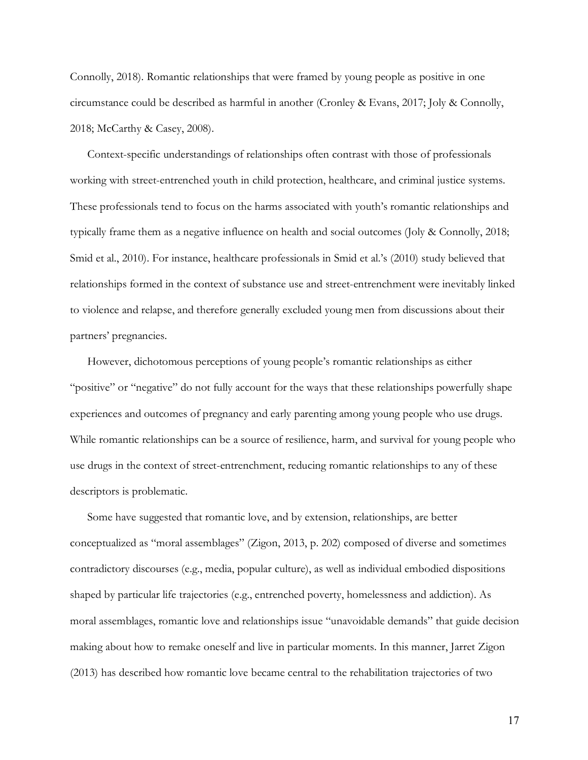Connolly, 2018). Romantic relationships that were framed by young people as positive in one circumstance could be described as harmful in another (Cronley & Evans, 2017; Joly & Connolly, 2018; McCarthy & Casey, 2008).

Context-specific understandings of relationships often contrast with those of professionals working with street-entrenched youth in child protection, healthcare, and criminal justice systems. These professionals tend to focus on the harms associated with youth's romantic relationships and typically frame them as a negative influence on health and social outcomes (Joly & Connolly, 2018; Smid et al., 2010). For instance, healthcare professionals in Smid et al.'s (2010) study believed that relationships formed in the context of substance use and street-entrenchment were inevitably linked to violence and relapse, and therefore generally excluded young men from discussions about their partners' pregnancies.

However, dichotomous perceptions of young people's romantic relationships as either "positive" or "negative" do not fully account for the ways that these relationships powerfully shape experiences and outcomes of pregnancy and early parenting among young people who use drugs. While romantic relationships can be a source of resilience, harm, and survival for young people who use drugs in the context of street-entrenchment, reducing romantic relationships to any of these descriptors is problematic.

Some have suggested that romantic love, and by extension, relationships, are better conceptualized as "moral assemblages" (Zigon, 2013, p. 202) composed of diverse and sometimes contradictory discourses (e.g., media, popular culture), as well as individual embodied dispositions shaped by particular life trajectories (e.g., entrenched poverty, homelessness and addiction). As moral assemblages, romantic love and relationships issue "unavoidable demands" that guide decision making about how to remake oneself and live in particular moments. In this manner, Jarret Zigon (2013) has described how romantic love became central to the rehabilitation trajectories of two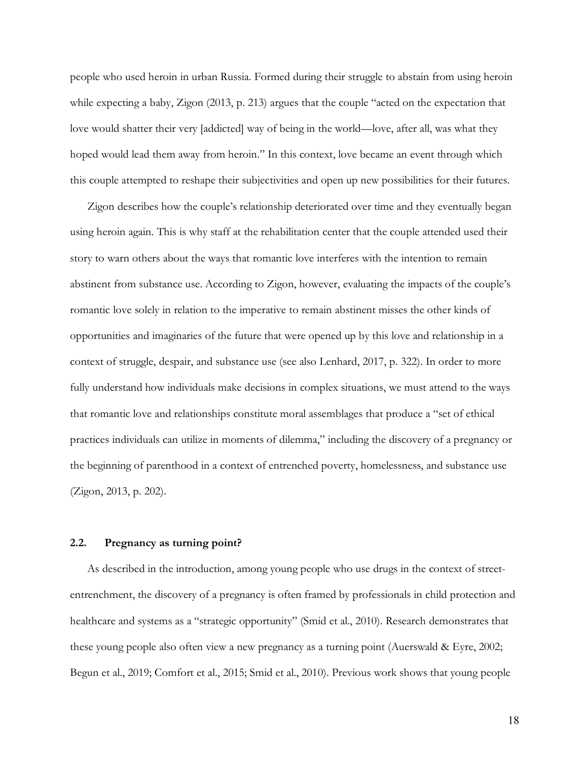people who used heroin in urban Russia. Formed during their struggle to abstain from using heroin while expecting a baby, Zigon (2013, p. 213) argues that the couple "acted on the expectation that love would shatter their very [addicted] way of being in the world—love, after all, was what they hoped would lead them away from heroin." In this context, love became an event through which this couple attempted to reshape their subjectivities and open up new possibilities for their futures.

Zigon describes how the couple's relationship deteriorated over time and they eventually began using heroin again. This is why staff at the rehabilitation center that the couple attended used their story to warn others about the ways that romantic love interferes with the intention to remain abstinent from substance use. According to Zigon, however, evaluating the impacts of the couple's romantic love solely in relation to the imperative to remain abstinent misses the other kinds of opportunities and imaginaries of the future that were opened up by this love and relationship in a context of struggle, despair, and substance use (see also Lenhard, 2017, p. 322). In order to more fully understand how individuals make decisions in complex situations, we must attend to the ways that romantic love and relationships constitute moral assemblages that produce a "set of ethical practices individuals can utilize in moments of dilemma," including the discovery of a pregnancy or the beginning of parenthood in a context of entrenched poverty, homelessness, and substance use (Zigon, 2013, p. 202).

#### **2.2. Pregnancy as turning point?**

As described in the introduction, among young people who use drugs in the context of streetentrenchment, the discovery of a pregnancy is often framed by professionals in child protection and healthcare and systems as a "strategic opportunity" (Smid et al., 2010). Research demonstrates that these young people also often view a new pregnancy as a turning point (Auerswald & Eyre, 2002; Begun et al., 2019; Comfort et al., 2015; Smid et al., 2010). Previous work shows that young people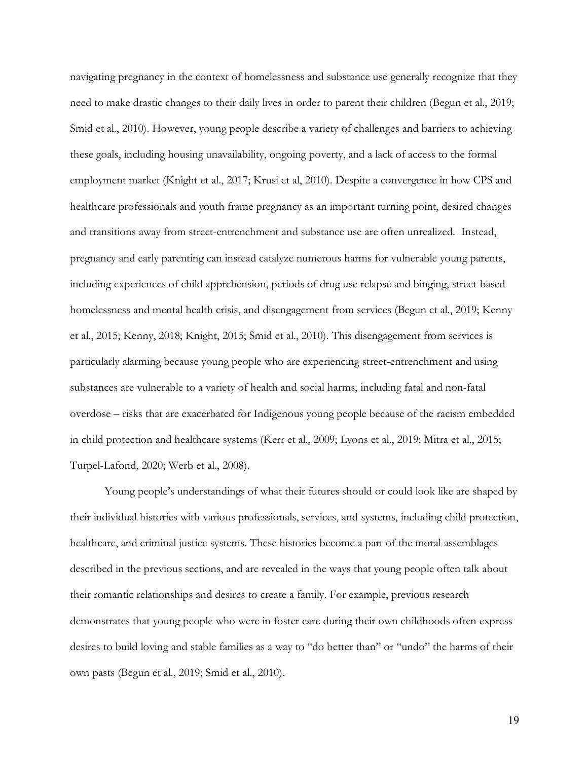navigating pregnancy in the context of homelessness and substance use generally recognize that they need to make drastic changes to their daily lives in order to parent their children (Begun et al., 2019; Smid et al., 2010). However, young people describe a variety of challenges and barriers to achieving these goals, including housing unavailability, ongoing poverty, and a lack of access to the formal employment market (Knight et al., 2017; Krusi et al, 2010). Despite a convergence in how CPS and healthcare professionals and youth frame pregnancy as an important turning point, desired changes and transitions away from street-entrenchment and substance use are often unrealized. Instead, pregnancy and early parenting can instead catalyze numerous harms for vulnerable young parents, including experiences of child apprehension, periods of drug use relapse and binging, street-based homelessness and mental health crisis, and disengagement from services (Begun et al., 2019; Kenny et al., 2015; Kenny, 2018; Knight, 2015; Smid et al., 2010). This disengagement from services is particularly alarming because young people who are experiencing street-entrenchment and using substances are vulnerable to a variety of health and social harms, including fatal and non-fatal overdose – risks that are exacerbated for Indigenous young people because of the racism embedded in child protection and healthcare systems (Kerr et al., 2009; Lyons et al., 2019; Mitra et al., 2015; Turpel-Lafond, 2020; Werb et al., 2008).

Young people's understandings of what their futures should or could look like are shaped by their individual histories with various professionals, services, and systems, including child protection, healthcare, and criminal justice systems. These histories become a part of the moral assemblages described in the previous sections, and are revealed in the ways that young people often talk about their romantic relationships and desires to create a family. For example, previous research demonstrates that young people who were in foster care during their own childhoods often express desires to build loving and stable families as a way to "do better than" or "undo" the harms of their own pasts (Begun et al., 2019; Smid et al., 2010).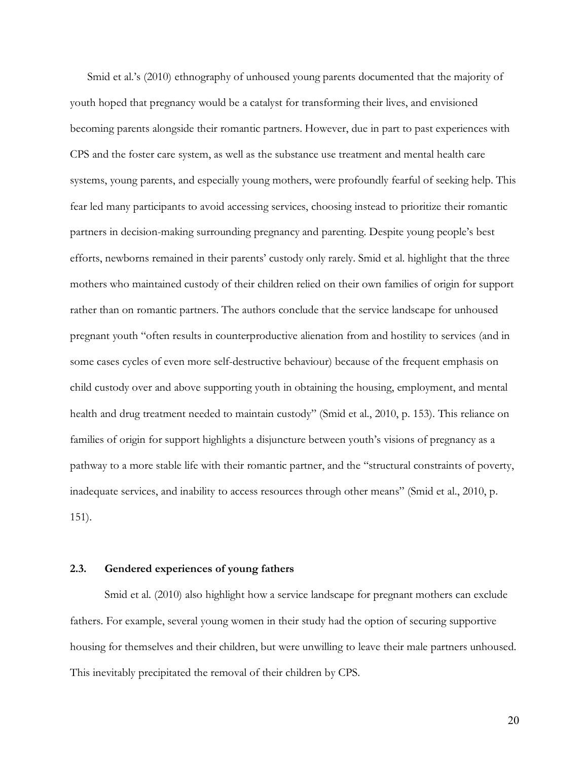Smid et al.'s (2010) ethnography of unhoused young parents documented that the majority of youth hoped that pregnancy would be a catalyst for transforming their lives, and envisioned becoming parents alongside their romantic partners. However, due in part to past experiences with CPS and the foster care system, as well as the substance use treatment and mental health care systems, young parents, and especially young mothers, were profoundly fearful of seeking help. This fear led many participants to avoid accessing services, choosing instead to prioritize their romantic partners in decision-making surrounding pregnancy and parenting. Despite young people's best efforts, newborns remained in their parents' custody only rarely. Smid et al. highlight that the three mothers who maintained custody of their children relied on their own families of origin for support rather than on romantic partners. The authors conclude that the service landscape for unhoused pregnant youth "often results in counterproductive alienation from and hostility to services (and in some cases cycles of even more self-destructive behaviour) because of the frequent emphasis on child custody over and above supporting youth in obtaining the housing, employment, and mental health and drug treatment needed to maintain custody" (Smid et al., 2010, p. 153). This reliance on families of origin for support highlights a disjuncture between youth's visions of pregnancy as a pathway to a more stable life with their romantic partner, and the "structural constraints of poverty, inadequate services, and inability to access resources through other means" (Smid et al., 2010, p. 151).

#### **2.3. Gendered experiences of young fathers**

Smid et al. (2010) also highlight how a service landscape for pregnant mothers can exclude fathers. For example, several young women in their study had the option of securing supportive housing for themselves and their children, but were unwilling to leave their male partners unhoused. This inevitably precipitated the removal of their children by CPS.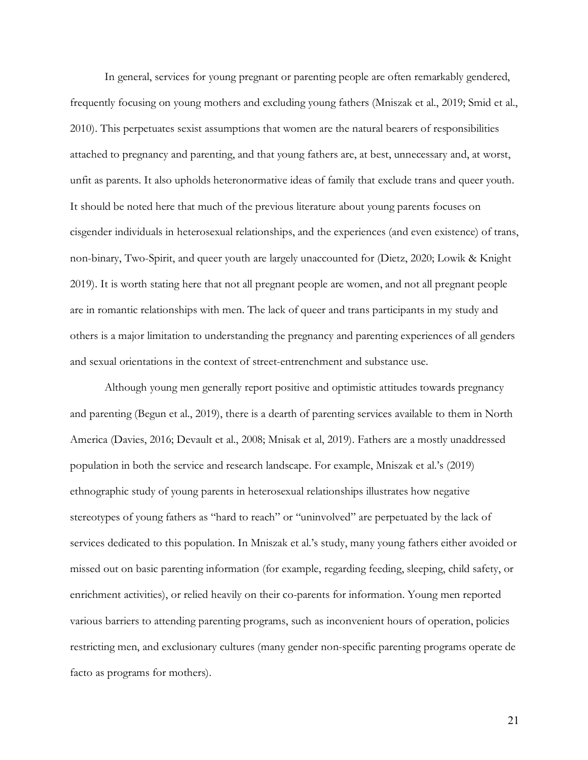In general, services for young pregnant or parenting people are often remarkably gendered, frequently focusing on young mothers and excluding young fathers (Mniszak et al., 2019; Smid et al., 2010). This perpetuates sexist assumptions that women are the natural bearers of responsibilities attached to pregnancy and parenting, and that young fathers are, at best, unnecessary and, at worst, unfit as parents. It also upholds heteronormative ideas of family that exclude trans and queer youth. It should be noted here that much of the previous literature about young parents focuses on cisgender individuals in heterosexual relationships, and the experiences (and even existence) of trans, non-binary, Two-Spirit, and queer youth are largely unaccounted for (Dietz, 2020; Lowik & Knight 2019). It is worth stating here that not all pregnant people are women, and not all pregnant people are in romantic relationships with men. The lack of queer and trans participants in my study and others is a major limitation to understanding the pregnancy and parenting experiences of all genders and sexual orientations in the context of street-entrenchment and substance use.

Although young men generally report positive and optimistic attitudes towards pregnancy and parenting (Begun et al., 2019), there is a dearth of parenting services available to them in North America (Davies, 2016; Devault et al., 2008; Mnisak et al, 2019). Fathers are a mostly unaddressed population in both the service and research landscape. For example, Mniszak et al.'s (2019) ethnographic study of young parents in heterosexual relationships illustrates how negative stereotypes of young fathers as "hard to reach" or "uninvolved" are perpetuated by the lack of services dedicated to this population. In Mniszak et al.'s study, many young fathers either avoided or missed out on basic parenting information (for example, regarding feeding, sleeping, child safety, or enrichment activities), or relied heavily on their co-parents for information. Young men reported various barriers to attending parenting programs, such as inconvenient hours of operation, policies restricting men, and exclusionary cultures (many gender non-specific parenting programs operate de facto as programs for mothers).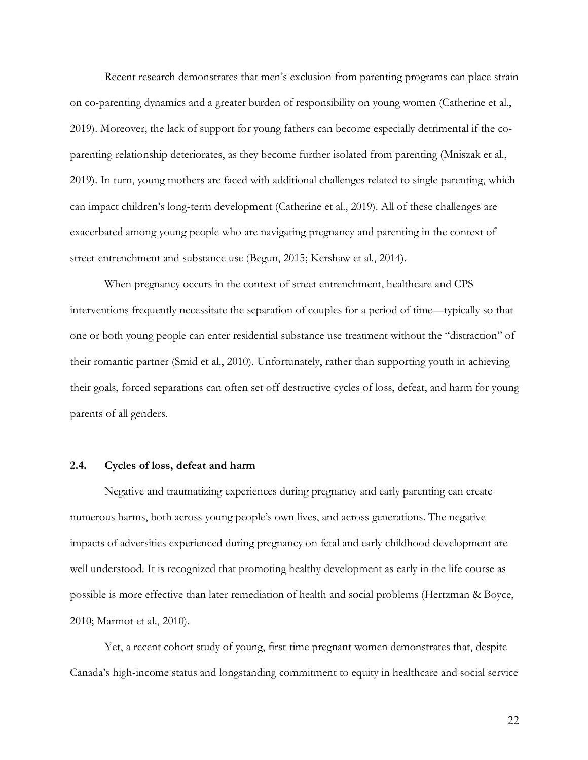Recent research demonstrates that men's exclusion from parenting programs can place strain on co-parenting dynamics and a greater burden of responsibility on young women (Catherine et al., 2019). Moreover, the lack of support for young fathers can become especially detrimental if the coparenting relationship deteriorates, as they become further isolated from parenting (Mniszak et al., 2019). In turn, young mothers are faced with additional challenges related to single parenting, which can impact children's long-term development (Catherine et al., 2019). All of these challenges are exacerbated among young people who are navigating pregnancy and parenting in the context of street-entrenchment and substance use (Begun, 2015; Kershaw et al., 2014).

When pregnancy occurs in the context of street entrenchment, healthcare and CPS interventions frequently necessitate the separation of couples for a period of time—typically so that one or both young people can enter residential substance use treatment without the "distraction" of their romantic partner (Smid et al., 2010). Unfortunately, rather than supporting youth in achieving their goals, forced separations can often set off destructive cycles of loss, defeat, and harm for young parents of all genders.

#### **2.4. Cycles of loss, defeat and harm**

Negative and traumatizing experiences during pregnancy and early parenting can create numerous harms, both across young people's own lives, and across generations. The negative impacts of adversities experienced during pregnancy on fetal and early childhood development are well understood. It is recognized that promoting healthy development as early in the life course as possible is more effective than later remediation of health and social problems (Hertzman & Boyce, 2010; Marmot et al., 2010).

Yet, a recent cohort study of young, first-time pregnant women demonstrates that, despite Canada's high-income status and longstanding commitment to equity in healthcare and social service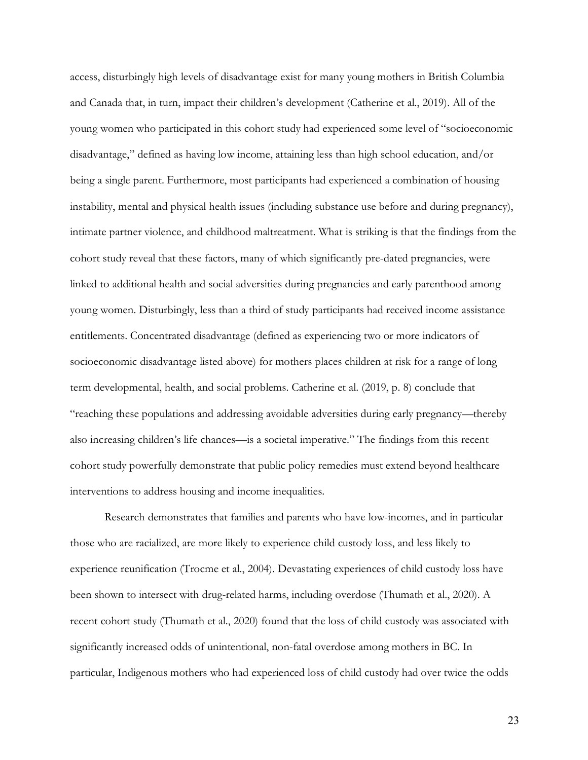access, disturbingly high levels of disadvantage exist for many young mothers in British Columbia and Canada that, in turn, impact their children's development (Catherine et al., 2019). All of the young women who participated in this cohort study had experienced some level of "socioeconomic disadvantage," defined as having low income, attaining less than high school education, and/or being a single parent. Furthermore, most participants had experienced a combination of housing instability, mental and physical health issues (including substance use before and during pregnancy), intimate partner violence, and childhood maltreatment. What is striking is that the findings from the cohort study reveal that these factors, many of which significantly pre-dated pregnancies, were linked to additional health and social adversities during pregnancies and early parenthood among young women. Disturbingly, less than a third of study participants had received income assistance entitlements. Concentrated disadvantage (defined as experiencing two or more indicators of socioeconomic disadvantage listed above) for mothers places children at risk for a range of long term developmental, health, and social problems. Catherine et al. (2019, p. 8) conclude that "reaching these populations and addressing avoidable adversities during early pregnancy—thereby also increasing children's life chances—is a societal imperative." The findings from this recent cohort study powerfully demonstrate that public policy remedies must extend beyond healthcare interventions to address housing and income inequalities.

Research demonstrates that families and parents who have low-incomes, and in particular those who are racialized, are more likely to experience child custody loss, and less likely to experience reunification (Trocme et al., 2004). Devastating experiences of child custody loss have been shown to intersect with drug-related harms, including overdose (Thumath et al., 2020). A recent cohort study (Thumath et al., 2020) found that the loss of child custody was associated with significantly increased odds of unintentional, non-fatal overdose among mothers in BC. In particular, Indigenous mothers who had experienced loss of child custody had over twice the odds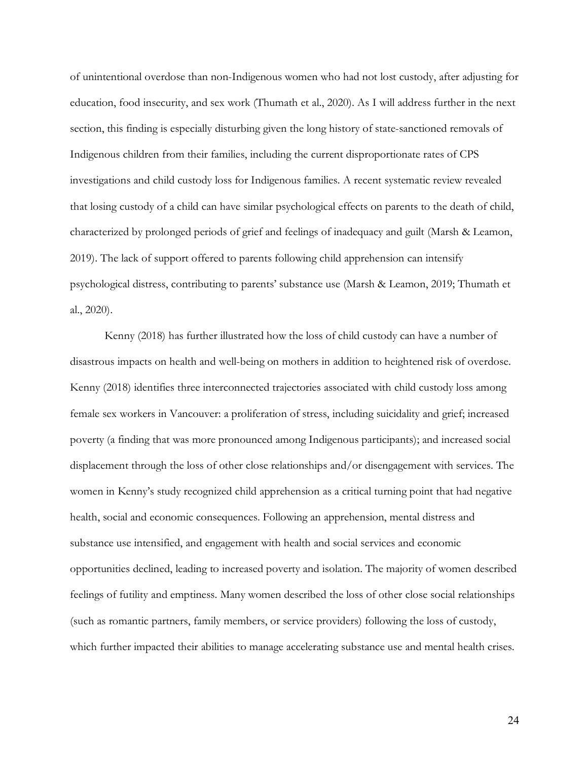of unintentional overdose than non-Indigenous women who had not lost custody, after adjusting for education, food insecurity, and sex work (Thumath et al., 2020). As I will address further in the next section, this finding is especially disturbing given the long history of state-sanctioned removals of Indigenous children from their families, including the current disproportionate rates of CPS investigations and child custody loss for Indigenous families. A recent systematic review revealed that losing custody of a child can have similar psychological effects on parents to the death of child, characterized by prolonged periods of grief and feelings of inadequacy and guilt (Marsh & Leamon, 2019). The lack of support offered to parents following child apprehension can intensify psychological distress, contributing to parents' substance use (Marsh & Leamon, 2019; Thumath et al., 2020).

Kenny (2018) has further illustrated how the loss of child custody can have a number of disastrous impacts on health and well-being on mothers in addition to heightened risk of overdose. Kenny (2018) identifies three interconnected trajectories associated with child custody loss among female sex workers in Vancouver: a proliferation of stress, including suicidality and grief; increased poverty (a finding that was more pronounced among Indigenous participants); and increased social displacement through the loss of other close relationships and/or disengagement with services. The women in Kenny's study recognized child apprehension as a critical turning point that had negative health, social and economic consequences. Following an apprehension, mental distress and substance use intensified, and engagement with health and social services and economic opportunities declined, leading to increased poverty and isolation. The majority of women described feelings of futility and emptiness. Many women described the loss of other close social relationships (such as romantic partners, family members, or service providers) following the loss of custody, which further impacted their abilities to manage accelerating substance use and mental health crises.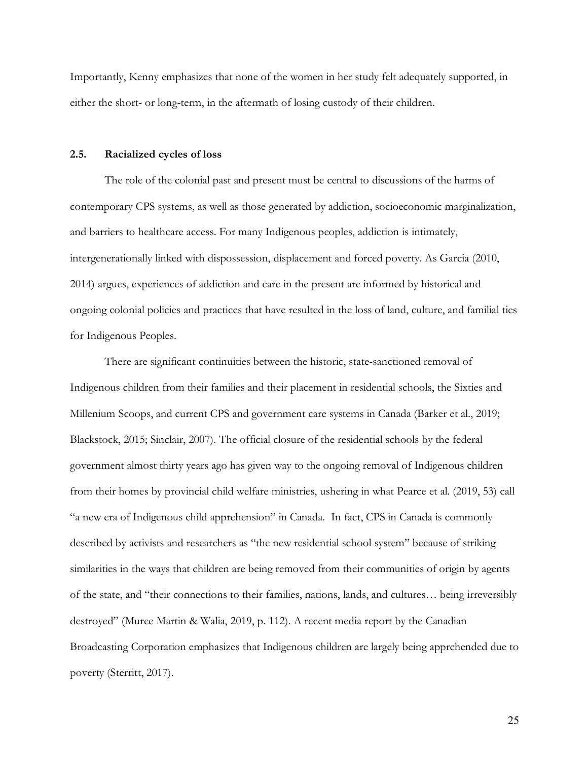Importantly, Kenny emphasizes that none of the women in her study felt adequately supported, in either the short- or long-term, in the aftermath of losing custody of their children.

#### **2.5. Racialized cycles of loss**

The role of the colonial past and present must be central to discussions of the harms of contemporary CPS systems, as well as those generated by addiction, socioeconomic marginalization, and barriers to healthcare access. For many Indigenous peoples, addiction is intimately, intergenerationally linked with dispossession, displacement and forced poverty. As Garcia (2010, 2014) argues, experiences of addiction and care in the present are informed by historical and ongoing colonial policies and practices that have resulted in the loss of land, culture, and familial ties for Indigenous Peoples.

There are significant continuities between the historic, state-sanctioned removal of Indigenous children from their families and their placement in residential schools, the Sixties and Millenium Scoops, and current CPS and government care systems in Canada (Barker et al., 2019; Blackstock, 2015; Sinclair, 2007). The official closure of the residential schools by the federal government almost thirty years ago has given way to the ongoing removal of Indigenous children from their homes by provincial child welfare ministries, ushering in what Pearce et al. (2019, 53) call "a new era of Indigenous child apprehension" in Canada. In fact, CPS in Canada is commonly described by activists and researchers as "the new residential school system" because of striking similarities in the ways that children are being removed from their communities of origin by agents of the state, and "their connections to their families, nations, lands, and cultures… being irreversibly destroyed" (Muree Martin & Walia, 2019, p. 112). A recent media report by the Canadian Broadcasting Corporation emphasizes that Indigenous children are largely being apprehended due to poverty (Sterritt, 2017).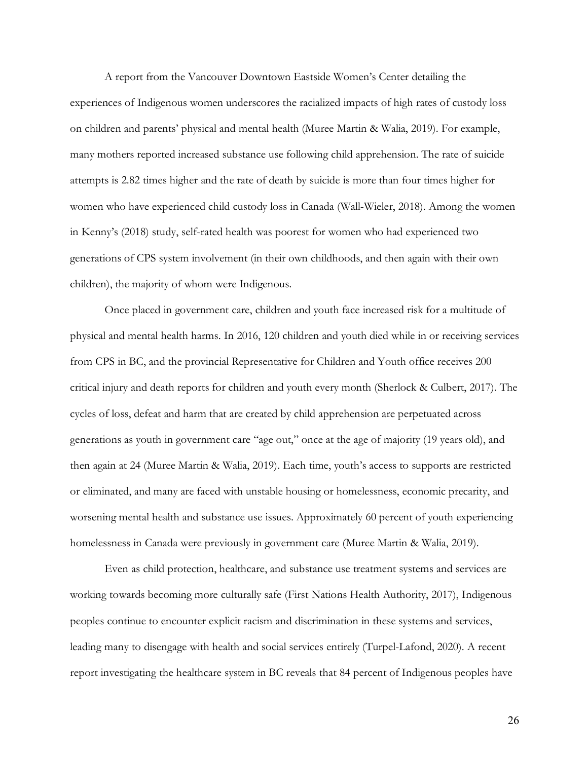A report from the Vancouver Downtown Eastside Women's Center detailing the experiences of Indigenous women underscores the racialized impacts of high rates of custody loss on children and parents' physical and mental health (Muree Martin & Walia, 2019). For example, many mothers reported increased substance use following child apprehension. The rate of suicide attempts is 2.82 times higher and the rate of death by suicide is more than four times higher for women who have experienced child custody loss in Canada (Wall-Wieler, 2018). Among the women in Kenny's (2018) study, self-rated health was poorest for women who had experienced two generations of CPS system involvement (in their own childhoods, and then again with their own children), the majority of whom were Indigenous.

Once placed in government care, children and youth face increased risk for a multitude of physical and mental health harms. In 2016, 120 children and youth died while in or receiving services from CPS in BC, and the provincial Representative for Children and Youth office receives 200 critical injury and death reports for children and youth every month (Sherlock & Culbert, 2017). The cycles of loss, defeat and harm that are created by child apprehension are perpetuated across generations as youth in government care "age out," once at the age of majority (19 years old), and then again at 24 (Muree Martin & Walia, 2019). Each time, youth's access to supports are restricted or eliminated, and many are faced with unstable housing or homelessness, economic precarity, and worsening mental health and substance use issues. Approximately 60 percent of youth experiencing homelessness in Canada were previously in government care (Muree Martin & Walia, 2019).

Even as child protection, healthcare, and substance use treatment systems and services are working towards becoming more culturally safe (First Nations Health Authority, 2017), Indigenous peoples continue to encounter explicit racism and discrimination in these systems and services, leading many to disengage with health and social services entirely (Turpel-Lafond, 2020). A recent report investigating the healthcare system in BC reveals that 84 percent of Indigenous peoples have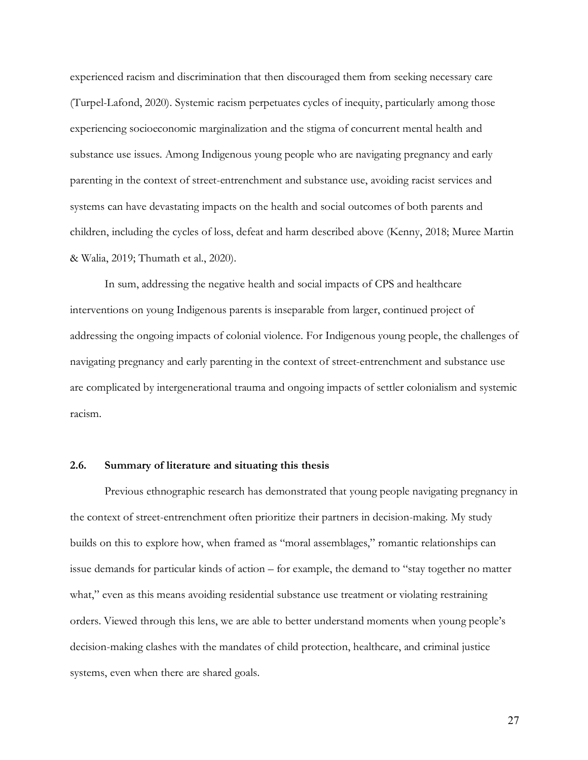experienced racism and discrimination that then discouraged them from seeking necessary care (Turpel-Lafond, 2020). Systemic racism perpetuates cycles of inequity, particularly among those experiencing socioeconomic marginalization and the stigma of concurrent mental health and substance use issues. Among Indigenous young people who are navigating pregnancy and early parenting in the context of street-entrenchment and substance use, avoiding racist services and systems can have devastating impacts on the health and social outcomes of both parents and children, including the cycles of loss, defeat and harm described above (Kenny, 2018; Muree Martin & Walia, 2019; Thumath et al., 2020).

In sum, addressing the negative health and social impacts of CPS and healthcare interventions on young Indigenous parents is inseparable from larger, continued project of addressing the ongoing impacts of colonial violence. For Indigenous young people, the challenges of navigating pregnancy and early parenting in the context of street-entrenchment and substance use are complicated by intergenerational trauma and ongoing impacts of settler colonialism and systemic racism.

## **2.6. Summary of literature and situating this thesis**

Previous ethnographic research has demonstrated that young people navigating pregnancy in the context of street-entrenchment often prioritize their partners in decision-making. My study builds on this to explore how, when framed as "moral assemblages," romantic relationships can issue demands for particular kinds of action – for example, the demand to "stay together no matter what," even as this means avoiding residential substance use treatment or violating restraining orders. Viewed through this lens, we are able to better understand moments when young people's decision-making clashes with the mandates of child protection, healthcare, and criminal justice systems, even when there are shared goals.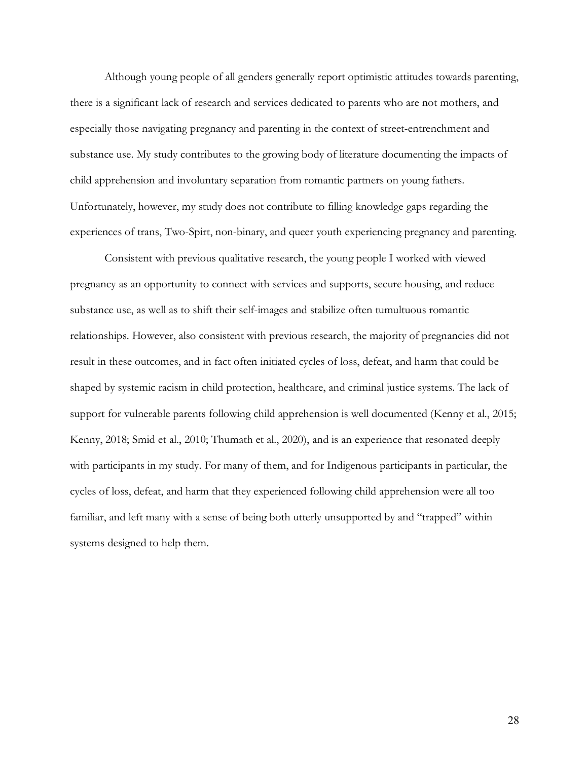Although young people of all genders generally report optimistic attitudes towards parenting, there is a significant lack of research and services dedicated to parents who are not mothers, and especially those navigating pregnancy and parenting in the context of street-entrenchment and substance use. My study contributes to the growing body of literature documenting the impacts of child apprehension and involuntary separation from romantic partners on young fathers. Unfortunately, however, my study does not contribute to filling knowledge gaps regarding the experiences of trans, Two-Spirt, non-binary, and queer youth experiencing pregnancy and parenting.

Consistent with previous qualitative research, the young people I worked with viewed pregnancy as an opportunity to connect with services and supports, secure housing, and reduce substance use, as well as to shift their self-images and stabilize often tumultuous romantic relationships. However, also consistent with previous research, the majority of pregnancies did not result in these outcomes, and in fact often initiated cycles of loss, defeat, and harm that could be shaped by systemic racism in child protection, healthcare, and criminal justice systems. The lack of support for vulnerable parents following child apprehension is well documented (Kenny et al., 2015; Kenny, 2018; Smid et al., 2010; Thumath et al., 2020), and is an experience that resonated deeply with participants in my study. For many of them, and for Indigenous participants in particular, the cycles of loss, defeat, and harm that they experienced following child apprehension were all too familiar, and left many with a sense of being both utterly unsupported by and "trapped" within systems designed to help them.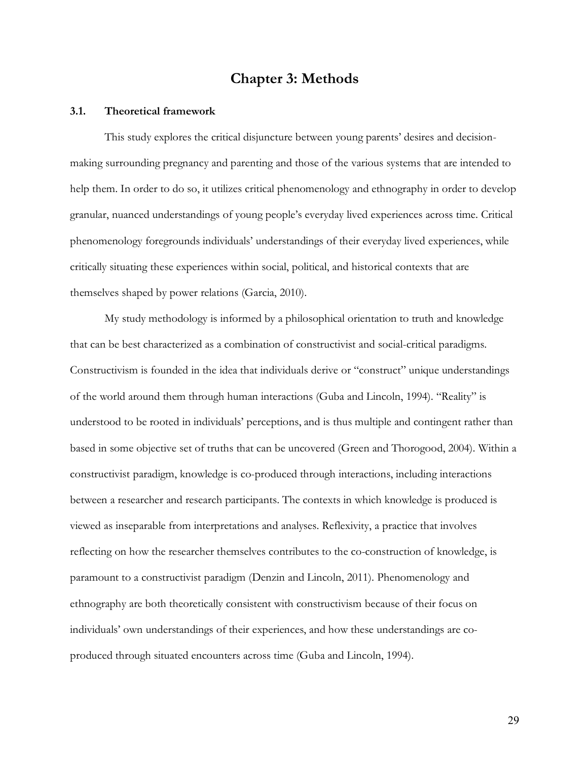# **Chapter 3: Methods**

## **3.1. Theoretical framework**

This study explores the critical disjuncture between young parents' desires and decisionmaking surrounding pregnancy and parenting and those of the various systems that are intended to help them. In order to do so, it utilizes critical phenomenology and ethnography in order to develop granular, nuanced understandings of young people's everyday lived experiences across time. Critical phenomenology foregrounds individuals' understandings of their everyday lived experiences, while critically situating these experiences within social, political, and historical contexts that are themselves shaped by power relations (Garcia, 2010).

My study methodology is informed by a philosophical orientation to truth and knowledge that can be best characterized as a combination of constructivist and social-critical paradigms. Constructivism is founded in the idea that individuals derive or "construct" unique understandings of the world around them through human interactions (Guba and Lincoln, 1994). "Reality" is understood to be rooted in individuals' perceptions, and is thus multiple and contingent rather than based in some objective set of truths that can be uncovered (Green and Thorogood, 2004). Within a constructivist paradigm, knowledge is co-produced through interactions, including interactions between a researcher and research participants. The contexts in which knowledge is produced is viewed as inseparable from interpretations and analyses. Reflexivity, a practice that involves reflecting on how the researcher themselves contributes to the co-construction of knowledge, is paramount to a constructivist paradigm (Denzin and Lincoln, 2011). Phenomenology and ethnography are both theoretically consistent with constructivism because of their focus on individuals' own understandings of their experiences, and how these understandings are coproduced through situated encounters across time (Guba and Lincoln, 1994).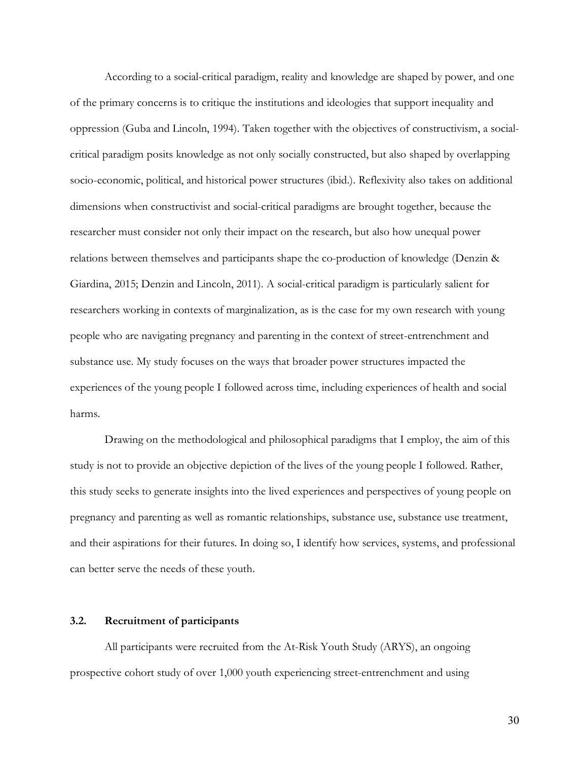According to a social-critical paradigm, reality and knowledge are shaped by power, and one of the primary concerns is to critique the institutions and ideologies that support inequality and oppression (Guba and Lincoln, 1994). Taken together with the objectives of constructivism, a socialcritical paradigm posits knowledge as not only socially constructed, but also shaped by overlapping socio-economic, political, and historical power structures (ibid.). Reflexivity also takes on additional dimensions when constructivist and social-critical paradigms are brought together, because the researcher must consider not only their impact on the research, but also how unequal power relations between themselves and participants shape the co-production of knowledge (Denzin & Giardina, 2015; Denzin and Lincoln, 2011). A social-critical paradigm is particularly salient for researchers working in contexts of marginalization, as is the case for my own research with young people who are navigating pregnancy and parenting in the context of street-entrenchment and substance use. My study focuses on the ways that broader power structures impacted the experiences of the young people I followed across time, including experiences of health and social harms.

Drawing on the methodological and philosophical paradigms that I employ, the aim of this study is not to provide an objective depiction of the lives of the young people I followed. Rather, this study seeks to generate insights into the lived experiences and perspectives of young people on pregnancy and parenting as well as romantic relationships, substance use, substance use treatment, and their aspirations for their futures. In doing so, I identify how services, systems, and professional can better serve the needs of these youth.

## **3.2. Recruitment of participants**

All participants were recruited from the At-Risk Youth Study (ARYS), an ongoing prospective cohort study of over 1,000 youth experiencing street-entrenchment and using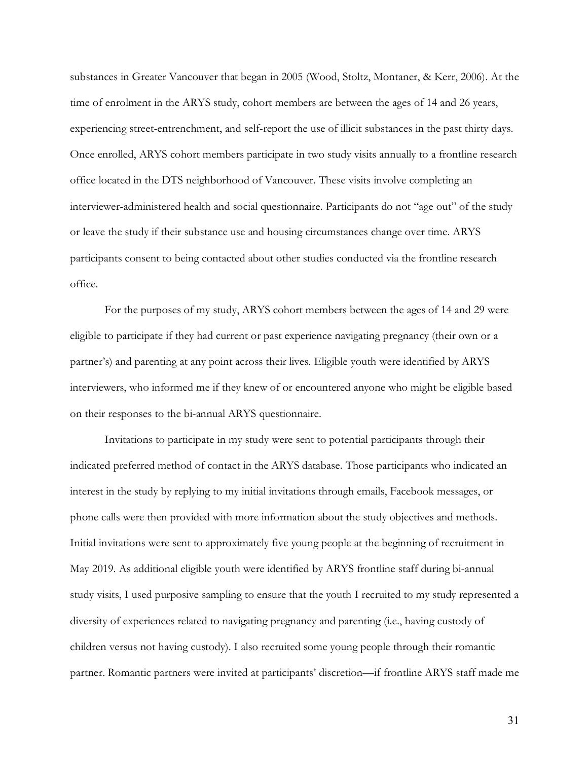substances in Greater Vancouver that began in 2005 (Wood, Stoltz, Montaner, & Kerr, 2006). At the time of enrolment in the ARYS study, cohort members are between the ages of 14 and 26 years, experiencing street-entrenchment, and self-report the use of illicit substances in the past thirty days. Once enrolled, ARYS cohort members participate in two study visits annually to a frontline research office located in the DTS neighborhood of Vancouver. These visits involve completing an interviewer-administered health and social questionnaire. Participants do not "age out" of the study or leave the study if their substance use and housing circumstances change over time. ARYS participants consent to being contacted about other studies conducted via the frontline research office.

For the purposes of my study, ARYS cohort members between the ages of 14 and 29 were eligible to participate if they had current or past experience navigating pregnancy (their own or a partner's) and parenting at any point across their lives. Eligible youth were identified by ARYS interviewers, who informed me if they knew of or encountered anyone who might be eligible based on their responses to the bi-annual ARYS questionnaire.

Invitations to participate in my study were sent to potential participants through their indicated preferred method of contact in the ARYS database. Those participants who indicated an interest in the study by replying to my initial invitations through emails, Facebook messages, or phone calls were then provided with more information about the study objectives and methods. Initial invitations were sent to approximately five young people at the beginning of recruitment in May 2019. As additional eligible youth were identified by ARYS frontline staff during bi-annual study visits, I used purposive sampling to ensure that the youth I recruited to my study represented a diversity of experiences related to navigating pregnancy and parenting (i.e., having custody of children versus not having custody). I also recruited some young people through their romantic partner. Romantic partners were invited at participants' discretion—if frontline ARYS staff made me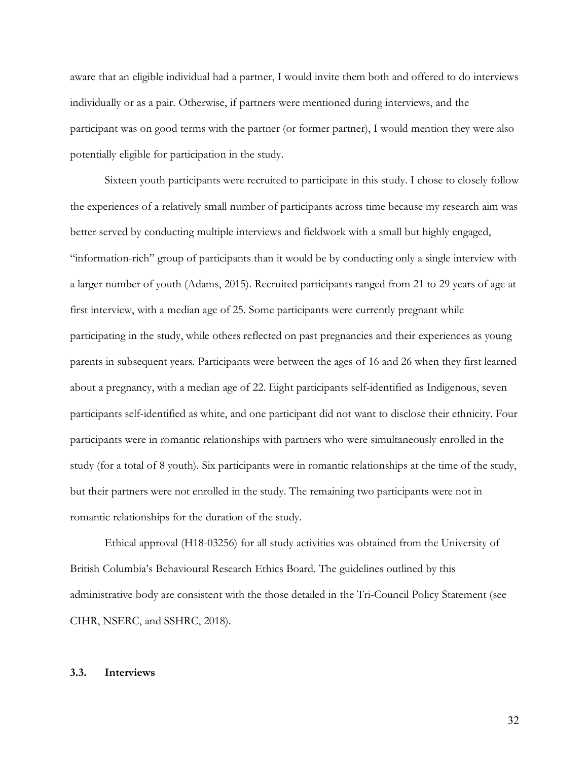aware that an eligible individual had a partner, I would invite them both and offered to do interviews individually or as a pair. Otherwise, if partners were mentioned during interviews, and the participant was on good terms with the partner (or former partner), I would mention they were also potentially eligible for participation in the study.

Sixteen youth participants were recruited to participate in this study. I chose to closely follow the experiences of a relatively small number of participants across time because my research aim was better served by conducting multiple interviews and fieldwork with a small but highly engaged, "information-rich" group of participants than it would be by conducting only a single interview with a larger number of youth (Adams, 2015). Recruited participants ranged from 21 to 29 years of age at first interview, with a median age of 25. Some participants were currently pregnant while participating in the study, while others reflected on past pregnancies and their experiences as young parents in subsequent years. Participants were between the ages of 16 and 26 when they first learned about a pregnancy, with a median age of 22. Eight participants self-identified as Indigenous, seven participants self-identified as white, and one participant did not want to disclose their ethnicity. Four participants were in romantic relationships with partners who were simultaneously enrolled in the study (for a total of 8 youth). Six participants were in romantic relationships at the time of the study, but their partners were not enrolled in the study. The remaining two participants were not in romantic relationships for the duration of the study.

Ethical approval (H18-03256) for all study activities was obtained from the University of British Columbia's Behavioural Research Ethics Board. The guidelines outlined by this administrative body are consistent with the those detailed in the Tri-Council Policy Statement (see CIHR, NSERC, and SSHRC, 2018).

#### **3.3. Interviews**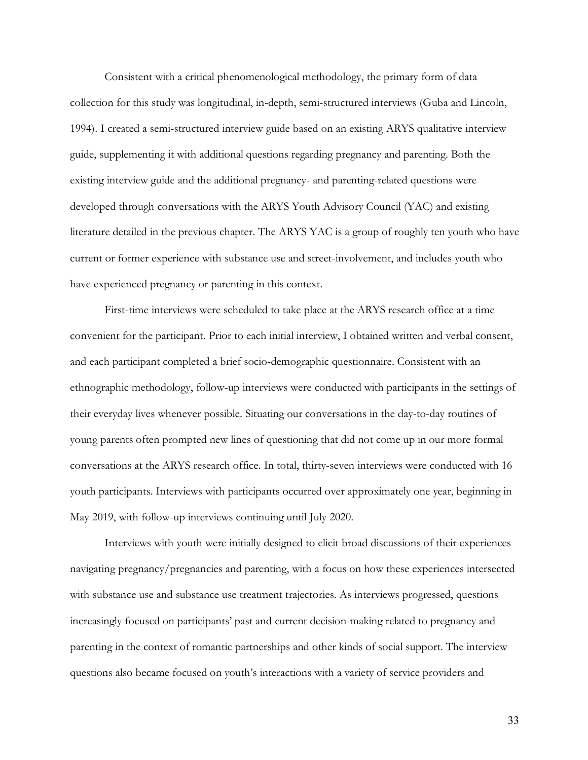Consistent with a critical phenomenological methodology, the primary form of data collection for this study was longitudinal, in-depth, semi-structured interviews (Guba and Lincoln, 1994). I created a semi-structured interview guide based on an existing ARYS qualitative interview guide, supplementing it with additional questions regarding pregnancy and parenting. Both the existing interview guide and the additional pregnancy- and parenting-related questions were developed through conversations with the ARYS Youth Advisory Council (YAC) and existing literature detailed in the previous chapter. The ARYS YAC is a group of roughly ten youth who have current or former experience with substance use and street-involvement, and includes youth who have experienced pregnancy or parenting in this context.

First-time interviews were scheduled to take place at the ARYS research office at a time convenient for the participant. Prior to each initial interview, I obtained written and verbal consent, and each participant completed a brief socio-demographic questionnaire. Consistent with an ethnographic methodology, follow-up interviews were conducted with participants in the settings of their everyday lives whenever possible. Situating our conversations in the day-to-day routines of young parents often prompted new lines of questioning that did not come up in our more formal conversations at the ARYS research office. In total, thirty-seven interviews were conducted with 16 youth participants. Interviews with participants occurred over approximately one year, beginning in May 2019, with follow-up interviews continuing until July 2020.

Interviews with youth were initially designed to elicit broad discussions of their experiences navigating pregnancy/pregnancies and parenting, with a focus on how these experiences intersected with substance use and substance use treatment trajectories. As interviews progressed, questions increasingly focused on participants' past and current decision-making related to pregnancy and parenting in the context of romantic partnerships and other kinds of social support. The interview questions also became focused on youth's interactions with a variety of service providers and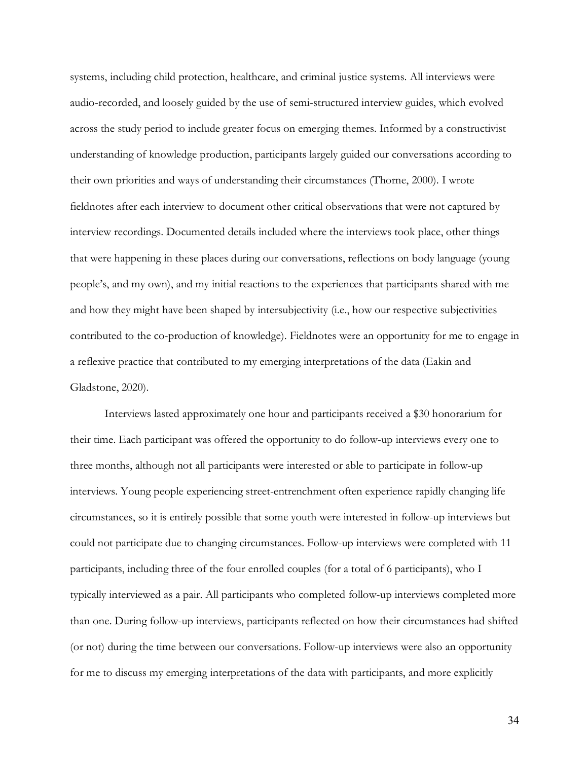systems, including child protection, healthcare, and criminal justice systems. All interviews were audio-recorded, and loosely guided by the use of semi-structured interview guides, which evolved across the study period to include greater focus on emerging themes. Informed by a constructivist understanding of knowledge production, participants largely guided our conversations according to their own priorities and ways of understanding their circumstances (Thorne, 2000). I wrote fieldnotes after each interview to document other critical observations that were not captured by interview recordings. Documented details included where the interviews took place, other things that were happening in these places during our conversations, reflections on body language (young people's, and my own), and my initial reactions to the experiences that participants shared with me and how they might have been shaped by intersubjectivity (i.e., how our respective subjectivities contributed to the co-production of knowledge). Fieldnotes were an opportunity for me to engage in a reflexive practice that contributed to my emerging interpretations of the data (Eakin and Gladstone, 2020).

Interviews lasted approximately one hour and participants received a \$30 honorarium for their time. Each participant was offered the opportunity to do follow-up interviews every one to three months, although not all participants were interested or able to participate in follow-up interviews. Young people experiencing street-entrenchment often experience rapidly changing life circumstances, so it is entirely possible that some youth were interested in follow-up interviews but could not participate due to changing circumstances. Follow-up interviews were completed with 11 participants, including three of the four enrolled couples (for a total of 6 participants), who I typically interviewed as a pair. All participants who completed follow-up interviews completed more than one. During follow-up interviews, participants reflected on how their circumstances had shifted (or not) during the time between our conversations. Follow-up interviews were also an opportunity for me to discuss my emerging interpretations of the data with participants, and more explicitly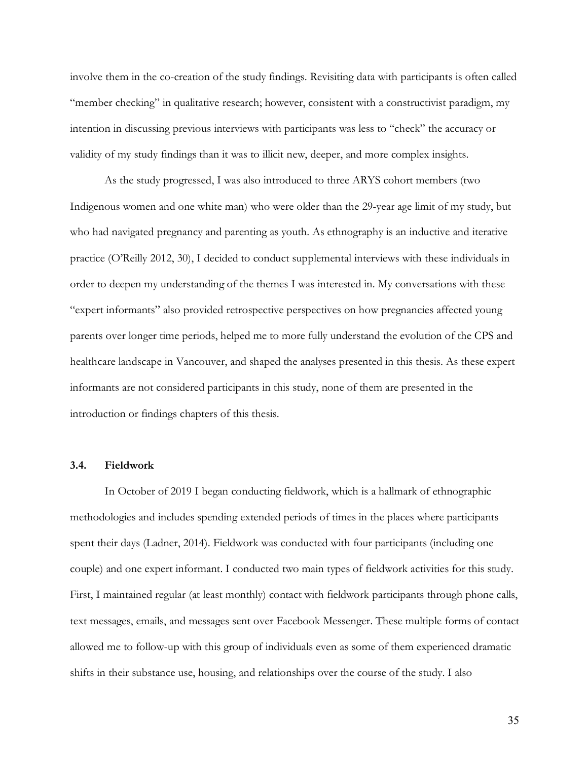involve them in the co-creation of the study findings. Revisiting data with participants is often called "member checking" in qualitative research; however, consistent with a constructivist paradigm, my intention in discussing previous interviews with participants was less to "check" the accuracy or validity of my study findings than it was to illicit new, deeper, and more complex insights.

As the study progressed, I was also introduced to three ARYS cohort members (two Indigenous women and one white man) who were older than the 29-year age limit of my study, but who had navigated pregnancy and parenting as youth. As ethnography is an inductive and iterative practice (O'Reilly 2012, 30), I decided to conduct supplemental interviews with these individuals in order to deepen my understanding of the themes I was interested in. My conversations with these "expert informants" also provided retrospective perspectives on how pregnancies affected young parents over longer time periods, helped me to more fully understand the evolution of the CPS and healthcare landscape in Vancouver, and shaped the analyses presented in this thesis. As these expert informants are not considered participants in this study, none of them are presented in the introduction or findings chapters of this thesis.

## **3.4. Fieldwork**

In October of 2019 I began conducting fieldwork, which is a hallmark of ethnographic methodologies and includes spending extended periods of times in the places where participants spent their days (Ladner, 2014). Fieldwork was conducted with four participants (including one couple) and one expert informant. I conducted two main types of fieldwork activities for this study. First, I maintained regular (at least monthly) contact with fieldwork participants through phone calls, text messages, emails, and messages sent over Facebook Messenger. These multiple forms of contact allowed me to follow-up with this group of individuals even as some of them experienced dramatic shifts in their substance use, housing, and relationships over the course of the study. I also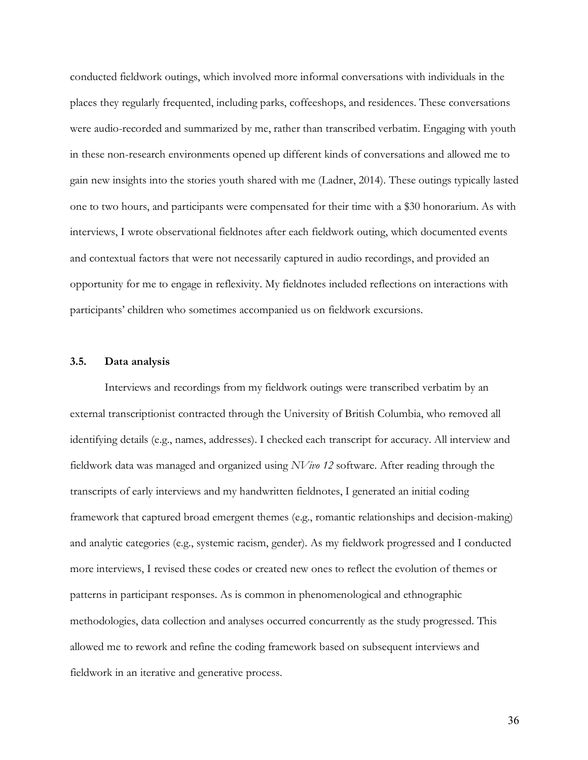conducted fieldwork outings, which involved more informal conversations with individuals in the places they regularly frequented, including parks, coffeeshops, and residences. These conversations were audio-recorded and summarized by me, rather than transcribed verbatim. Engaging with youth in these non-research environments opened up different kinds of conversations and allowed me to gain new insights into the stories youth shared with me (Ladner, 2014). These outings typically lasted one to two hours, and participants were compensated for their time with a \$30 honorarium. As with interviews, I wrote observational fieldnotes after each fieldwork outing, which documented events and contextual factors that were not necessarily captured in audio recordings, and provided an opportunity for me to engage in reflexivity. My fieldnotes included reflections on interactions with participants' children who sometimes accompanied us on fieldwork excursions.

#### **3.5. Data analysis**

Interviews and recordings from my fieldwork outings were transcribed verbatim by an external transcriptionist contracted through the University of British Columbia, who removed all identifying details (e.g., names, addresses). I checked each transcript for accuracy. All interview and fieldwork data was managed and organized using *NVivo 12* software. After reading through the transcripts of early interviews and my handwritten fieldnotes, I generated an initial coding framework that captured broad emergent themes (e.g., romantic relationships and decision-making) and analytic categories (e.g., systemic racism, gender). As my fieldwork progressed and I conducted more interviews, I revised these codes or created new ones to reflect the evolution of themes or patterns in participant responses. As is common in phenomenological and ethnographic methodologies, data collection and analyses occurred concurrently as the study progressed. This allowed me to rework and refine the coding framework based on subsequent interviews and fieldwork in an iterative and generative process.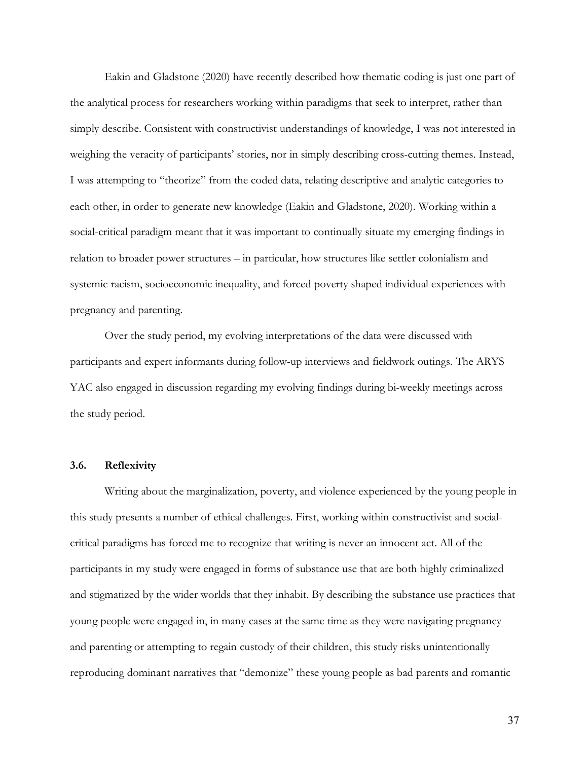Eakin and Gladstone (2020) have recently described how thematic coding is just one part of the analytical process for researchers working within paradigms that seek to interpret, rather than simply describe. Consistent with constructivist understandings of knowledge, I was not interested in weighing the veracity of participants' stories, nor in simply describing cross-cutting themes. Instead, I was attempting to "theorize" from the coded data, relating descriptive and analytic categories to each other, in order to generate new knowledge (Eakin and Gladstone, 2020). Working within a social-critical paradigm meant that it was important to continually situate my emerging findings in relation to broader power structures – in particular, how structures like settler colonialism and systemic racism, socioeconomic inequality, and forced poverty shaped individual experiences with pregnancy and parenting.

Over the study period, my evolving interpretations of the data were discussed with participants and expert informants during follow-up interviews and fieldwork outings. The ARYS YAC also engaged in discussion regarding my evolving findings during bi-weekly meetings across the study period.

## **3.6. Reflexivity**

Writing about the marginalization, poverty, and violence experienced by the young people in this study presents a number of ethical challenges. First, working within constructivist and socialcritical paradigms has forced me to recognize that writing is never an innocent act. All of the participants in my study were engaged in forms of substance use that are both highly criminalized and stigmatized by the wider worlds that they inhabit. By describing the substance use practices that young people were engaged in, in many cases at the same time as they were navigating pregnancy and parenting or attempting to regain custody of their children, this study risks unintentionally reproducing dominant narratives that "demonize" these young people as bad parents and romantic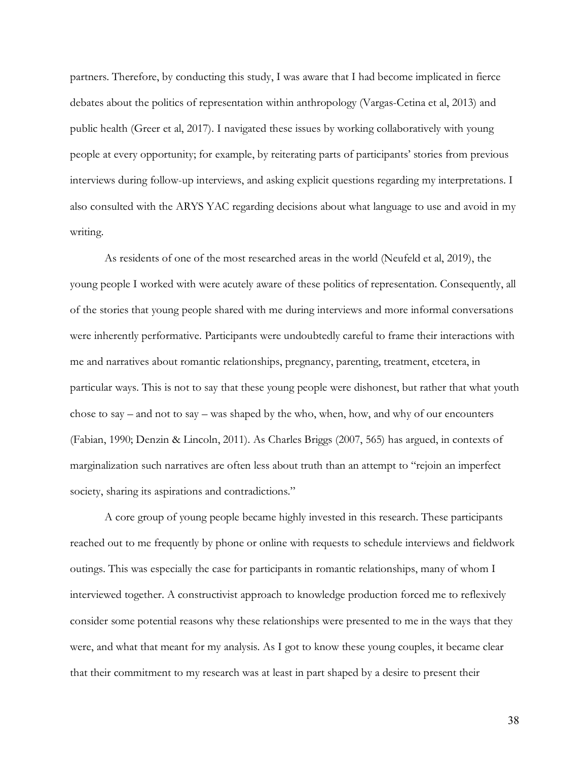partners. Therefore, by conducting this study, I was aware that I had become implicated in fierce debates about the politics of representation within anthropology (Vargas-Cetina et al, 2013) and public health (Greer et al, 2017). I navigated these issues by working collaboratively with young people at every opportunity; for example, by reiterating parts of participants' stories from previous interviews during follow-up interviews, and asking explicit questions regarding my interpretations. I also consulted with the ARYS YAC regarding decisions about what language to use and avoid in my writing.

As residents of one of the most researched areas in the world (Neufeld et al, 2019), the young people I worked with were acutely aware of these politics of representation. Consequently, all of the stories that young people shared with me during interviews and more informal conversations were inherently performative. Participants were undoubtedly careful to frame their interactions with me and narratives about romantic relationships, pregnancy, parenting, treatment, etcetera, in particular ways. This is not to say that these young people were dishonest, but rather that what youth chose to say – and not to say – was shaped by the who, when, how, and why of our encounters (Fabian, 1990; Denzin & Lincoln, 2011). As Charles Briggs (2007, 565) has argued, in contexts of marginalization such narratives are often less about truth than an attempt to "rejoin an imperfect society, sharing its aspirations and contradictions."

A core group of young people became highly invested in this research. These participants reached out to me frequently by phone or online with requests to schedule interviews and fieldwork outings. This was especially the case for participants in romantic relationships, many of whom I interviewed together. A constructivist approach to knowledge production forced me to reflexively consider some potential reasons why these relationships were presented to me in the ways that they were, and what that meant for my analysis. As I got to know these young couples, it became clear that their commitment to my research was at least in part shaped by a desire to present their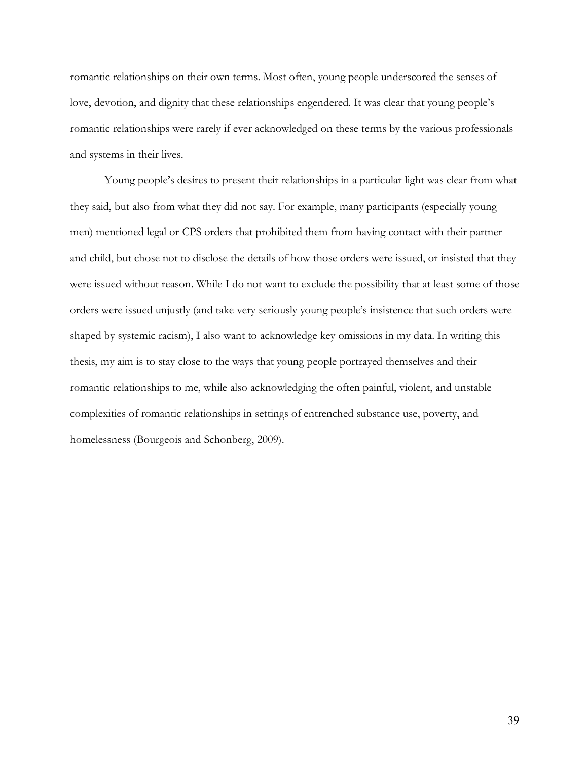romantic relationships on their own terms. Most often, young people underscored the senses of love, devotion, and dignity that these relationships engendered. It was clear that young people's romantic relationships were rarely if ever acknowledged on these terms by the various professionals and systems in their lives.

Young people's desires to present their relationships in a particular light was clear from what they said, but also from what they did not say. For example, many participants (especially young men) mentioned legal or CPS orders that prohibited them from having contact with their partner and child, but chose not to disclose the details of how those orders were issued, or insisted that they were issued without reason. While I do not want to exclude the possibility that at least some of those orders were issued unjustly (and take very seriously young people's insistence that such orders were shaped by systemic racism), I also want to acknowledge key omissions in my data. In writing this thesis, my aim is to stay close to the ways that young people portrayed themselves and their romantic relationships to me, while also acknowledging the often painful, violent, and unstable complexities of romantic relationships in settings of entrenched substance use, poverty, and homelessness (Bourgeois and Schonberg, 2009).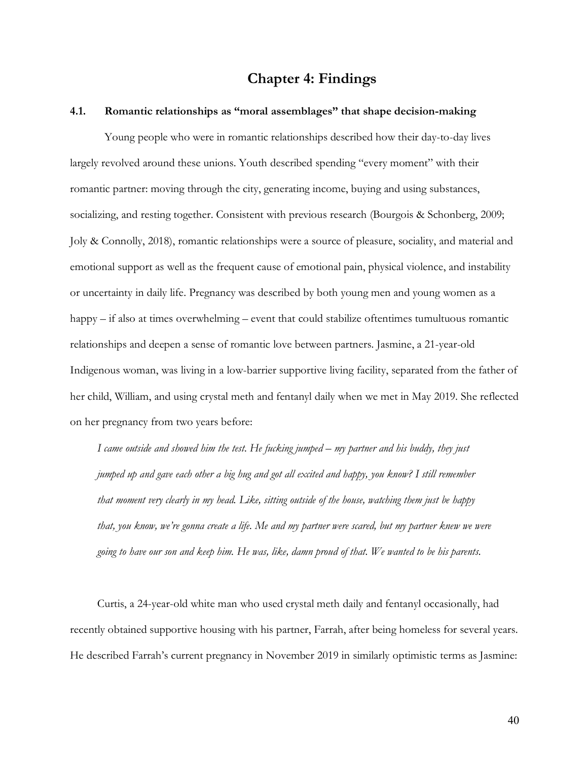## **Chapter 4: Findings**

### **4.1. Romantic relationships as "moral assemblages" that shape decision-making**

Young people who were in romantic relationships described how their day-to-day lives largely revolved around these unions. Youth described spending "every moment" with their romantic partner: moving through the city, generating income, buying and using substances, socializing, and resting together. Consistent with previous research (Bourgois & Schonberg, 2009; Joly & Connolly, 2018), romantic relationships were a source of pleasure, sociality, and material and emotional support as well as the frequent cause of emotional pain, physical violence, and instability or uncertainty in daily life. Pregnancy was described by both young men and young women as a happy – if also at times overwhelming – event that could stabilize oftentimes tumultuous romantic relationships and deepen a sense of romantic love between partners. Jasmine, a 21-year-old Indigenous woman, was living in a low-barrier supportive living facility, separated from the father of her child, William, and using crystal meth and fentanyl daily when we met in May 2019. She reflected on her pregnancy from two years before:

*I came outside and showed him the test. He fucking jumped – my partner and his buddy, they just jumped up and gave each other a big hug and got all excited and happy, you know? I still remember that moment very clearly in my head. Like, sitting outside of the house, watching them just be happy that, you know, we're gonna create a life. Me and my partner were scared, but my partner knew we were going to have our son and keep him. He was, like, damn proud of that. We wanted to be his parents.*

Curtis, a 24-year-old white man who used crystal meth daily and fentanyl occasionally, had recently obtained supportive housing with his partner, Farrah, after being homeless for several years. He described Farrah's current pregnancy in November 2019 in similarly optimistic terms as Jasmine: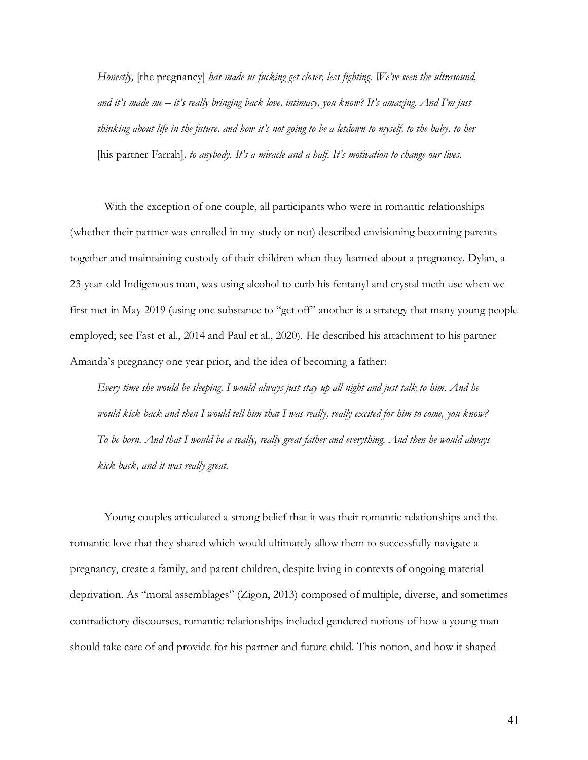*Honestly,* [the pregnancy] *has made us fucking get closer, less fighting. We've seen the ultrasound, and it's made me – it's really bringing back love, intimacy, you know? It's amazing. And I'm just thinking about life in the future, and how it's not going to be a letdown to myself, to the baby, to her*  [his partner Farrah]*, to anybody. It's a miracle and a half. It's motivation to change our lives.*

With the exception of one couple, all participants who were in romantic relationships (whether their partner was enrolled in my study or not) described envisioning becoming parents together and maintaining custody of their children when they learned about a pregnancy. Dylan, a 23-year-old Indigenous man, was using alcohol to curb his fentanyl and crystal meth use when we first met in May 2019 (using one substance to "get off" another is a strategy that many young people employed; see Fast et al., 2014 and Paul et al., 2020). He described his attachment to his partner Amanda's pregnancy one year prior, and the idea of becoming a father:

*Every time she would be sleeping, I would always just stay up all night and just talk to him. And he would kick back and then I would tell him that I was really, really excited for him to come, you know? To be born. And that I would be a really, really great father and everything. And then he would always kick back, and it was really great.* 

Young couples articulated a strong belief that it was their romantic relationships and the romantic love that they shared which would ultimately allow them to successfully navigate a pregnancy, create a family, and parent children, despite living in contexts of ongoing material deprivation. As "moral assemblages" (Zigon, 2013) composed of multiple, diverse, and sometimes contradictory discourses, romantic relationships included gendered notions of how a young man should take care of and provide for his partner and future child. This notion, and how it shaped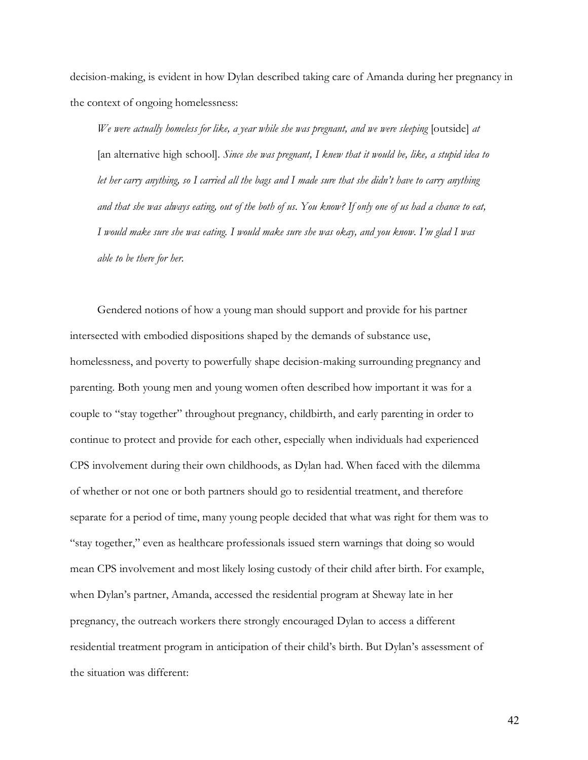decision-making, is evident in how Dylan described taking care of Amanda during her pregnancy in the context of ongoing homelessness:

*We were actually homeless for like, a year while she was pregnant, and we were sleeping* [outside] *at*  [an alternative high school]*. Since she was pregnant, I knew that it would be, like, a stupid idea to let her carry anything, so I carried all the bags and I made sure that she didn't have to carry anything and that she was always eating, out of the both of us. You know? If only one of us had a chance to eat, I would make sure she was eating. I would make sure she was okay, and you know. I'm glad I was able to be there for her.*

Gendered notions of how a young man should support and provide for his partner intersected with embodied dispositions shaped by the demands of substance use, homelessness, and poverty to powerfully shape decision-making surrounding pregnancy and parenting. Both young men and young women often described how important it was for a couple to "stay together" throughout pregnancy, childbirth, and early parenting in order to continue to protect and provide for each other, especially when individuals had experienced CPS involvement during their own childhoods, as Dylan had. When faced with the dilemma of whether or not one or both partners should go to residential treatment, and therefore separate for a period of time, many young people decided that what was right for them was to "stay together," even as healthcare professionals issued stern warnings that doing so would mean CPS involvement and most likely losing custody of their child after birth. For example, when Dylan's partner, Amanda, accessed the residential program at Sheway late in her pregnancy, the outreach workers there strongly encouraged Dylan to access a different residential treatment program in anticipation of their child's birth. But Dylan's assessment of the situation was different: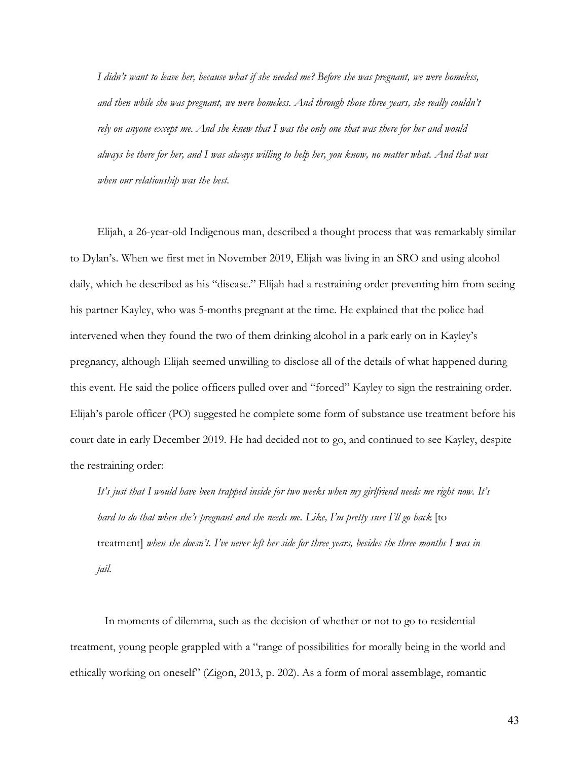*I didn't want to leave her, because what if she needed me? Before she was pregnant, we were homeless, and then while she was pregnant, we were homeless. And through those three years, she really couldn't rely on anyone except me. And she knew that I was the only one that was there for her and would always be there for her, and I was always willing to help her, you know, no matter what. And that was when our relationship was the best.* 

Elijah, a 26-year-old Indigenous man, described a thought process that was remarkably similar to Dylan's. When we first met in November 2019, Elijah was living in an SRO and using alcohol daily, which he described as his "disease." Elijah had a restraining order preventing him from seeing his partner Kayley, who was 5-months pregnant at the time. He explained that the police had intervened when they found the two of them drinking alcohol in a park early on in Kayley's pregnancy, although Elijah seemed unwilling to disclose all of the details of what happened during this event. He said the police officers pulled over and "forced" Kayley to sign the restraining order. Elijah's parole officer (PO) suggested he complete some form of substance use treatment before his court date in early December 2019. He had decided not to go, and continued to see Kayley, despite the restraining order:

*It's just that I would have been trapped inside for two weeks when my girlfriend needs me right now. It's hard to do that when she's pregnant and she needs me. Like, I'm pretty sure I'll go back* [to treatment] *when she doesn't. I've never left her side for three years, besides the three months I was in jail.* 

In moments of dilemma, such as the decision of whether or not to go to residential treatment, young people grappled with a "range of possibilities for morally being in the world and ethically working on oneself" (Zigon, 2013, p. 202). As a form of moral assemblage, romantic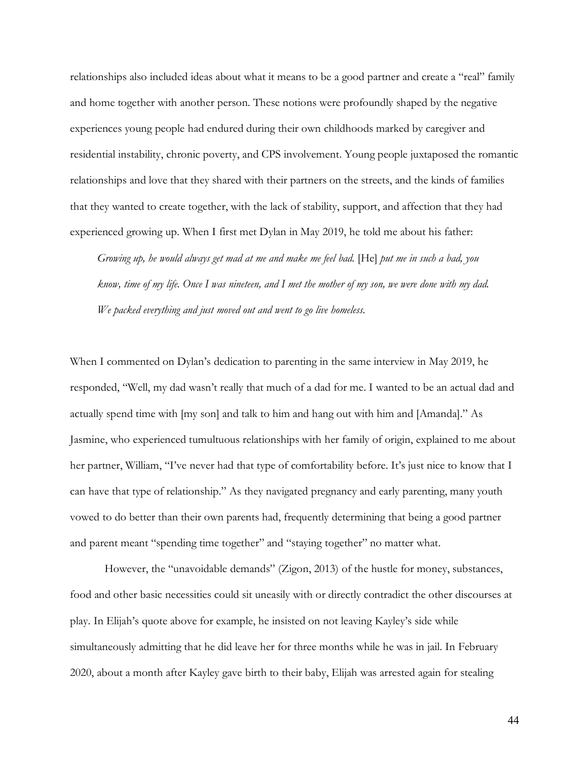relationships also included ideas about what it means to be a good partner and create a "real" family and home together with another person. These notions were profoundly shaped by the negative experiences young people had endured during their own childhoods marked by caregiver and residential instability, chronic poverty, and CPS involvement. Young people juxtaposed the romantic relationships and love that they shared with their partners on the streets, and the kinds of families that they wanted to create together, with the lack of stability, support, and affection that they had experienced growing up. When I first met Dylan in May 2019, he told me about his father:

*Growing up, he would always get mad at me and make me feel bad.* [He] *put me in such a bad, you know, time of my life. Once I was nineteen, and I met the mother of my son, we were done with my dad. We packed everything and just moved out and went to go live homeless.*

When I commented on Dylan's dedication to parenting in the same interview in May 2019, he responded, "Well, my dad wasn't really that much of a dad for me. I wanted to be an actual dad and actually spend time with [my son] and talk to him and hang out with him and [Amanda]." As Jasmine, who experienced tumultuous relationships with her family of origin, explained to me about her partner, William, "I've never had that type of comfortability before. It's just nice to know that I can have that type of relationship." As they navigated pregnancy and early parenting, many youth vowed to do better than their own parents had, frequently determining that being a good partner and parent meant "spending time together" and "staying together" no matter what.

However, the "unavoidable demands" (Zigon, 2013) of the hustle for money, substances, food and other basic necessities could sit uneasily with or directly contradict the other discourses at play. In Elijah's quote above for example, he insisted on not leaving Kayley's side while simultaneously admitting that he did leave her for three months while he was in jail. In February 2020, about a month after Kayley gave birth to their baby, Elijah was arrested again for stealing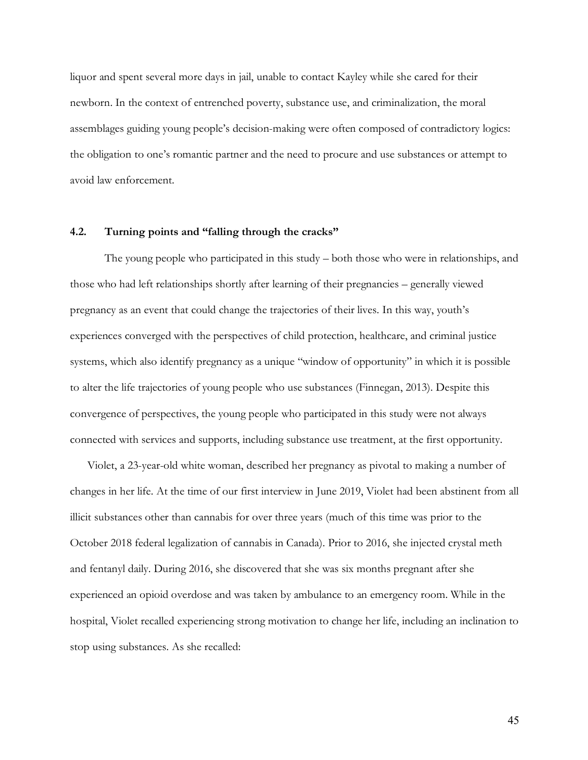liquor and spent several more days in jail, unable to contact Kayley while she cared for their newborn. In the context of entrenched poverty, substance use, and criminalization, the moral assemblages guiding young people's decision-making were often composed of contradictory logics: the obligation to one's romantic partner and the need to procure and use substances or attempt to avoid law enforcement.

## **4.2. Turning points and "falling through the cracks"**

The young people who participated in this study – both those who were in relationships, and those who had left relationships shortly after learning of their pregnancies – generally viewed pregnancy as an event that could change the trajectories of their lives. In this way, youth's experiences converged with the perspectives of child protection, healthcare, and criminal justice systems, which also identify pregnancy as a unique "window of opportunity" in which it is possible to alter the life trajectories of young people who use substances (Finnegan, 2013). Despite this convergence of perspectives, the young people who participated in this study were not always connected with services and supports, including substance use treatment, at the first opportunity.

Violet, a 23-year-old white woman, described her pregnancy as pivotal to making a number of changes in her life. At the time of our first interview in June 2019, Violet had been abstinent from all illicit substances other than cannabis for over three years (much of this time was prior to the October 2018 federal legalization of cannabis in Canada). Prior to 2016, she injected crystal meth and fentanyl daily. During 2016, she discovered that she was six months pregnant after she experienced an opioid overdose and was taken by ambulance to an emergency room. While in the hospital, Violet recalled experiencing strong motivation to change her life, including an inclination to stop using substances. As she recalled: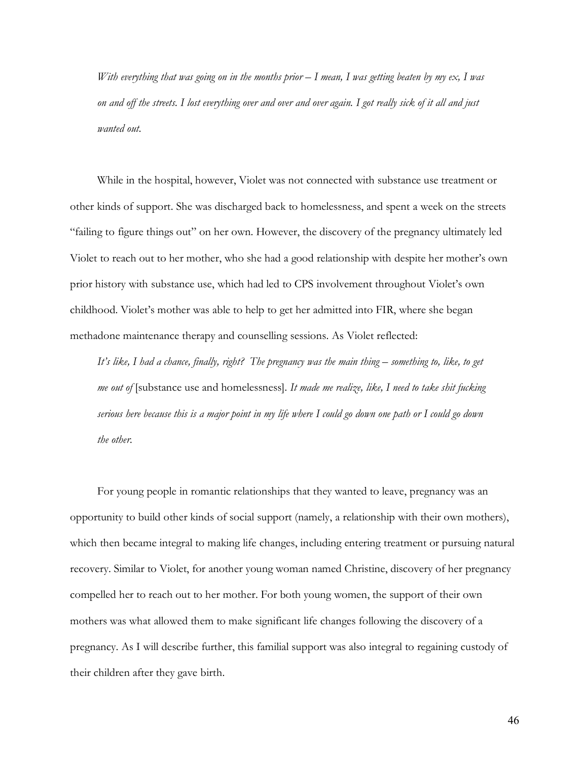*With everything that was going on in the months prior – I mean, I was getting beaten by my ex, I was on and off the streets. I lost everything over and over and over again. I got really sick of it all and just wanted out.*

While in the hospital, however, Violet was not connected with substance use treatment or other kinds of support. She was discharged back to homelessness, and spent a week on the streets "failing to figure things out" on her own. However, the discovery of the pregnancy ultimately led Violet to reach out to her mother, who she had a good relationship with despite her mother's own prior history with substance use, which had led to CPS involvement throughout Violet's own childhood. Violet's mother was able to help to get her admitted into FIR, where she began methadone maintenance therapy and counselling sessions. As Violet reflected:

*It's like, I had a chance, finally, right? The pregnancy was the main thing – something to, like, to get me out of* [substance use and homelessness]*. It made me realize, like, I need to take shit fucking serious here because this is a major point in my life where I could go down one path or I could go down the other.* 

For young people in romantic relationships that they wanted to leave, pregnancy was an opportunity to build other kinds of social support (namely, a relationship with their own mothers), which then became integral to making life changes, including entering treatment or pursuing natural recovery. Similar to Violet, for another young woman named Christine, discovery of her pregnancy compelled her to reach out to her mother. For both young women, the support of their own mothers was what allowed them to make significant life changes following the discovery of a pregnancy. As I will describe further, this familial support was also integral to regaining custody of their children after they gave birth.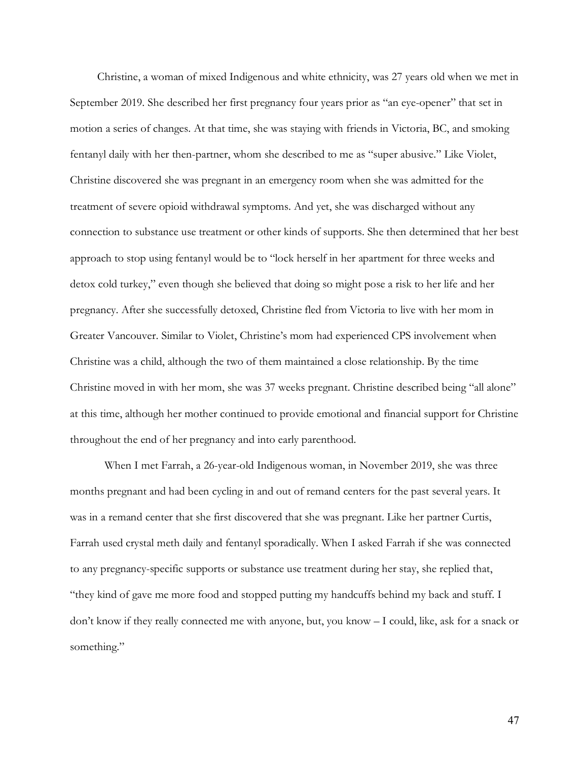Christine, a woman of mixed Indigenous and white ethnicity, was 27 years old when we met in September 2019. She described her first pregnancy four years prior as "an eye-opener" that set in motion a series of changes. At that time, she was staying with friends in Victoria, BC, and smoking fentanyl daily with her then-partner, whom she described to me as "super abusive." Like Violet, Christine discovered she was pregnant in an emergency room when she was admitted for the treatment of severe opioid withdrawal symptoms. And yet, she was discharged without any connection to substance use treatment or other kinds of supports. She then determined that her best approach to stop using fentanyl would be to "lock herself in her apartment for three weeks and detox cold turkey," even though she believed that doing so might pose a risk to her life and her pregnancy. After she successfully detoxed, Christine fled from Victoria to live with her mom in Greater Vancouver. Similar to Violet, Christine's mom had experienced CPS involvement when Christine was a child, although the two of them maintained a close relationship. By the time Christine moved in with her mom, she was 37 weeks pregnant. Christine described being "all alone" at this time, although her mother continued to provide emotional and financial support for Christine throughout the end of her pregnancy and into early parenthood.

When I met Farrah, a 26-year-old Indigenous woman, in November 2019, she was three months pregnant and had been cycling in and out of remand centers for the past several years. It was in a remand center that she first discovered that she was pregnant. Like her partner Curtis, Farrah used crystal meth daily and fentanyl sporadically. When I asked Farrah if she was connected to any pregnancy-specific supports or substance use treatment during her stay, she replied that, "they kind of gave me more food and stopped putting my handcuffs behind my back and stuff. I don't know if they really connected me with anyone, but, you know – I could, like, ask for a snack or something."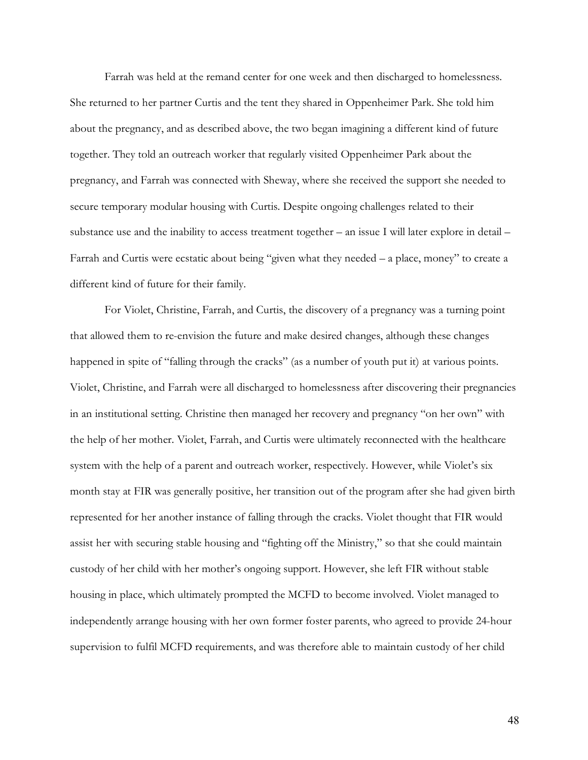Farrah was held at the remand center for one week and then discharged to homelessness. She returned to her partner Curtis and the tent they shared in Oppenheimer Park. She told him about the pregnancy, and as described above, the two began imagining a different kind of future together. They told an outreach worker that regularly visited Oppenheimer Park about the pregnancy, and Farrah was connected with Sheway, where she received the support she needed to secure temporary modular housing with Curtis. Despite ongoing challenges related to their substance use and the inability to access treatment together – an issue I will later explore in detail – Farrah and Curtis were ecstatic about being "given what they needed – a place, money" to create a different kind of future for their family.

For Violet, Christine, Farrah, and Curtis, the discovery of a pregnancy was a turning point that allowed them to re-envision the future and make desired changes, although these changes happened in spite of "falling through the cracks" (as a number of youth put it) at various points. Violet, Christine, and Farrah were all discharged to homelessness after discovering their pregnancies in an institutional setting. Christine then managed her recovery and pregnancy "on her own" with the help of her mother. Violet, Farrah, and Curtis were ultimately reconnected with the healthcare system with the help of a parent and outreach worker, respectively. However, while Violet's six month stay at FIR was generally positive, her transition out of the program after she had given birth represented for her another instance of falling through the cracks. Violet thought that FIR would assist her with securing stable housing and "fighting off the Ministry," so that she could maintain custody of her child with her mother's ongoing support. However, she left FIR without stable housing in place, which ultimately prompted the MCFD to become involved. Violet managed to independently arrange housing with her own former foster parents, who agreed to provide 24-hour supervision to fulfil MCFD requirements, and was therefore able to maintain custody of her child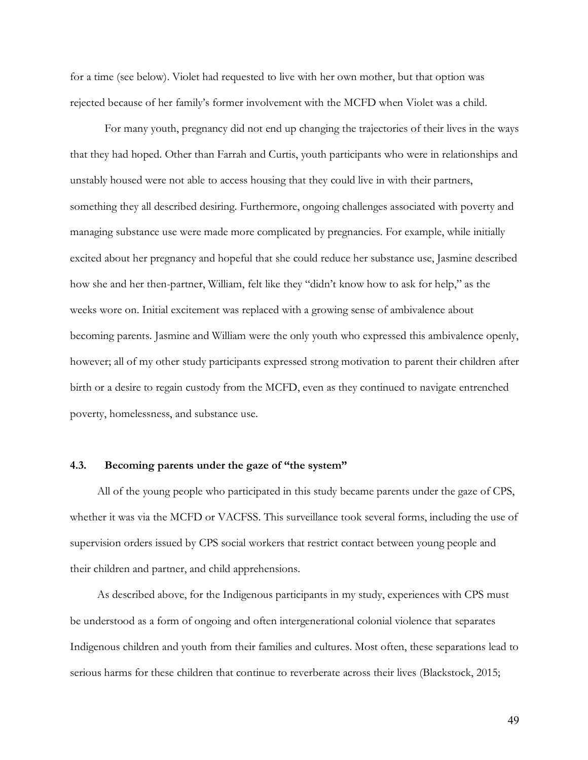for a time (see below). Violet had requested to live with her own mother, but that option was rejected because of her family's former involvement with the MCFD when Violet was a child.

For many youth, pregnancy did not end up changing the trajectories of their lives in the ways that they had hoped. Other than Farrah and Curtis, youth participants who were in relationships and unstably housed were not able to access housing that they could live in with their partners, something they all described desiring. Furthermore, ongoing challenges associated with poverty and managing substance use were made more complicated by pregnancies. For example, while initially excited about her pregnancy and hopeful that she could reduce her substance use, Jasmine described how she and her then-partner, William, felt like they "didn't know how to ask for help," as the weeks wore on. Initial excitement was replaced with a growing sense of ambivalence about becoming parents. Jasmine and William were the only youth who expressed this ambivalence openly, however; all of my other study participants expressed strong motivation to parent their children after birth or a desire to regain custody from the MCFD, even as they continued to navigate entrenched poverty, homelessness, and substance use.

#### **4.3. Becoming parents under the gaze of "the system"**

All of the young people who participated in this study became parents under the gaze of CPS, whether it was via the MCFD or VACFSS. This surveillance took several forms, including the use of supervision orders issued by CPS social workers that restrict contact between young people and their children and partner, and child apprehensions.

As described above, for the Indigenous participants in my study, experiences with CPS must be understood as a form of ongoing and often intergenerational colonial violence that separates Indigenous children and youth from their families and cultures. Most often, these separations lead to serious harms for these children that continue to reverberate across their lives (Blackstock, 2015;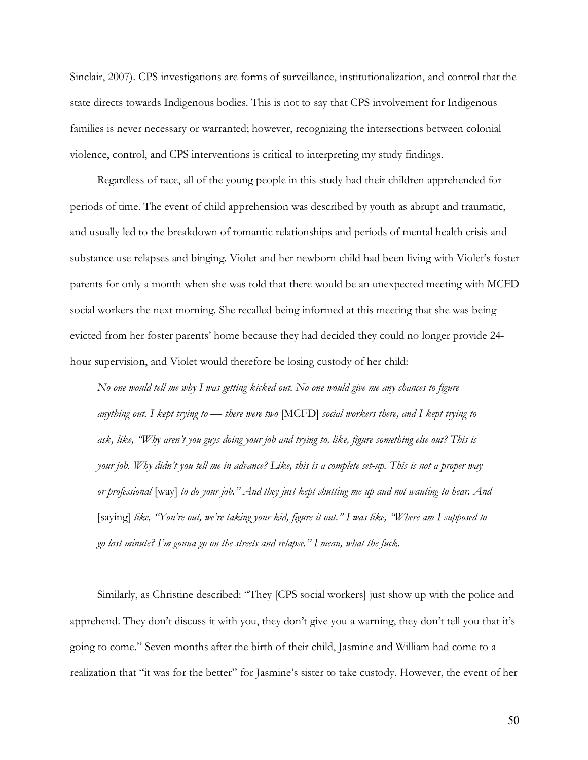Sinclair, 2007). CPS investigations are forms of surveillance, institutionalization, and control that the state directs towards Indigenous bodies. This is not to say that CPS involvement for Indigenous families is never necessary or warranted; however, recognizing the intersections between colonial violence, control, and CPS interventions is critical to interpreting my study findings.

Regardless of race, all of the young people in this study had their children apprehended for periods of time. The event of child apprehension was described by youth as abrupt and traumatic, and usually led to the breakdown of romantic relationships and periods of mental health crisis and substance use relapses and binging. Violet and her newborn child had been living with Violet's foster parents for only a month when she was told that there would be an unexpected meeting with MCFD social workers the next morning. She recalled being informed at this meeting that she was being evicted from her foster parents' home because they had decided they could no longer provide 24 hour supervision, and Violet would therefore be losing custody of her child:

*No one would tell me why I was getting kicked out. No one would give me any chances to figure anything out. I kept trying to — there were two* [MCFD] *social workers there, and I kept trying to ask, like, "Why aren't you guys doing your job and trying to, like, figure something else out? This is your job. Why didn't you tell me in advance? Like, this is a complete set-up. This is not a proper way or professional* [way] *to do your job." And they just kept shutting me up and not wanting to hear. And*  [saying] *like, "You're out, we're taking your kid, figure it out." I was like, "Where am I supposed to go last minute? I'm gonna go on the streets and relapse." I mean, what the fuck.* 

Similarly, as Christine described: "They [CPS social workers] just show up with the police and apprehend. They don't discuss it with you, they don't give you a warning, they don't tell you that it's going to come." Seven months after the birth of their child, Jasmine and William had come to a realization that "it was for the better" for Jasmine's sister to take custody. However, the event of her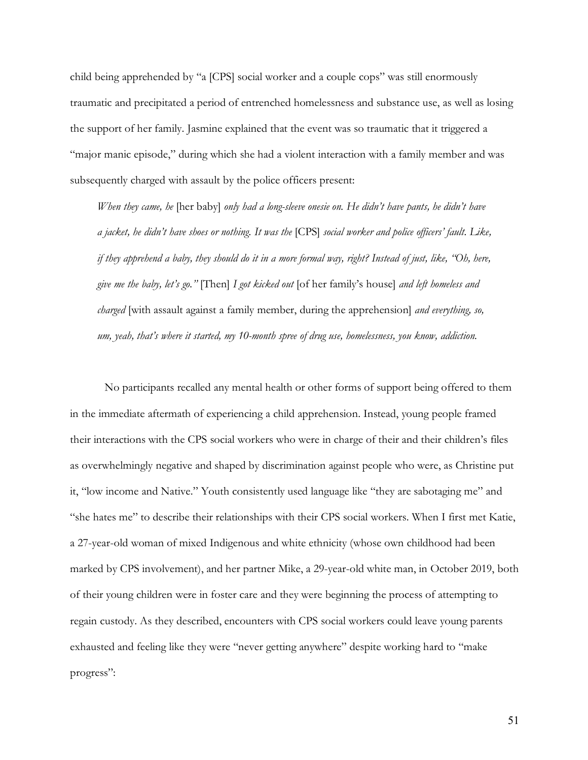child being apprehended by "a [CPS] social worker and a couple cops" was still enormously traumatic and precipitated a period of entrenched homelessness and substance use, as well as losing the support of her family. Jasmine explained that the event was so traumatic that it triggered a "major manic episode," during which she had a violent interaction with a family member and was subsequently charged with assault by the police officers present:

*When they came, he* [her baby] *only had a long-sleeve onesie on. He didn't have pants, he didn't have a jacket, he didn't have shoes or nothing. It was the* [CPS] *social worker and police officers' fault. Like, if they apprehend a baby, they should do it in a more formal way, right? Instead of just, like, "Oh, here, give me the baby, let's go."* [Then] *I got kicked out* [of her family's house] *and left homeless and charged* [with assault against a family member, during the apprehension] *and everything, so, um, yeah, that's where it started, my 10-month spree of drug use, homelessness, you know, addiction.*

No participants recalled any mental health or other forms of support being offered to them in the immediate aftermath of experiencing a child apprehension. Instead, young people framed their interactions with the CPS social workers who were in charge of their and their children's files as overwhelmingly negative and shaped by discrimination against people who were, as Christine put it, "low income and Native." Youth consistently used language like "they are sabotaging me" and "she hates me" to describe their relationships with their CPS social workers. When I first met Katie, a 27-year-old woman of mixed Indigenous and white ethnicity (whose own childhood had been marked by CPS involvement), and her partner Mike, a 29-year-old white man, in October 2019, both of their young children were in foster care and they were beginning the process of attempting to regain custody. As they described, encounters with CPS social workers could leave young parents exhausted and feeling like they were "never getting anywhere" despite working hard to "make progress":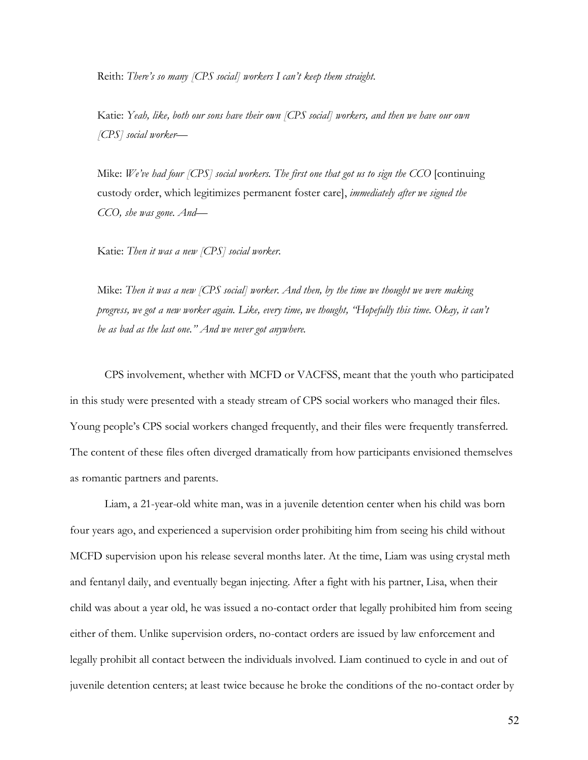Reith: *There's so many [CPS social] workers I can't keep them straight.*

Katie: *Yeah, like, both our sons have their own [CPS social] workers, and then we have our own [CPS] social worker—*

Mike: *We've had four [CPS] social workers. The first one that got us to sign the CCO* [continuing] custody order, which legitimizes permanent foster care], *immediately after we signed the CCO, she was gone. And—*

Katie: *Then it was a new [CPS] social worker.* 

Mike: *Then it was a new [CPS social] worker. And then, by the time we thought we were making progress, we got a new worker again. Like, every time, we thought, "Hopefully this time. Okay, it can't be as bad as the last one." And we never got anywhere.* 

CPS involvement, whether with MCFD or VACFSS, meant that the youth who participated in this study were presented with a steady stream of CPS social workers who managed their files. Young people's CPS social workers changed frequently, and their files were frequently transferred. The content of these files often diverged dramatically from how participants envisioned themselves as romantic partners and parents.

Liam, a 21-year-old white man, was in a juvenile detention center when his child was born four years ago, and experienced a supervision order prohibiting him from seeing his child without MCFD supervision upon his release several months later. At the time, Liam was using crystal meth and fentanyl daily, and eventually began injecting. After a fight with his partner, Lisa, when their child was about a year old, he was issued a no-contact order that legally prohibited him from seeing either of them. Unlike supervision orders, no-contact orders are issued by law enforcement and legally prohibit all contact between the individuals involved. Liam continued to cycle in and out of juvenile detention centers; at least twice because he broke the conditions of the no-contact order by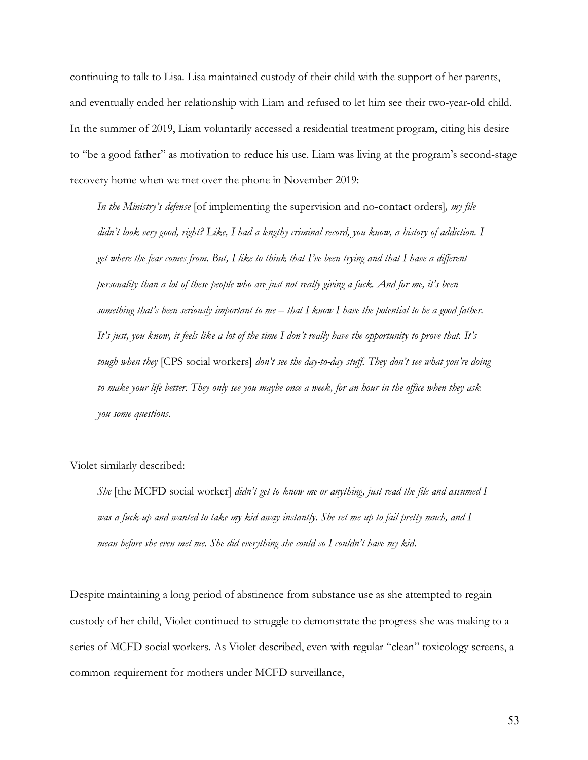continuing to talk to Lisa. Lisa maintained custody of their child with the support of her parents, and eventually ended her relationship with Liam and refused to let him see their two-year-old child. In the summer of 2019, Liam voluntarily accessed a residential treatment program, citing his desire to "be a good father" as motivation to reduce his use. Liam was living at the program's second-stage recovery home when we met over the phone in November 2019:

*In the Ministry's defense* [of implementing the supervision and no-contact orders]*, my file didn't look very good, right? Like, I had a lengthy criminal record, you know, a history of addiction. I get where the fear comes from. But, I like to think that I've been trying and that I have a different personality than a lot of these people who are just not really giving a fuck. And for me, it's been something that's been seriously important to me – that I know I have the potential to be a good father. It's just, you know, it feels like a lot of the time I don't really have the opportunity to prove that. It's tough when they* [CPS social workers] *don't see the day-to-day stuff. They don't see what you're doing to make your life better. They only see you maybe once a week, for an hour in the office when they ask you some questions.*

Violet similarly described:

*She* [the MCFD social worker] *didn't get to know me or anything, just read the file and assumed I was a fuck-up and wanted to take my kid away instantly. She set me up to fail pretty much, and I mean before she even met me. She did everything she could so I couldn't have my kid*.

Despite maintaining a long period of abstinence from substance use as she attempted to regain custody of her child, Violet continued to struggle to demonstrate the progress she was making to a series of MCFD social workers. As Violet described, even with regular "clean" toxicology screens, a common requirement for mothers under MCFD surveillance,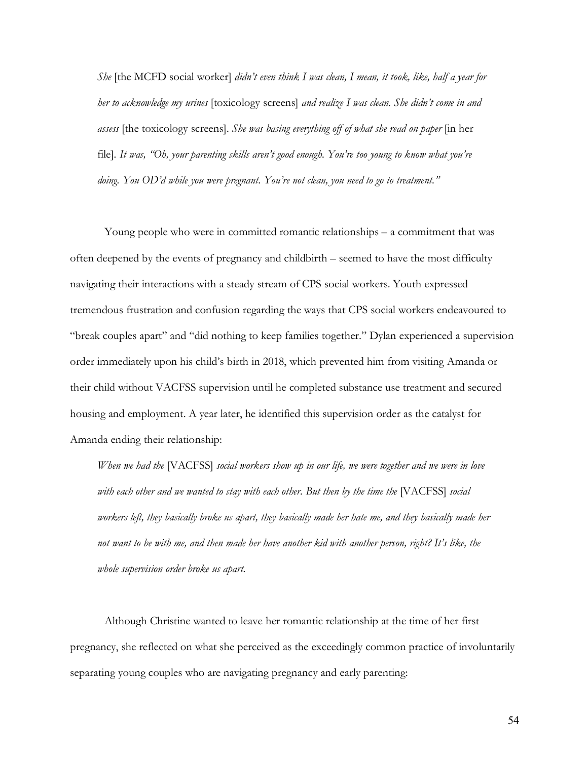*She* [the MCFD social worker] *didn't even think I was clean, I mean, it took, like, half a year for her to acknowledge my urines* [toxicology screens] *and realize I was clean. She didn't come in and assess* [the toxicology screens]*. She was basing everything off of what she read on paper* [in her file]*. It was, "Oh, your parenting skills aren't good enough. You're too young to know what you're doing. You OD'd while you were pregnant. You're not clean, you need to go to treatment."* 

Young people who were in committed romantic relationships – a commitment that was often deepened by the events of pregnancy and childbirth – seemed to have the most difficulty navigating their interactions with a steady stream of CPS social workers. Youth expressed tremendous frustration and confusion regarding the ways that CPS social workers endeavoured to "break couples apart" and "did nothing to keep families together." Dylan experienced a supervision order immediately upon his child's birth in 2018, which prevented him from visiting Amanda or their child without VACFSS supervision until he completed substance use treatment and secured housing and employment. A year later, he identified this supervision order as the catalyst for Amanda ending their relationship:

*When we had the* [VACFSS] *social workers show up in our life, we were together and we were in love with each other and we wanted to stay with each other. But then by the time the* [VACFSS] *social workers left, they basically broke us apart, they basically made her hate me, and they basically made her not want to be with me, and then made her have another kid with another person, right? It's like, the whole supervision order broke us apart.* 

Although Christine wanted to leave her romantic relationship at the time of her first pregnancy, she reflected on what she perceived as the exceedingly common practice of involuntarily separating young couples who are navigating pregnancy and early parenting: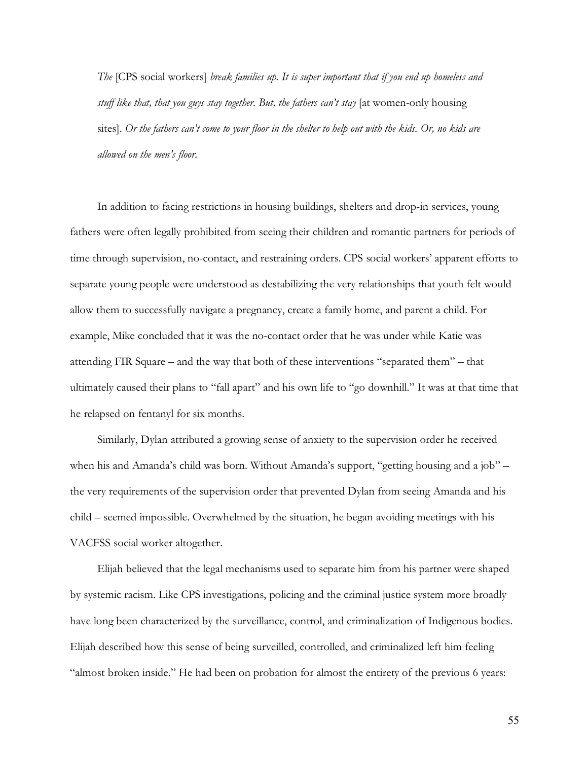*The* [CPS social workers] *break families up. It is super important that if you end up homeless and stuff like that, that you guys stay together. But, the fathers can't stay* [at women-only housing sites]. *Or the fathers can't come to your floor in the shelter to help out with the kids. Or, no kids are allowed on the men's floor.* 

In addition to facing restrictions in housing buildings, shelters and drop-in services, young fathers were often legally prohibited from seeing their children and romantic partners for periods of time through supervision, no-contact, and restraining orders. CPS social workers' apparent efforts to separate young people were understood as destabilizing the very relationships that youth felt would allow them to successfully navigate a pregnancy, create a family home, and parent a child. For example, Mike concluded that it was the no-contact order that he was under while Katie was attending FIR Square – and the way that both of these interventions "separated them" – that ultimately caused their plans to "fall apart" and his own life to "go downhill." It was at that time that he relapsed on fentanyl for six months.

Similarly, Dylan attributed a growing sense of anxiety to the supervision order he received when his and Amanda's child was born. Without Amanda's support, "getting housing and a job" – the very requirements of the supervision order that prevented Dylan from seeing Amanda and his child – seemed impossible. Overwhelmed by the situation, he began avoiding meetings with his VACFSS social worker altogether.

Elijah believed that the legal mechanisms used to separate him from his partner were shaped by systemic racism. Like CPS investigations, policing and the criminal justice system more broadly have long been characterized by the surveillance, control, and criminalization of Indigenous bodies. Elijah described how this sense of being surveilled, controlled, and criminalized left him feeling "almost broken inside." He had been on probation for almost the entirety of the previous 6 years: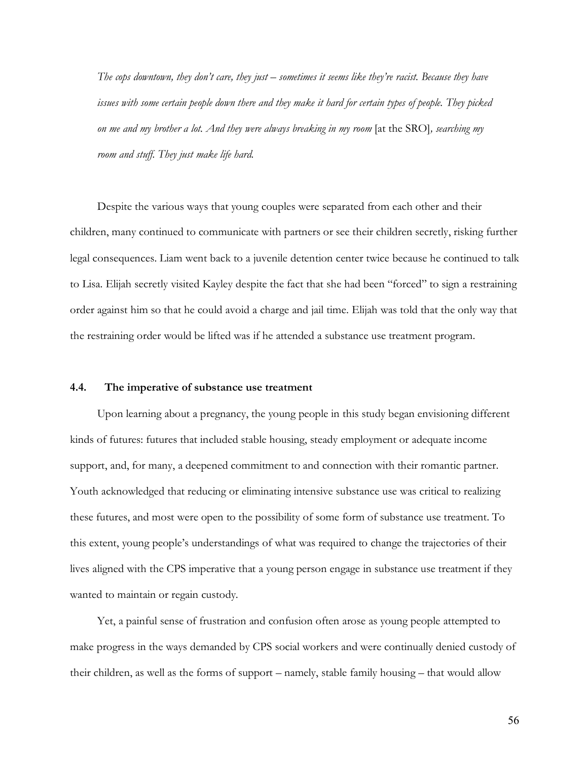*The cops downtown, they don't care, they just – sometimes it seems like they're racist. Because they have issues with some certain people down there and they make it hard for certain types of people. They picked on me and my brother a lot. And they were always breaking in my room* [at the SRO]*, searching my room and stuff. They just make life hard.* 

Despite the various ways that young couples were separated from each other and their children, many continued to communicate with partners or see their children secretly, risking further legal consequences. Liam went back to a juvenile detention center twice because he continued to talk to Lisa. Elijah secretly visited Kayley despite the fact that she had been "forced" to sign a restraining order against him so that he could avoid a charge and jail time. Elijah was told that the only way that the restraining order would be lifted was if he attended a substance use treatment program.

#### **4.4. The imperative of substance use treatment**

Upon learning about a pregnancy, the young people in this study began envisioning different kinds of futures: futures that included stable housing, steady employment or adequate income support, and, for many, a deepened commitment to and connection with their romantic partner. Youth acknowledged that reducing or eliminating intensive substance use was critical to realizing these futures, and most were open to the possibility of some form of substance use treatment. To this extent, young people's understandings of what was required to change the trajectories of their lives aligned with the CPS imperative that a young person engage in substance use treatment if they wanted to maintain or regain custody.

Yet, a painful sense of frustration and confusion often arose as young people attempted to make progress in the ways demanded by CPS social workers and were continually denied custody of their children, as well as the forms of support – namely, stable family housing – that would allow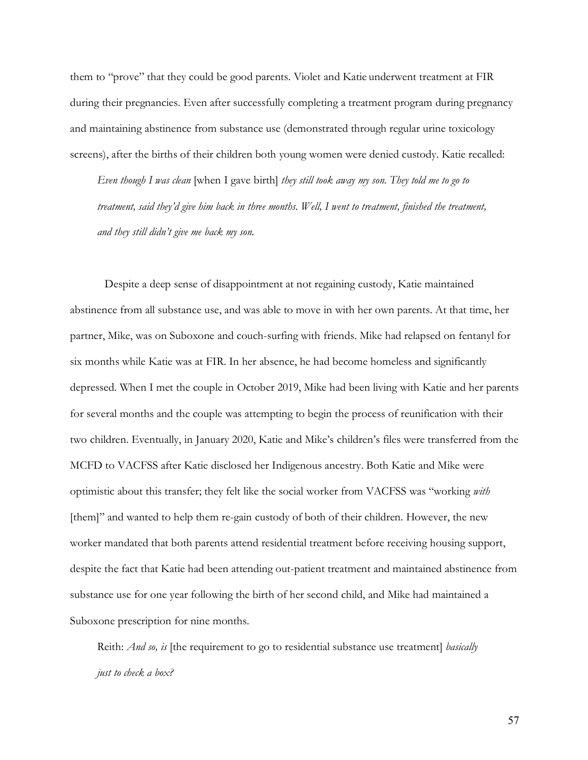them to "prove" that they could be good parents. Violet and Katie underwent treatment at FIR during their pregnancies. Even after successfully completing a treatment program during pregnancy and maintaining abstinence from substance use (demonstrated through regular urine toxicology screens), after the births of their children both young women were denied custody. Katie recalled:

*Even though I was clean* [when I gave birth] *they still took away my son. They told me to go to treatment, said they'd give him back in three months. Well, I went to treatment, finished the treatment, and they still didn't give me back my son.* 

Despite a deep sense of disappointment at not regaining custody, Katie maintained abstinence from all substance use, and was able to move in with her own parents. At that time, her partner, Mike, was on Suboxone and couch-surfing with friends. Mike had relapsed on fentanyl for six months while Katie was at FIR. In her absence, he had become homeless and significantly depressed. When I met the couple in October 2019, Mike had been living with Katie and her parents for several months and the couple was attempting to begin the process of reunification with their two children. Eventually, in January 2020, Katie and Mike's children's files were transferred from the MCFD to VACFSS after Katie disclosed her Indigenous ancestry. Both Katie and Mike were optimistic about this transfer; they felt like the social worker from VACFSS was "working *with*  [them]" and wanted to help them re-gain custody of both of their children. However, the new worker mandated that both parents attend residential treatment before receiving housing support, despite the fact that Katie had been attending out-patient treatment and maintained abstinence from substance use for one year following the birth of her second child, and Mike had maintained a Suboxone prescription for nine months.

Reith: *And so, is* [the requirement to go to residential substance use treatment] *basically just to check a box?*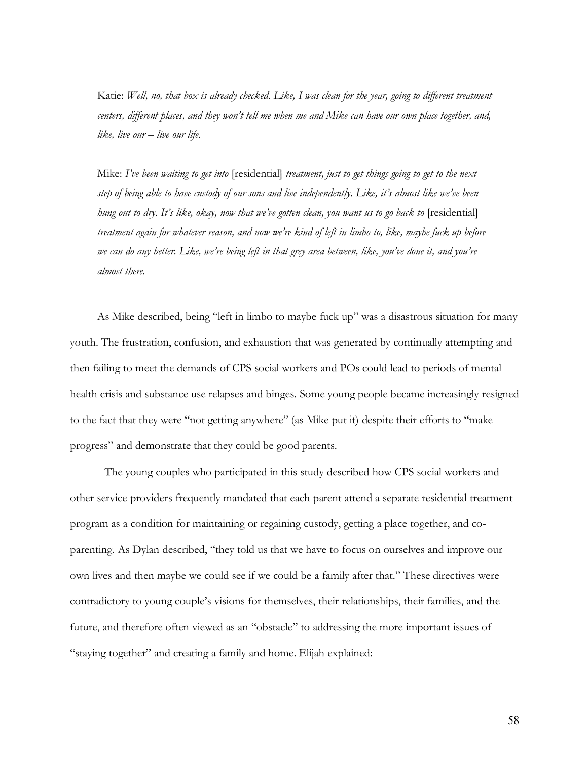Katie: *Well, no, that box is already checked. Like, I was clean for the year, going to different treatment centers, different places, and they won't tell me when me and Mike can have our own place together, and, like, live our – live our life.* 

Mike: *I've been waiting to get into* [residential] *treatment, just to get things going to get to the next step of being able to have custody of our sons and live independently. Like, it's almost like we've been hung out to dry. It's like, okay, now that we've gotten clean, you want us to go back to* [residential] *treatment again for whatever reason, and now we're kind of left in limbo to, like, maybe fuck up before we can do any better. Like, we're being left in that grey area between, like, you've done it, and you're almost there.* 

As Mike described, being "left in limbo to maybe fuck up" was a disastrous situation for many youth. The frustration, confusion, and exhaustion that was generated by continually attempting and then failing to meet the demands of CPS social workers and POs could lead to periods of mental health crisis and substance use relapses and binges. Some young people became increasingly resigned to the fact that they were "not getting anywhere" (as Mike put it) despite their efforts to "make progress" and demonstrate that they could be good parents.

The young couples who participated in this study described how CPS social workers and other service providers frequently mandated that each parent attend a separate residential treatment program as a condition for maintaining or regaining custody, getting a place together, and coparenting. As Dylan described, "they told us that we have to focus on ourselves and improve our own lives and then maybe we could see if we could be a family after that." These directives were contradictory to young couple's visions for themselves, their relationships, their families, and the future, and therefore often viewed as an "obstacle" to addressing the more important issues of "staying together" and creating a family and home. Elijah explained: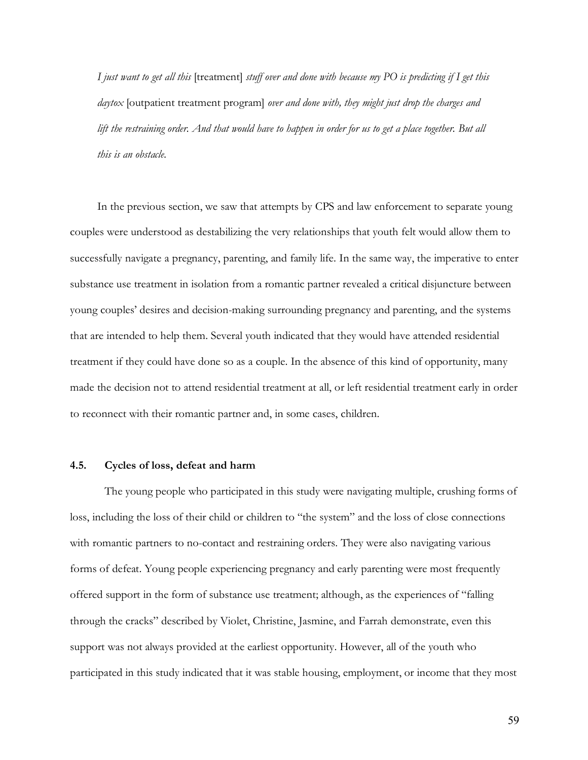*I just want to get all this* [treatment] *stuff over and done with because my PO is predicting if I get this daytox* [outpatient treatment program] *over and done with, they might just drop the charges and lift the restraining order. And that would have to happen in order for us to get a place together. But all this is an obstacle.*

In the previous section, we saw that attempts by CPS and law enforcement to separate young couples were understood as destabilizing the very relationships that youth felt would allow them to successfully navigate a pregnancy, parenting, and family life. In the same way, the imperative to enter substance use treatment in isolation from a romantic partner revealed a critical disjuncture between young couples' desires and decision-making surrounding pregnancy and parenting, and the systems that are intended to help them. Several youth indicated that they would have attended residential treatment if they could have done so as a couple. In the absence of this kind of opportunity, many made the decision not to attend residential treatment at all, or left residential treatment early in order to reconnect with their romantic partner and, in some cases, children.

## **4.5. Cycles of loss, defeat and harm**

The young people who participated in this study were navigating multiple, crushing forms of loss, including the loss of their child or children to "the system" and the loss of close connections with romantic partners to no-contact and restraining orders. They were also navigating various forms of defeat. Young people experiencing pregnancy and early parenting were most frequently offered support in the form of substance use treatment; although, as the experiences of "falling through the cracks" described by Violet, Christine, Jasmine, and Farrah demonstrate, even this support was not always provided at the earliest opportunity. However, all of the youth who participated in this study indicated that it was stable housing, employment, or income that they most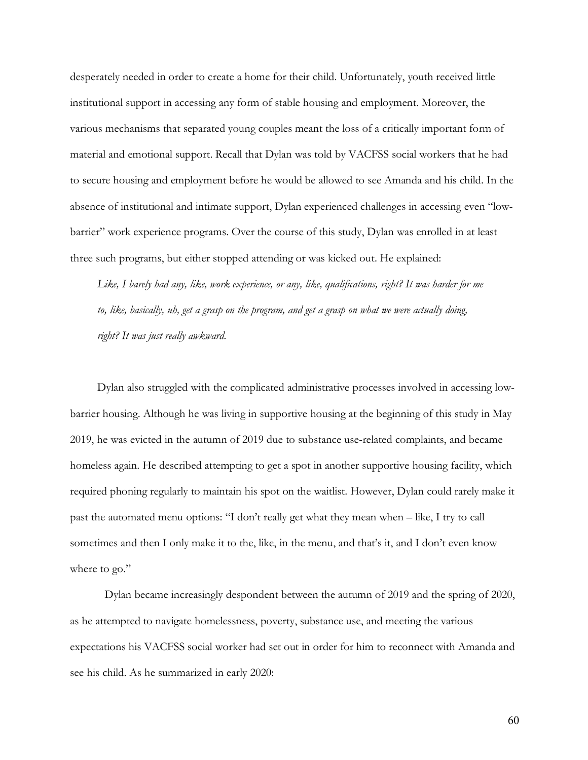desperately needed in order to create a home for their child. Unfortunately, youth received little institutional support in accessing any form of stable housing and employment. Moreover, the various mechanisms that separated young couples meant the loss of a critically important form of material and emotional support. Recall that Dylan was told by VACFSS social workers that he had to secure housing and employment before he would be allowed to see Amanda and his child. In the absence of institutional and intimate support, Dylan experienced challenges in accessing even "lowbarrier" work experience programs. Over the course of this study, Dylan was enrolled in at least three such programs, but either stopped attending or was kicked out. He explained:

*Like, I barely had any, like, work experience, or any, like, qualifications, right? It was harder for me to, like, basically, uh, get a grasp on the program, and get a grasp on what we were actually doing, right? It was just really awkward.* 

Dylan also struggled with the complicated administrative processes involved in accessing lowbarrier housing. Although he was living in supportive housing at the beginning of this study in May 2019, he was evicted in the autumn of 2019 due to substance use-related complaints, and became homeless again. He described attempting to get a spot in another supportive housing facility, which required phoning regularly to maintain his spot on the waitlist. However, Dylan could rarely make it past the automated menu options: "I don't really get what they mean when – like, I try to call sometimes and then I only make it to the, like, in the menu, and that's it, and I don't even know where to go."

Dylan became increasingly despondent between the autumn of 2019 and the spring of 2020, as he attempted to navigate homelessness, poverty, substance use, and meeting the various expectations his VACFSS social worker had set out in order for him to reconnect with Amanda and see his child. As he summarized in early 2020: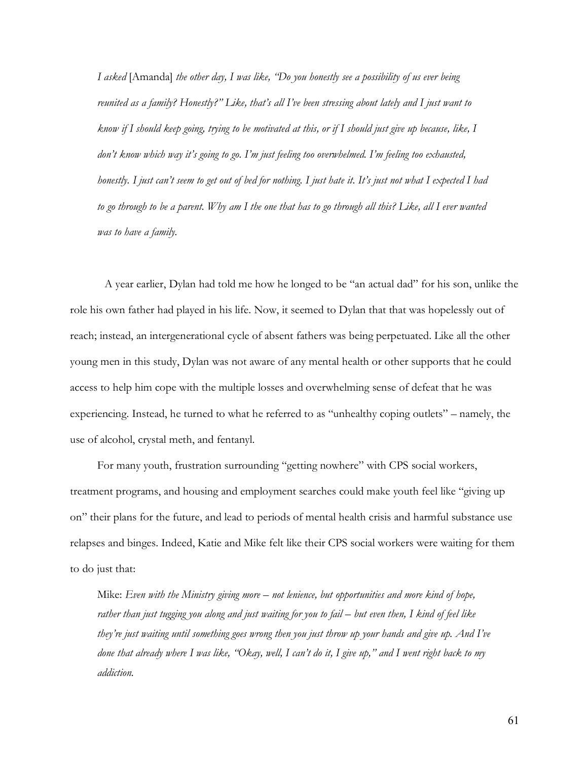*I asked* [Amanda] *the other day, I was like, "Do you honestly see a possibility of us ever being reunited as a family? Honestly?" Like, that's all I've been stressing about lately and I just want to know if I should keep going, trying to be motivated at this, or if I should just give up because, like, I don't know which way it's going to go. I'm just feeling too overwhelmed. I'm feeling too exhausted, honestly. I just can't seem to get out of bed for nothing. I just hate it. It's just not what I expected I had to go through to be a parent. Why am I the one that has to go through all this? Like, all I ever wanted was to have a family.* 

A year earlier, Dylan had told me how he longed to be "an actual dad" for his son, unlike the role his own father had played in his life. Now, it seemed to Dylan that that was hopelessly out of reach; instead, an intergenerational cycle of absent fathers was being perpetuated. Like all the other young men in this study, Dylan was not aware of any mental health or other supports that he could access to help him cope with the multiple losses and overwhelming sense of defeat that he was experiencing. Instead, he turned to what he referred to as "unhealthy coping outlets" – namely, the use of alcohol, crystal meth, and fentanyl.

For many youth, frustration surrounding "getting nowhere" with CPS social workers, treatment programs, and housing and employment searches could make youth feel like "giving up on" their plans for the future, and lead to periods of mental health crisis and harmful substance use relapses and binges. Indeed, Katie and Mike felt like their CPS social workers were waiting for them to do just that:

Mike: *Even with the Ministry giving more – not lenience, but opportunities and more kind of hope, rather than just tugging you along and just waiting for you to fail – but even then, I kind of feel like they're just waiting until something goes wrong then you just throw up your hands and give up. And I've done that already where I was like, "Okay, well, I can't do it, I give up," and I went right back to my addiction.*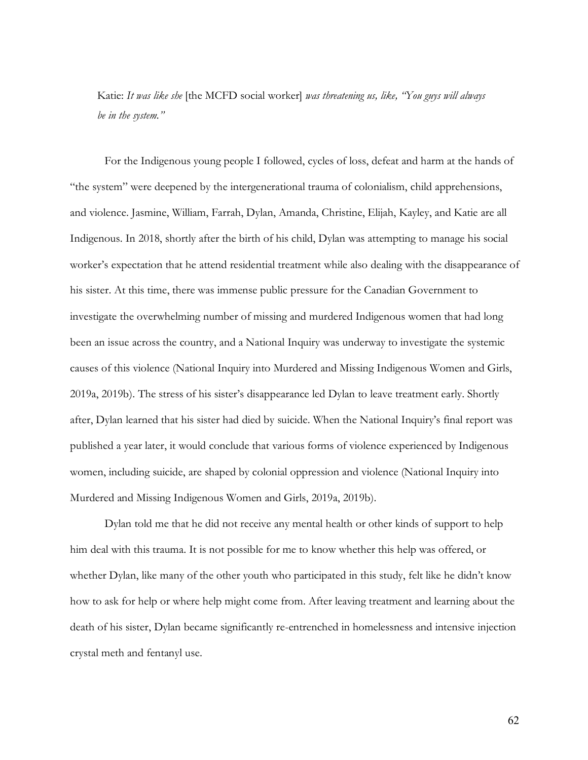Katie: *It was like she* [the MCFD social worker] *was threatening us, like, "You guys will always be in the system."*

For the Indigenous young people I followed, cycles of loss, defeat and harm at the hands of "the system" were deepened by the intergenerational trauma of colonialism, child apprehensions, and violence. Jasmine, William, Farrah, Dylan, Amanda, Christine, Elijah, Kayley, and Katie are all Indigenous. In 2018, shortly after the birth of his child, Dylan was attempting to manage his social worker's expectation that he attend residential treatment while also dealing with the disappearance of his sister. At this time, there was immense public pressure for the Canadian Government to investigate the overwhelming number of missing and murdered Indigenous women that had long been an issue across the country, and a National Inquiry was underway to investigate the systemic causes of this violence (National Inquiry into Murdered and Missing Indigenous Women and Girls, 2019a, 2019b). The stress of his sister's disappearance led Dylan to leave treatment early. Shortly after, Dylan learned that his sister had died by suicide. When the National Inquiry's final report was published a year later, it would conclude that various forms of violence experienced by Indigenous women, including suicide, are shaped by colonial oppression and violence (National Inquiry into Murdered and Missing Indigenous Women and Girls, 2019a, 2019b).

Dylan told me that he did not receive any mental health or other kinds of support to help him deal with this trauma. It is not possible for me to know whether this help was offered, or whether Dylan, like many of the other youth who participated in this study, felt like he didn't know how to ask for help or where help might come from. After leaving treatment and learning about the death of his sister, Dylan became significantly re-entrenched in homelessness and intensive injection crystal meth and fentanyl use.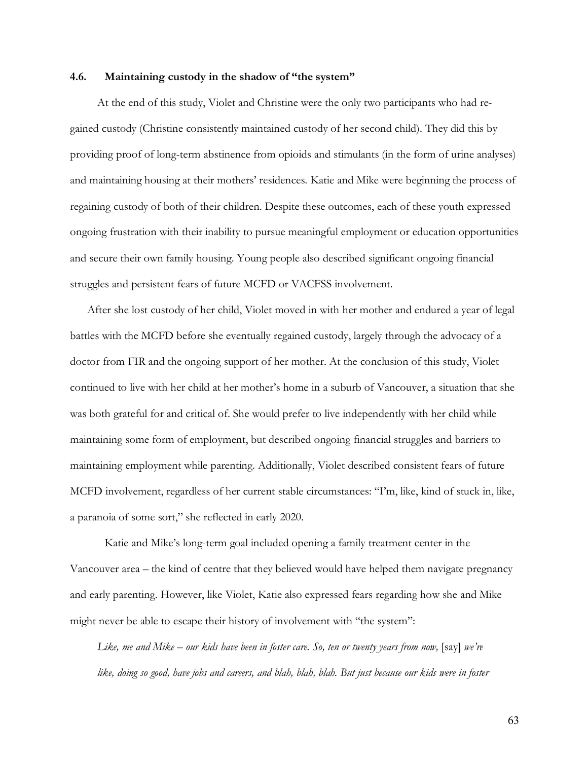### **4.6. Maintaining custody in the shadow of "the system"**

At the end of this study, Violet and Christine were the only two participants who had regained custody (Christine consistently maintained custody of her second child). They did this by providing proof of long-term abstinence from opioids and stimulants (in the form of urine analyses) and maintaining housing at their mothers' residences. Katie and Mike were beginning the process of regaining custody of both of their children. Despite these outcomes, each of these youth expressed ongoing frustration with their inability to pursue meaningful employment or education opportunities and secure their own family housing. Young people also described significant ongoing financial struggles and persistent fears of future MCFD or VACFSS involvement.

After she lost custody of her child, Violet moved in with her mother and endured a year of legal battles with the MCFD before she eventually regained custody, largely through the advocacy of a doctor from FIR and the ongoing support of her mother. At the conclusion of this study, Violet continued to live with her child at her mother's home in a suburb of Vancouver, a situation that she was both grateful for and critical of. She would prefer to live independently with her child while maintaining some form of employment, but described ongoing financial struggles and barriers to maintaining employment while parenting. Additionally, Violet described consistent fears of future MCFD involvement, regardless of her current stable circumstances: "I'm, like, kind of stuck in, like, a paranoia of some sort," she reflected in early 2020.

Katie and Mike's long-term goal included opening a family treatment center in the Vancouver area – the kind of centre that they believed would have helped them navigate pregnancy and early parenting. However, like Violet, Katie also expressed fears regarding how she and Mike might never be able to escape their history of involvement with "the system":

Like, me and Mike – our kids have been in foster care. So, ten or twenty years from now, [say] we're *like, doing so good, have jobs and careers, and blah, blah, blah. But just because our kids were in foster*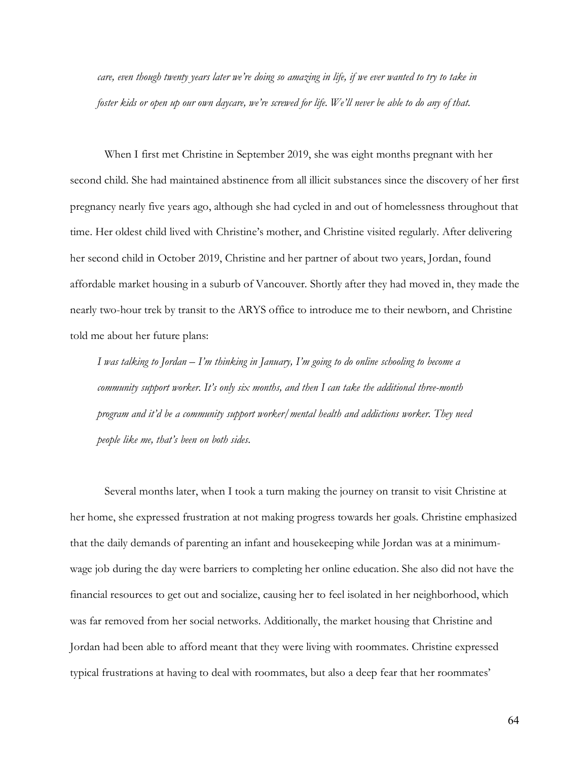*care, even though twenty years later we're doing so amazing in life, if we ever wanted to try to take in foster kids or open up our own daycare, we're screwed for life. We'll never be able to do any of that.* 

When I first met Christine in September 2019, she was eight months pregnant with her second child. She had maintained abstinence from all illicit substances since the discovery of her first pregnancy nearly five years ago, although she had cycled in and out of homelessness throughout that time. Her oldest child lived with Christine's mother, and Christine visited regularly. After delivering her second child in October 2019, Christine and her partner of about two years, Jordan, found affordable market housing in a suburb of Vancouver. Shortly after they had moved in, they made the nearly two-hour trek by transit to the ARYS office to introduce me to their newborn, and Christine told me about her future plans:

*I was talking to Jordan – I'm thinking in January, I'm going to do online schooling to become a community support worker. It's only six months, and then I can take the additional three-month program and it'd be a community support worker/mental health and addictions worker. They need people like me, that's been on both sides.* 

Several months later, when I took a turn making the journey on transit to visit Christine at her home, she expressed frustration at not making progress towards her goals. Christine emphasized that the daily demands of parenting an infant and housekeeping while Jordan was at a minimumwage job during the day were barriers to completing her online education. She also did not have the financial resources to get out and socialize, causing her to feel isolated in her neighborhood, which was far removed from her social networks. Additionally, the market housing that Christine and Jordan had been able to afford meant that they were living with roommates. Christine expressed typical frustrations at having to deal with roommates, but also a deep fear that her roommates'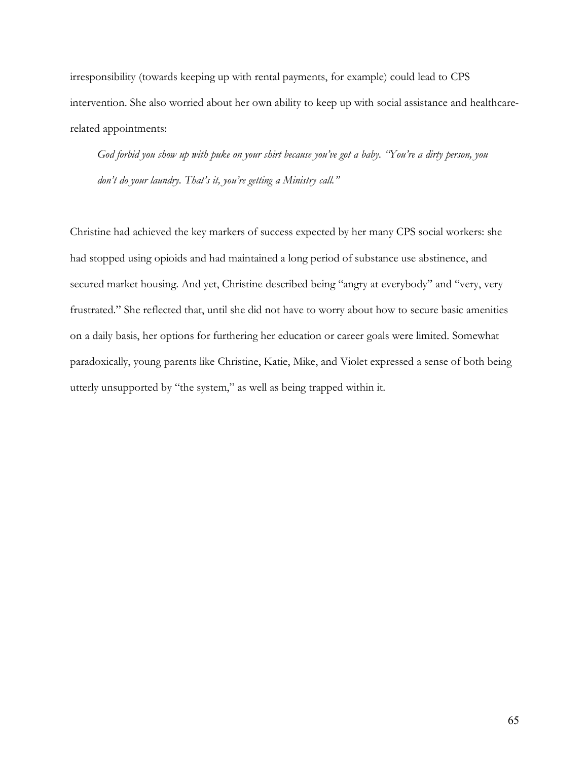irresponsibility (towards keeping up with rental payments, for example) could lead to CPS intervention. She also worried about her own ability to keep up with social assistance and healthcarerelated appointments:

*God forbid you show up with puke on your shirt because you've got a baby. "You're a dirty person, you don't do your laundry. That's it, you're getting a Ministry call."*

Christine had achieved the key markers of success expected by her many CPS social workers: she had stopped using opioids and had maintained a long period of substance use abstinence, and secured market housing. And yet, Christine described being "angry at everybody" and "very, very frustrated." She reflected that, until she did not have to worry about how to secure basic amenities on a daily basis, her options for furthering her education or career goals were limited. Somewhat paradoxically, young parents like Christine, Katie, Mike, and Violet expressed a sense of both being utterly unsupported by "the system," as well as being trapped within it.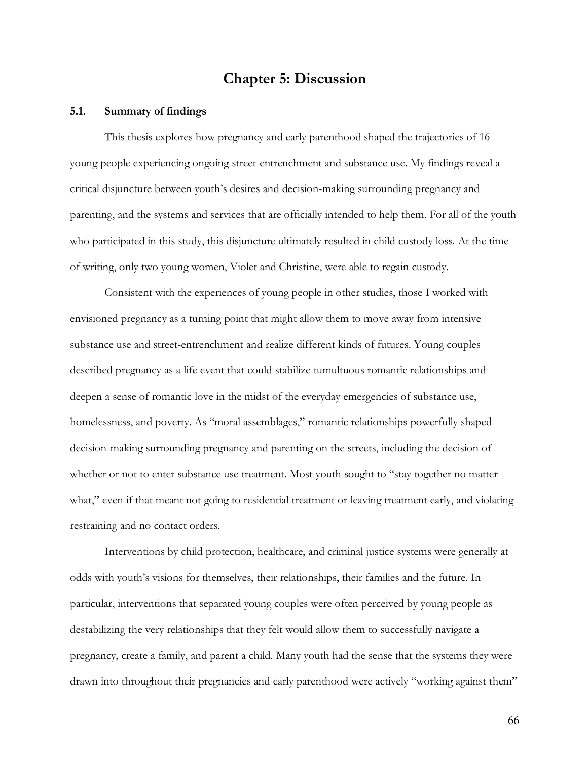## **Chapter 5: Discussion**

## **5.1. Summary of findings**

This thesis explores how pregnancy and early parenthood shaped the trajectories of 16 young people experiencing ongoing street-entrenchment and substance use. My findings reveal a critical disjuncture between youth's desires and decision-making surrounding pregnancy and parenting, and the systems and services that are officially intended to help them. For all of the youth who participated in this study, this disjuncture ultimately resulted in child custody loss. At the time of writing, only two young women, Violet and Christine, were able to regain custody.

Consistent with the experiences of young people in other studies, those I worked with envisioned pregnancy as a turning point that might allow them to move away from intensive substance use and street-entrenchment and realize different kinds of futures. Young couples described pregnancy as a life event that could stabilize tumultuous romantic relationships and deepen a sense of romantic love in the midst of the everyday emergencies of substance use, homelessness, and poverty. As "moral assemblages," romantic relationships powerfully shaped decision-making surrounding pregnancy and parenting on the streets, including the decision of whether or not to enter substance use treatment. Most youth sought to "stay together no matter what," even if that meant not going to residential treatment or leaving treatment early, and violating restraining and no contact orders.

Interventions by child protection, healthcare, and criminal justice systems were generally at odds with youth's visions for themselves, their relationships, their families and the future. In particular, interventions that separated young couples were often perceived by young people as destabilizing the very relationships that they felt would allow them to successfully navigate a pregnancy, create a family, and parent a child. Many youth had the sense that the systems they were drawn into throughout their pregnancies and early parenthood were actively "working against them"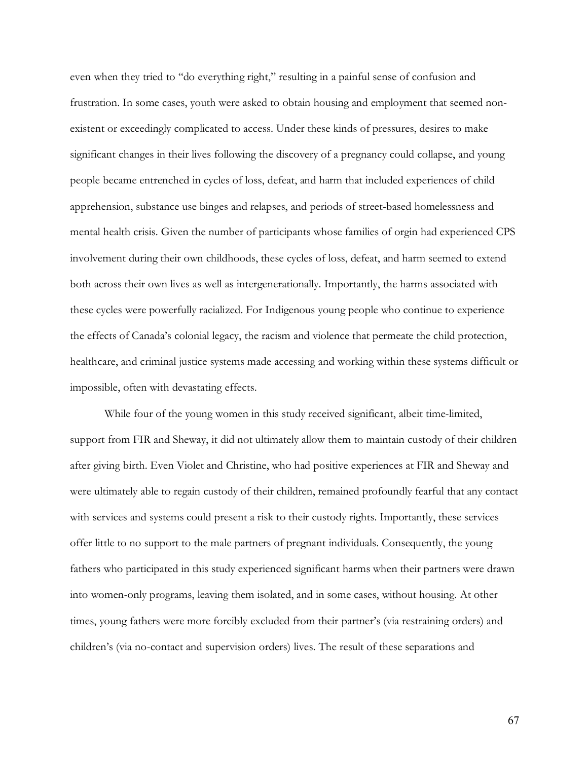even when they tried to "do everything right," resulting in a painful sense of confusion and frustration. In some cases, youth were asked to obtain housing and employment that seemed nonexistent or exceedingly complicated to access. Under these kinds of pressures, desires to make significant changes in their lives following the discovery of a pregnancy could collapse, and young people became entrenched in cycles of loss, defeat, and harm that included experiences of child apprehension, substance use binges and relapses, and periods of street-based homelessness and mental health crisis. Given the number of participants whose families of orgin had experienced CPS involvement during their own childhoods, these cycles of loss, defeat, and harm seemed to extend both across their own lives as well as intergenerationally. Importantly, the harms associated with these cycles were powerfully racialized. For Indigenous young people who continue to experience the effects of Canada's colonial legacy, the racism and violence that permeate the child protection, healthcare, and criminal justice systems made accessing and working within these systems difficult or impossible, often with devastating effects.

While four of the young women in this study received significant, albeit time-limited, support from FIR and Sheway, it did not ultimately allow them to maintain custody of their children after giving birth. Even Violet and Christine, who had positive experiences at FIR and Sheway and were ultimately able to regain custody of their children, remained profoundly fearful that any contact with services and systems could present a risk to their custody rights. Importantly, these services offer little to no support to the male partners of pregnant individuals. Consequently, the young fathers who participated in this study experienced significant harms when their partners were drawn into women-only programs, leaving them isolated, and in some cases, without housing. At other times, young fathers were more forcibly excluded from their partner's (via restraining orders) and children's (via no-contact and supervision orders) lives. The result of these separations and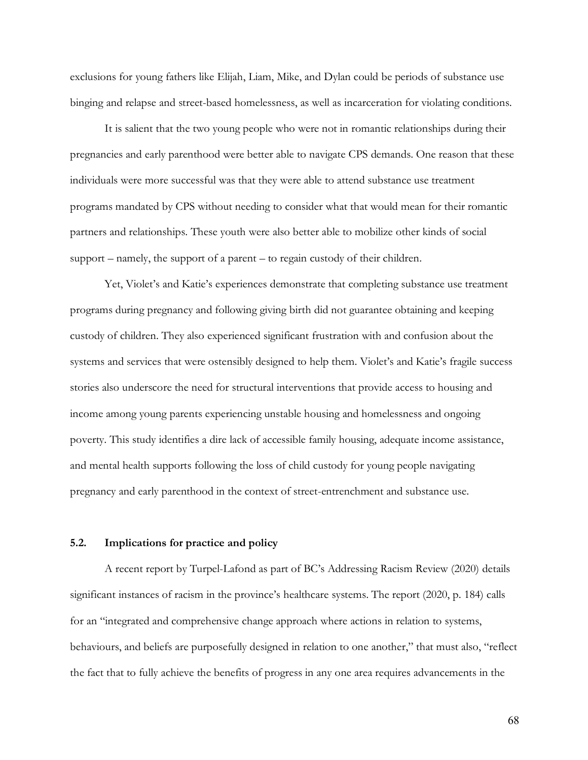exclusions for young fathers like Elijah, Liam, Mike, and Dylan could be periods of substance use binging and relapse and street-based homelessness, as well as incarceration for violating conditions.

It is salient that the two young people who were not in romantic relationships during their pregnancies and early parenthood were better able to navigate CPS demands. One reason that these individuals were more successful was that they were able to attend substance use treatment programs mandated by CPS without needing to consider what that would mean for their romantic partners and relationships. These youth were also better able to mobilize other kinds of social support – namely, the support of a parent – to regain custody of their children.

Yet, Violet's and Katie's experiences demonstrate that completing substance use treatment programs during pregnancy and following giving birth did not guarantee obtaining and keeping custody of children. They also experienced significant frustration with and confusion about the systems and services that were ostensibly designed to help them. Violet's and Katie's fragile success stories also underscore the need for structural interventions that provide access to housing and income among young parents experiencing unstable housing and homelessness and ongoing poverty. This study identifies a dire lack of accessible family housing, adequate income assistance, and mental health supports following the loss of child custody for young people navigating pregnancy and early parenthood in the context of street-entrenchment and substance use.

## **5.2. Implications for practice and policy**

A recent report by Turpel-Lafond as part of BC's Addressing Racism Review (2020) details significant instances of racism in the province's healthcare systems. The report (2020, p. 184) calls for an "integrated and comprehensive change approach where actions in relation to systems, behaviours, and beliefs are purposefully designed in relation to one another," that must also, "reflect the fact that to fully achieve the benefits of progress in any one area requires advancements in the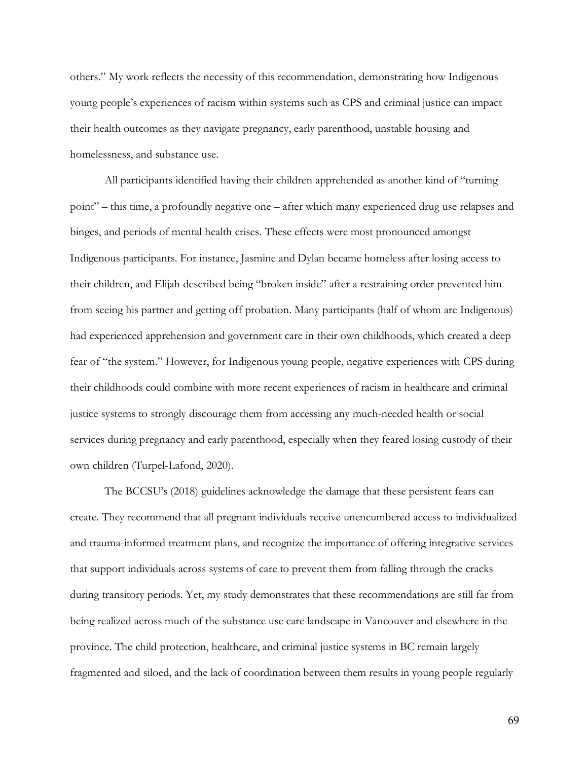others." My work reflects the necessity of this recommendation, demonstrating how Indigenous young people's experiences of racism within systems such as CPS and criminal justice can impact their health outcomes as they navigate pregnancy, early parenthood, unstable housing and homelessness, and substance use.

All participants identified having their children apprehended as another kind of "turning point" – this time, a profoundly negative one – after which many experienced drug use relapses and binges, and periods of mental health crises. These effects were most pronounced amongst Indigenous participants. For instance, Jasmine and Dylan became homeless after losing access to their children, and Elijah described being "broken inside" after a restraining order prevented him from seeing his partner and getting off probation. Many participants (half of whom are Indigenous) had experienced apprehension and government care in their own childhoods, which created a deep fear of "the system." However, for Indigenous young people, negative experiences with CPS during their childhoods could combine with more recent experiences of racism in healthcare and criminal justice systems to strongly discourage them from accessing any much-needed health or social services during pregnancy and early parenthood, especially when they feared losing custody of their own children (Turpel-Lafond, 2020).

The BCCSU's (2018) guidelines acknowledge the damage that these persistent fears can create. They recommend that all pregnant individuals receive unencumbered access to individualized and trauma-informed treatment plans, and recognize the importance of offering integrative services that support individuals across systems of care to prevent them from falling through the cracks during transitory periods. Yet, my study demonstrates that these recommendations are still far from being realized across much of the substance use care landscape in Vancouver and elsewhere in the province. The child protection, healthcare, and criminal justice systems in BC remain largely fragmented and siloed, and the lack of coordination between them results in young people regularly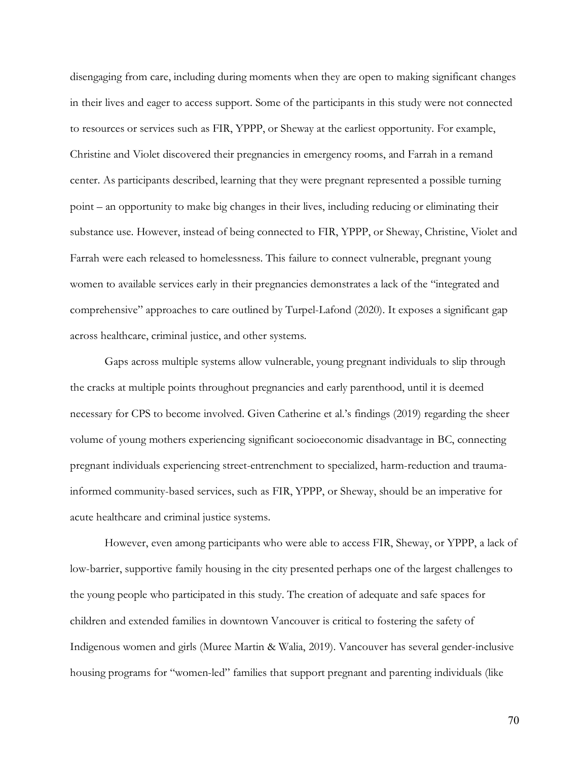disengaging from care, including during moments when they are open to making significant changes in their lives and eager to access support. Some of the participants in this study were not connected to resources or services such as FIR, YPPP, or Sheway at the earliest opportunity. For example, Christine and Violet discovered their pregnancies in emergency rooms, and Farrah in a remand center. As participants described, learning that they were pregnant represented a possible turning point – an opportunity to make big changes in their lives, including reducing or eliminating their substance use. However, instead of being connected to FIR, YPPP, or Sheway, Christine, Violet and Farrah were each released to homelessness. This failure to connect vulnerable, pregnant young women to available services early in their pregnancies demonstrates a lack of the "integrated and comprehensive" approaches to care outlined by Turpel-Lafond (2020). It exposes a significant gap across healthcare, criminal justice, and other systems.

Gaps across multiple systems allow vulnerable, young pregnant individuals to slip through the cracks at multiple points throughout pregnancies and early parenthood, until it is deemed necessary for CPS to become involved. Given Catherine et al.'s findings (2019) regarding the sheer volume of young mothers experiencing significant socioeconomic disadvantage in BC, connecting pregnant individuals experiencing street-entrenchment to specialized, harm-reduction and traumainformed community-based services, such as FIR, YPPP, or Sheway, should be an imperative for acute healthcare and criminal justice systems.

However, even among participants who were able to access FIR, Sheway, or YPPP, a lack of low-barrier, supportive family housing in the city presented perhaps one of the largest challenges to the young people who participated in this study. The creation of adequate and safe spaces for children and extended families in downtown Vancouver is critical to fostering the safety of Indigenous women and girls (Muree Martin & Walia, 2019). Vancouver has several gender-inclusive housing programs for "women-led" families that support pregnant and parenting individuals (like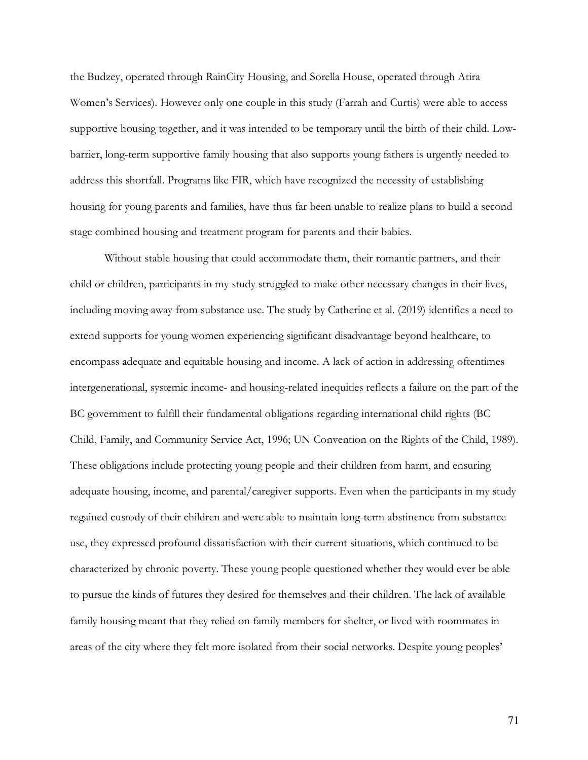the Budzey, operated through RainCity Housing, and Sorella House, operated through Atira Women's Services). However only one couple in this study (Farrah and Curtis) were able to access supportive housing together, and it was intended to be temporary until the birth of their child. Lowbarrier, long-term supportive family housing that also supports young fathers is urgently needed to address this shortfall. Programs like FIR, which have recognized the necessity of establishing housing for young parents and families, have thus far been unable to realize plans to build a second stage combined housing and treatment program for parents and their babies.

Without stable housing that could accommodate them, their romantic partners, and their child or children, participants in my study struggled to make other necessary changes in their lives, including moving away from substance use. The study by Catherine et al. (2019) identifies a need to extend supports for young women experiencing significant disadvantage beyond healthcare, to encompass adequate and equitable housing and income. A lack of action in addressing oftentimes intergenerational, systemic income- and housing-related inequities reflects a failure on the part of the BC government to fulfill their fundamental obligations regarding international child rights (BC Child, Family, and Community Service Act, 1996; UN Convention on the Rights of the Child, 1989). These obligations include protecting young people and their children from harm, and ensuring adequate housing, income, and parental/caregiver supports. Even when the participants in my study regained custody of their children and were able to maintain long-term abstinence from substance use, they expressed profound dissatisfaction with their current situations, which continued to be characterized by chronic poverty. These young people questioned whether they would ever be able to pursue the kinds of futures they desired for themselves and their children. The lack of available family housing meant that they relied on family members for shelter, or lived with roommates in areas of the city where they felt more isolated from their social networks. Despite young peoples'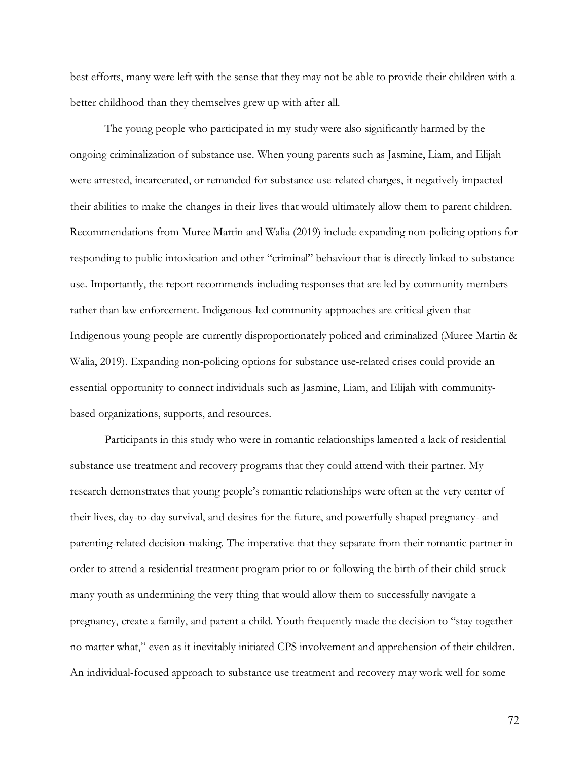best efforts, many were left with the sense that they may not be able to provide their children with a better childhood than they themselves grew up with after all.

The young people who participated in my study were also significantly harmed by the ongoing criminalization of substance use. When young parents such as Jasmine, Liam, and Elijah were arrested, incarcerated, or remanded for substance use-related charges, it negatively impacted their abilities to make the changes in their lives that would ultimately allow them to parent children. Recommendations from Muree Martin and Walia (2019) include expanding non-policing options for responding to public intoxication and other "criminal" behaviour that is directly linked to substance use. Importantly, the report recommends including responses that are led by community members rather than law enforcement. Indigenous-led community approaches are critical given that Indigenous young people are currently disproportionately policed and criminalized (Muree Martin & Walia, 2019). Expanding non-policing options for substance use-related crises could provide an essential opportunity to connect individuals such as Jasmine, Liam, and Elijah with communitybased organizations, supports, and resources.

Participants in this study who were in romantic relationships lamented a lack of residential substance use treatment and recovery programs that they could attend with their partner. My research demonstrates that young people's romantic relationships were often at the very center of their lives, day-to-day survival, and desires for the future, and powerfully shaped pregnancy- and parenting-related decision-making. The imperative that they separate from their romantic partner in order to attend a residential treatment program prior to or following the birth of their child struck many youth as undermining the very thing that would allow them to successfully navigate a pregnancy, create a family, and parent a child. Youth frequently made the decision to "stay together no matter what," even as it inevitably initiated CPS involvement and apprehension of their children. An individual-focused approach to substance use treatment and recovery may work well for some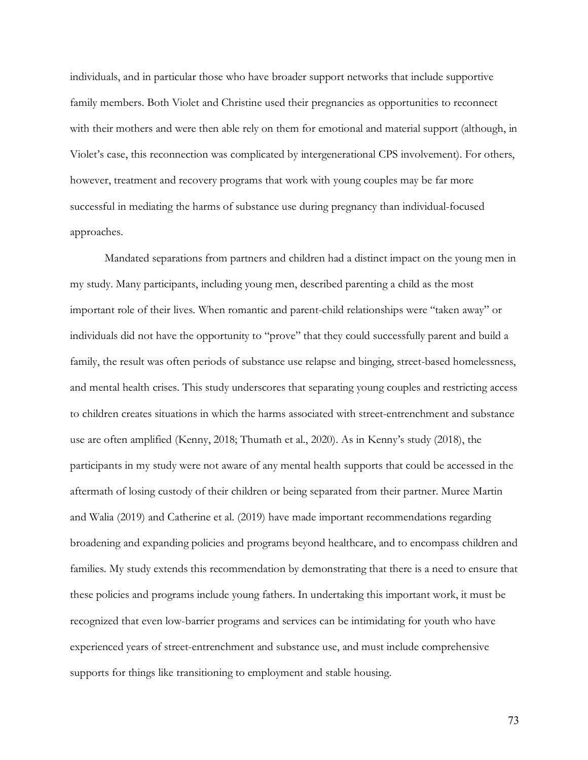individuals, and in particular those who have broader support networks that include supportive family members. Both Violet and Christine used their pregnancies as opportunities to reconnect with their mothers and were then able rely on them for emotional and material support (although, in Violet's case, this reconnection was complicated by intergenerational CPS involvement). For others, however, treatment and recovery programs that work with young couples may be far more successful in mediating the harms of substance use during pregnancy than individual-focused approaches.

Mandated separations from partners and children had a distinct impact on the young men in my study. Many participants, including young men, described parenting a child as the most important role of their lives. When romantic and parent-child relationships were "taken away" or individuals did not have the opportunity to "prove" that they could successfully parent and build a family, the result was often periods of substance use relapse and binging, street-based homelessness, and mental health crises. This study underscores that separating young couples and restricting access to children creates situations in which the harms associated with street-entrenchment and substance use are often amplified (Kenny, 2018; Thumath et al., 2020). As in Kenny's study (2018), the participants in my study were not aware of any mental health supports that could be accessed in the aftermath of losing custody of their children or being separated from their partner. Muree Martin and Walia (2019) and Catherine et al. (2019) have made important recommendations regarding broadening and expanding policies and programs beyond healthcare, and to encompass children and families. My study extends this recommendation by demonstrating that there is a need to ensure that these policies and programs include young fathers. In undertaking this important work, it must be recognized that even low-barrier programs and services can be intimidating for youth who have experienced years of street-entrenchment and substance use, and must include comprehensive supports for things like transitioning to employment and stable housing.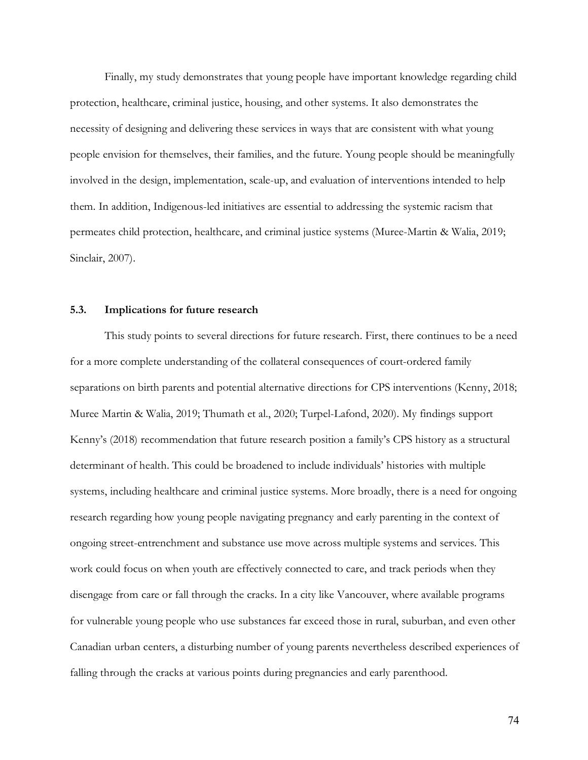Finally, my study demonstrates that young people have important knowledge regarding child protection, healthcare, criminal justice, housing, and other systems. It also demonstrates the necessity of designing and delivering these services in ways that are consistent with what young people envision for themselves, their families, and the future. Young people should be meaningfully involved in the design, implementation, scale-up, and evaluation of interventions intended to help them. In addition, Indigenous-led initiatives are essential to addressing the systemic racism that permeates child protection, healthcare, and criminal justice systems (Muree-Martin & Walia, 2019; Sinclair, 2007).

## **5.3. Implications for future research**

This study points to several directions for future research. First, there continues to be a need for a more complete understanding of the collateral consequences of court-ordered family separations on birth parents and potential alternative directions for CPS interventions (Kenny, 2018; Muree Martin & Walia, 2019; Thumath et al., 2020; Turpel-Lafond, 2020). My findings support Kenny's (2018) recommendation that future research position a family's CPS history as a structural determinant of health. This could be broadened to include individuals' histories with multiple systems, including healthcare and criminal justice systems. More broadly, there is a need for ongoing research regarding how young people navigating pregnancy and early parenting in the context of ongoing street-entrenchment and substance use move across multiple systems and services. This work could focus on when youth are effectively connected to care, and track periods when they disengage from care or fall through the cracks. In a city like Vancouver, where available programs for vulnerable young people who use substances far exceed those in rural, suburban, and even other Canadian urban centers, a disturbing number of young parents nevertheless described experiences of falling through the cracks at various points during pregnancies and early parenthood.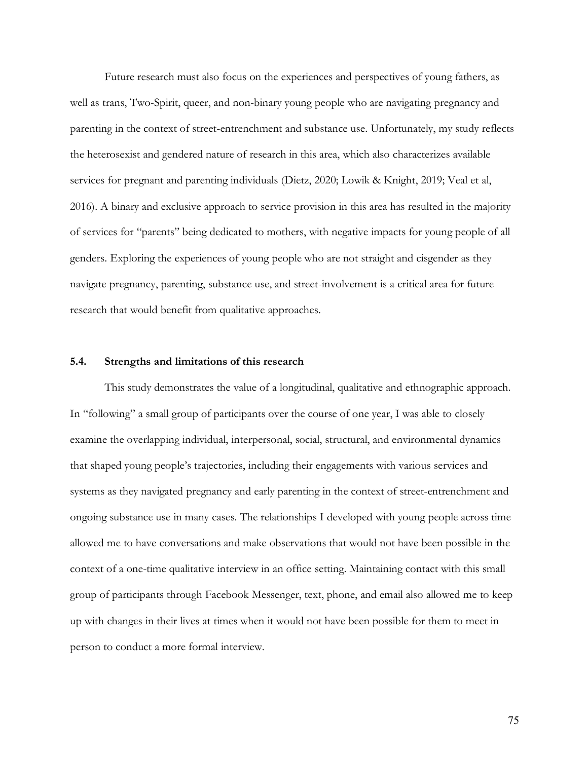Future research must also focus on the experiences and perspectives of young fathers, as well as trans, Two-Spirit, queer, and non-binary young people who are navigating pregnancy and parenting in the context of street-entrenchment and substance use. Unfortunately, my study reflects the heterosexist and gendered nature of research in this area, which also characterizes available services for pregnant and parenting individuals (Dietz, 2020; Lowik & Knight, 2019; Veal et al, 2016). A binary and exclusive approach to service provision in this area has resulted in the majority of services for "parents" being dedicated to mothers, with negative impacts for young people of all genders. Exploring the experiences of young people who are not straight and cisgender as they navigate pregnancy, parenting, substance use, and street-involvement is a critical area for future research that would benefit from qualitative approaches.

### **5.4. Strengths and limitations of this research**

This study demonstrates the value of a longitudinal, qualitative and ethnographic approach. In "following" a small group of participants over the course of one year, I was able to closely examine the overlapping individual, interpersonal, social, structural, and environmental dynamics that shaped young people's trajectories, including their engagements with various services and systems as they navigated pregnancy and early parenting in the context of street-entrenchment and ongoing substance use in many cases. The relationships I developed with young people across time allowed me to have conversations and make observations that would not have been possible in the context of a one-time qualitative interview in an office setting. Maintaining contact with this small group of participants through Facebook Messenger, text, phone, and email also allowed me to keep up with changes in their lives at times when it would not have been possible for them to meet in person to conduct a more formal interview.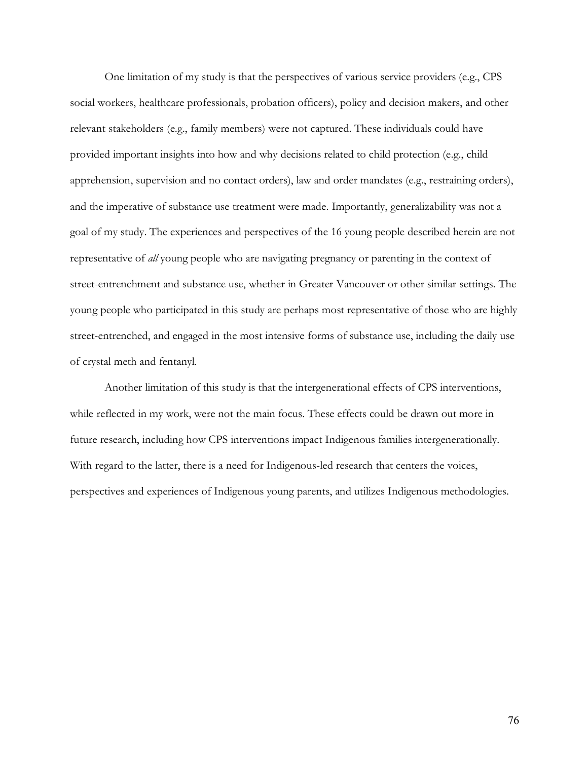One limitation of my study is that the perspectives of various service providers (e.g., CPS social workers, healthcare professionals, probation officers), policy and decision makers, and other relevant stakeholders (e.g., family members) were not captured. These individuals could have provided important insights into how and why decisions related to child protection (e.g., child apprehension, supervision and no contact orders), law and order mandates (e.g., restraining orders), and the imperative of substance use treatment were made. Importantly, generalizability was not a goal of my study. The experiences and perspectives of the 16 young people described herein are not representative of *all* young people who are navigating pregnancy or parenting in the context of street-entrenchment and substance use, whether in Greater Vancouver or other similar settings. The young people who participated in this study are perhaps most representative of those who are highly street-entrenched, and engaged in the most intensive forms of substance use, including the daily use of crystal meth and fentanyl.

Another limitation of this study is that the intergenerational effects of CPS interventions, while reflected in my work, were not the main focus. These effects could be drawn out more in future research, including how CPS interventions impact Indigenous families intergenerationally. With regard to the latter, there is a need for Indigenous-led research that centers the voices, perspectives and experiences of Indigenous young parents, and utilizes Indigenous methodologies.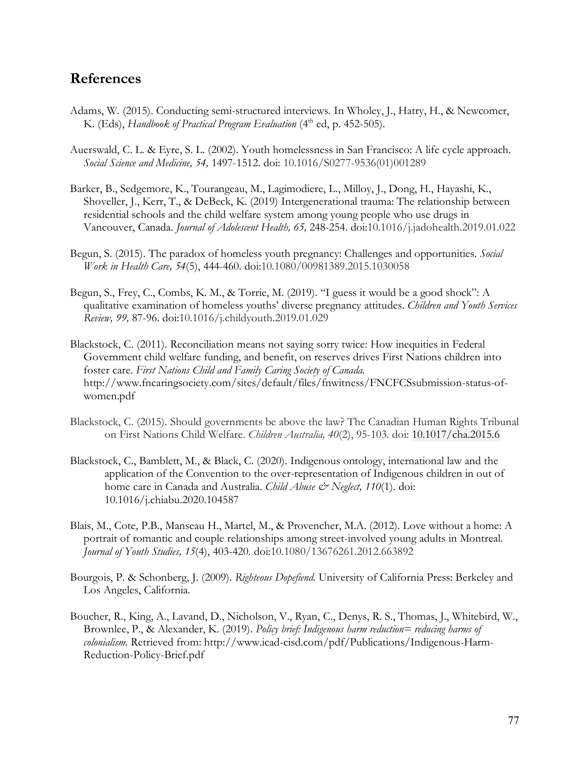# **References**

- Adams, W. (2015). Conducting semi-structured interviews. In Wholey, J., Hatry, H., & Newcomer, K. (Eds), *Handbook of Practical Program Evaluation* (4<sup>th</sup> ed, p. 452-505).
- Auerswald, C. L. & Eyre, S. L. (2002). Youth homelessness in San Francisco: A life cycle approach. *Social Science and Medicine, 54,* 1497-1512. doi: 10.1016/S0277-9536(01)001289
- Barker, B., Sedgemore, K., Tourangeau, M., Lagimodiere, L., Milloy, J., Dong, H., Hayashi, K., Shoveller, J., Kerr, T., & DeBeck, K. (2019) Intergenerational trauma: The relationship between residential schools and the child welfare system among young people who use drugs in Vancouver, Canada. *Journal of Adolescent Health, 65,* 248-254. doi:10.1016/j.jadohealth.2019.01.022
- Begun, S. (2015). The paradox of homeless youth pregnancy: Challenges and opportunities. *Social Work in Health Care, 54*(5), 444-460. doi:10.1080/00981389.2015.1030058
- Begun, S., Frey, C., Combs, K. M., & Torrie, M. (2019). "I guess it would be a good shock": A qualitative examination of homeless youths' diverse pregnancy attitudes. *Children and Youth Services Review, 99,* 87-96. doi:10.1016/j.childyouth.2019.01.029
- Blackstock, C. (2011). Reconciliation means not saying sorry twice: How inequities in Federal Government child welfare funding, and benefit, on reserves drives First Nations children into foster care. *First Nations Child and Family Caring Society of Canada.*  http://www.fncaringsociety.com/sites/default/files/fnwitness/FNCFCSsubmission-status-ofwomen.pdf
- Blackstock, C. (2015). Should governments be above the law? The Canadian Human Rights Tribunal on First Nations Child Welfare. *Children Australia, 40*(2), 95-103. doi: 10.1017/cha.2015.6
- Blackstock, C., Bamblett, M., & Black, C. (2020). Indigenous ontology, international law and the application of the Convention to the over-representation of Indigenous children in out of home care in Canada and Australia. *Child Abuse & Neglect*, 110(1). doi: 10.1016/j.chiabu.2020.104587
- Blais, M., Cote, P.B., Manseau H., Martel, M., & Provencher, M.A. (2012). Love without a home: A portrait of romantic and couple relationships among street-involved young adults in Montreal. *Journal of Youth Studies, 15*(4), 403-420. doi:10.1080/13676261.2012.663892
- Bourgois, P. & Schonberg, J. (2009). *Righteous Dopefiend.* University of California Press: Berkeley and Los Angeles, California.
- Boucher, R., King, A., Lavand, D., Nicholson, V., Ryan, C., Denys, R. S., Thomas, J., Whitebird, W., Brownlee, P., & Alexander, K. (2019). *Policy brief: Indigenous harm reduction= reducing harms of colonialism.* Retrieved from: http://www.icad-cisd.com/pdf/Publications/Indigenous-Harm-Reduction-Policy-Brief.pdf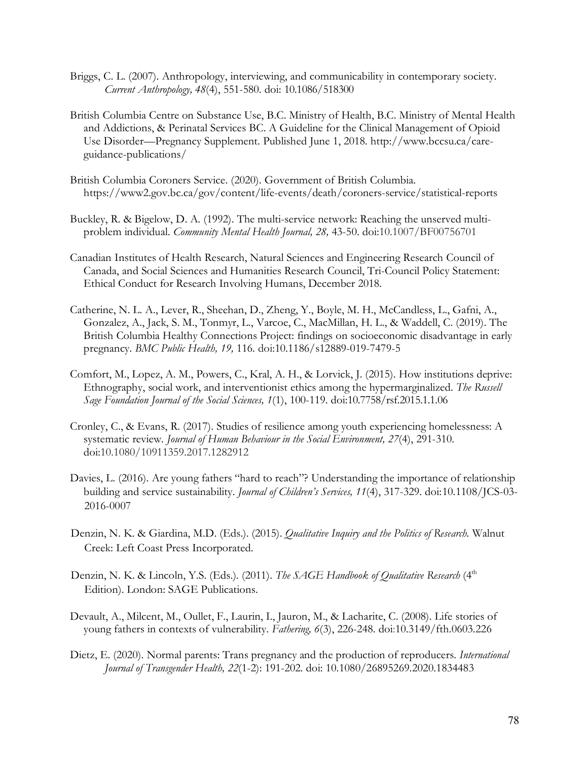- Briggs, C. L. (2007). Anthropology, interviewing, and communicability in contemporary society. *Current Anthropology, 48*(4), 551-580. doi: 10.1086/518300
- British Columbia Centre on Substance Use, B.C. Ministry of Health, B.C. Ministry of Mental Health and Addictions, & Perinatal Services BC. A Guideline for the Clinical Management of Opioid Use Disorder—Pregnancy Supplement. Published June 1, 2018. http://www.bccsu.ca/careguidance-publications/
- British Columbia Coroners Service. (2020). Government of British Columbia. https://www2.gov.bc.ca/gov/content/life-events/death/coroners-service/statistical-reports
- Buckley, R. & Bigelow, D. A. (1992). The multi-service network: Reaching the unserved multiproblem individual. *Community Mental Health Journal, 28,* 43-50. doi:10.1007/BF00756701
- Canadian Institutes of Health Research, Natural Sciences and Engineering Research Council of Canada, and Social Sciences and Humanities Research Council, Tri-Council Policy Statement: Ethical Conduct for Research Involving Humans, December 2018.
- Catherine, N. L. A., Lever, R., Sheehan, D., Zheng, Y., Boyle, M. H., McCandless, L., Gafni, A., Gonzalez, A., Jack, S. M., Tonmyr, L., Varcoe, C., MacMillan, H. L., & Waddell, C. (2019). The British Columbia Healthy Connections Project: findings on socioeconomic disadvantage in early pregnancy. *BMC Public Health, 19,* 116. doi:10.1186/s12889-019-7479-5
- Comfort, M., Lopez, A. M., Powers, C., Kral, A. H., & Lorvick, J. (2015). How institutions deprive: Ethnography, social work, and interventionist ethics among the hypermarginalized. *The Russell Sage Foundation Journal of the Social Sciences, 1*(1), 100-119. doi:10.7758/rsf.2015.1.1.06
- Cronley, C., & Evans, R. (2017). Studies of resilience among youth experiencing homelessness: A systematic review. *Journal of Human Behaviour in the Social Environment, 27*(4), 291-310. doi:10.1080/10911359.2017.1282912
- Davies, L. (2016). Are young fathers "hard to reach"? Understanding the importance of relationship building and service sustainability. *Journal of Children's Services, 11*(4), 317-329. doi:10.1108/JCS-03- 2016-0007
- Denzin, N. K. & Giardina, M.D. (Eds.). (2015). *Qualitative Inquiry and the Politics of Research.* Walnut Creek: Left Coast Press Incorporated.
- Denzin, N. K. & Lincoln, Y.S. (Eds.). (2011). *The SAGE Handbook of Qualitative Research* (4th Edition). London: SAGE Publications.
- Devault, A., Milcent, M., Oullet, F., Laurin, I., Jauron, M., & Lacharite, C. (2008). Life stories of young fathers in contexts of vulnerability. *Fathering, 6*(3), 226-248. doi:10.3149/fth.0603.226
- Dietz, E. (2020). Normal parents: Trans pregnancy and the production of reproducers. *International Journal of Transgender Health, 22*(1-2): 191-202. doi: 10.1080/26895269.2020.1834483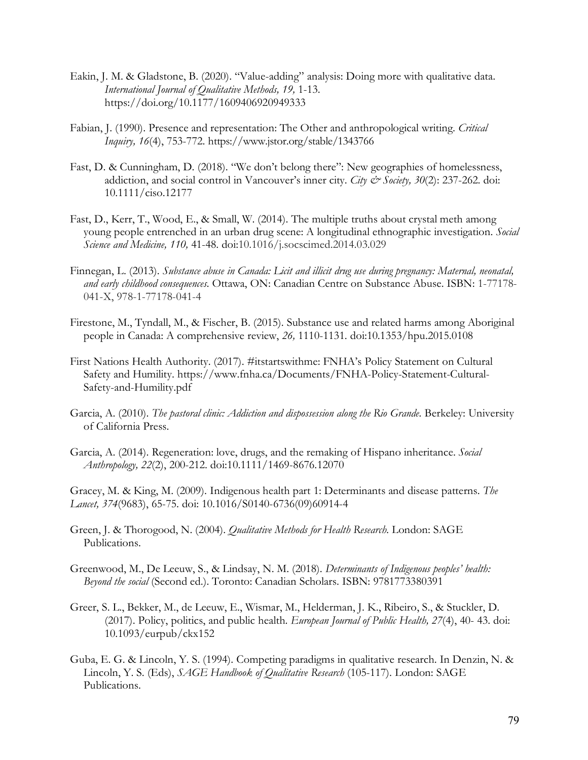- Eakin, J. M. & Gladstone, B. (2020). "Value-adding" analysis: Doing more with qualitative data. *International Journal of Qualitative Methods, 19,* 1-13. https://doi.org/10.1177/1609406920949333
- Fabian, J. (1990). Presence and representation: The Other and anthropological writing. *Critical Inquiry, 16*(4), 753-772. https://www.jstor.org/stable/1343766
- Fast, D. & Cunningham, D. (2018). "We don't belong there": New geographies of homelessness, addiction, and social control in Vancouver's inner city. *City & Society, 30*(2): 237-262. doi: 10.1111/ciso.12177
- Fast, D., Kerr, T., Wood, E., & Small, W. (2014). The multiple truths about crystal meth among young people entrenched in an urban drug scene: A longitudinal ethnographic investigation. *Social Science and Medicine, 110,* 41-48. doi:10.1016/j.socscimed.2014.03.029
- Finnegan, L. (2013). *Substance abuse in Canada: Licit and illicit drug use during pregnancy: Maternal, neonatal, and early childhood consequences.* Ottawa, ON: Canadian Centre on Substance Abuse. ISBN: 1-77178- 041-X, 978-1-77178-041-4
- Firestone, M., Tyndall, M., & Fischer, B. (2015). Substance use and related harms among Aboriginal people in Canada: A comprehensive review, *26,* 1110-1131. doi:10.1353/hpu.2015.0108
- First Nations Health Authority. (2017). #itstartswithme: FNHA's Policy Statement on Cultural Safety and Humility. https://www.fnha.ca/Documents/FNHA-Policy-Statement-Cultural-Safety-and-Humility.pdf
- Garcia, A. (2010). *The pastoral clinic: Addiction and dispossession along the Rio Grande*. Berkeley: University of California Press.
- Garcia, A. (2014). Regeneration: love, drugs, and the remaking of Hispano inheritance. *Social Anthropology, 22*(2), 200-212. doi:10.1111/1469-8676.12070

Gracey, M. & King, M. (2009). Indigenous health part 1: Determinants and disease patterns. *The Lancet, 374*(9683), 65-75. doi: 10.1016/S0140-6736(09)60914-4

- Green, J. & Thorogood, N. (2004). *Qualitative Methods for Health Research.* London: SAGE Publications.
- Greenwood, M., De Leeuw, S., & Lindsay, N. M. (2018). *Determinants of Indigenous peoples' health: Beyond the social* (Second ed.). Toronto: Canadian Scholars. ISBN: 9781773380391
- Greer, S. L., Bekker, M., de Leeuw, E., Wismar, M., Helderman, J. K., Ribeiro, S., & Stuckler, D. (2017). Policy, politics, and public health. *European Journal of Public Health, 27*(4), 40- 43. doi: 10.1093/eurpub/ckx152
- Guba, E. G. & Lincoln, Y. S. (1994). Competing paradigms in qualitative research. In Denzin, N. & Lincoln, Y. S. (Eds), *SAGE Handbook of Qualitative Research* (105-117). London: SAGE Publications.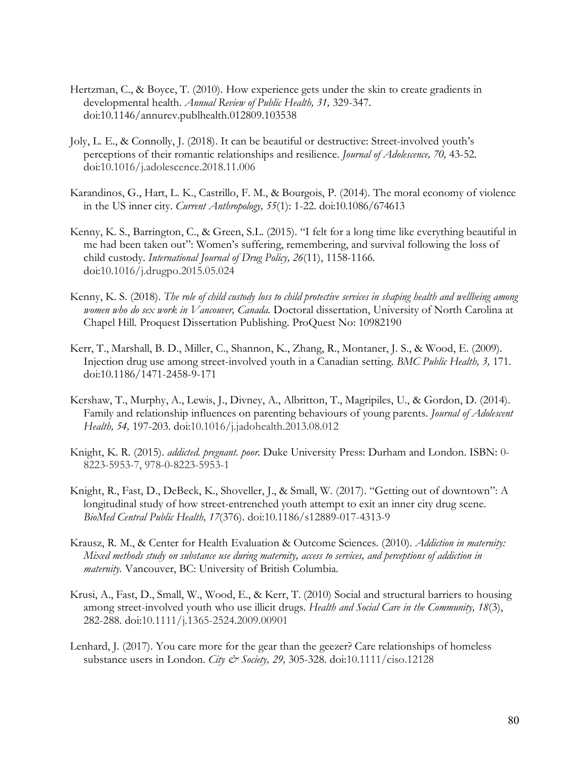- Hertzman, C., & Boyce, T. (2010). How experience gets under the skin to create gradients in developmental health. *Annual Review of Public Health, 31,* 329-347. doi:10.1146/annurev.publhealth.012809.103538
- Joly, L. E., & Connolly, J. (2018). It can be beautiful or destructive: Street-involved youth's perceptions of their romantic relationships and resilience. *Journal of Adolescence, 70,* 43-52. doi:10.1016/j.adolescence.2018.11.006
- Karandinos, G., Hart, L. K., Castrillo, F. M., & Bourgois, P. (2014). The moral economy of violence in the US inner city. *Current Anthropology, 55*(1): 1-22. doi:10.1086/674613
- Kenny, K. S., Barrington, C., & Green, S.L. (2015). "I felt for a long time like everything beautiful in me had been taken out": Women's suffering, remembering, and survival following the loss of child custody. *International Journal of Drug Policy, 26*(11), 1158-1166. doi:10.1016/j.drugpo.2015.05.024
- Kenny, K. S. (2018). *The role of child custody loss to child protective services in shaping health and wellbeing among women who do sex work in Vancouver, Canada.* Doctoral dissertation, University of North Carolina at Chapel Hill. Proquest Dissertation Publishing. ProQuest No: 10982190
- Kerr, T., Marshall, B. D., Miller, C., Shannon, K., Zhang, R., Montaner, J. S., & Wood, E. (2009). Injection drug use among street-involved youth in a Canadian setting. *BMC Public Health, 3,* 171. doi:10.1186/1471-2458-9-171
- Kershaw, T., Murphy, A., Lewis, J., Divney, A., Albritton, T., Magripiles, U., & Gordon, D. (2014). Family and relationship influences on parenting behaviours of young parents. *Journal of Adolescent Health, 54,* 197-203. doi:10.1016/j.jadohealth.2013.08.012
- Knight, K. R. (2015). *addicted. pregnant. poor.* Duke University Press: Durham and London. ISBN: 0- 8223-5953-7, 978-0-8223-5953-1
- Knight, R., Fast, D., DeBeck, K., Shoveller, J., & Small, W. (2017). "Getting out of downtown": A longitudinal study of how street-entrenched youth attempt to exit an inner city drug scene. *BioMed Central Public Health, 17*(376). doi:10.1186/s12889-017-4313-9
- Krausz, R. M., & Center for Health Evaluation & Outcome Sciences. (2010). *Addiction in maternity: Mixed methods study on substance use during maternity, access to services, and perceptions of addiction in maternity.* Vancouver, BC: University of British Columbia.
- Krusi, A., Fast, D., Small, W., Wood, E., & Kerr, T. (2010) Social and structural barriers to housing among street-involved youth who use illicit drugs. *Health and Social Care in the Community, 18*(3), 282-288. doi:10.1111/j.1365-2524.2009.00901
- Lenhard, J. (2017). You care more for the gear than the geezer? Care relationships of homeless substance users in London. *City & Society, 29,* 305-328. doi:10.1111/ciso.12128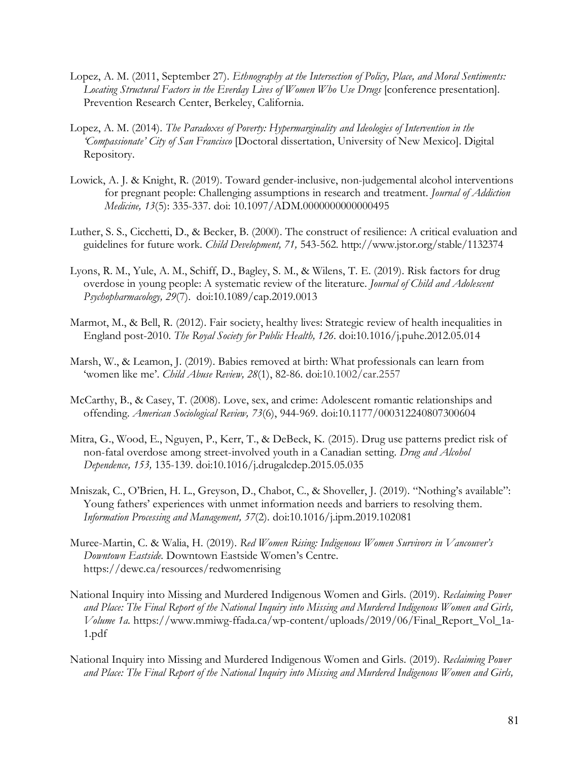- Lopez, A. M. (2011, September 27). *Ethnography at the Intersection of Policy, Place, and Moral Sentiments: Locating Structural Factors in the Everday Lives of Women Who Use Drugs* [conference presentation]*.*  Prevention Research Center, Berkeley, California.
- Lopez, A. M. (2014). *The Paradoxes of Poverty: Hypermarginality and Ideologies of Intervention in the 'Compassionate' City of San Francisco* [Doctoral dissertation, University of New Mexico]. Digital Repository.
- Lowick, A. J. & Knight, R. (2019). Toward gender-inclusive, non-judgemental alcohol interventions for pregnant people: Challenging assumptions in research and treatment. *Journal of Addiction Medicine, 13*(5): 335-337. doi: 10.1097/ADM.0000000000000495
- Luther, S. S., Cicchetti, D., & Becker, B. (2000). The construct of resilience: A critical evaluation and guidelines for future work. *Child Development, 71,* 543-562. http://www.jstor.org/stable/1132374
- Lyons, R. M., Yule, A. M., Schiff, D., Bagley, S. M., & Wilens, T. E. (2019). Risk factors for drug overdose in young people: A systematic review of the literature. *Journal of Child and Adolescent Psychopharmacology, 29*(7). doi:10.1089/cap.2019.0013
- Marmot, M., & Bell, R. (2012). Fair society, healthy lives: Strategic review of health inequalities in England post-2010. *The Royal Society for Public Health, 126*. doi:10.1016/j.puhe.2012.05.014
- Marsh, W., & Leamon, J. (2019). Babies removed at birth: What professionals can learn from 'women like me'. *Child Abuse Review, 28*(1), 82-86. doi:10.1002/car.2557
- McCarthy, B., & Casey, T. (2008). Love, sex, and crime: Adolescent romantic relationships and offending. *American Sociological Review, 73*(6), 944-969. doi:10.1177/000312240807300604
- Mitra, G., Wood, E., Nguyen, P., Kerr, T., & DeBeck, K. (2015). Drug use patterns predict risk of non-fatal overdose among street-involved youth in a Canadian setting. *Drug and Alcohol Dependence, 153,* 135-139. doi:10.1016/j.drugalcdep.2015.05.035
- Mniszak, C., O'Brien, H. L., Greyson, D., Chabot, C., & Shoveller, J. (2019). "Nothing's available": Young fathers' experiences with unmet information needs and barriers to resolving them. *Information Processing and Management, 57*(2)*.* doi:10.1016/j.ipm.2019.102081
- Muree-Martin, C. & Walia, H. (2019). *Red Women Rising: Indigenous Women Survivors in Vancouver's Downtown Eastside.* Downtown Eastside Women's Centre. https://dewc.ca/resources/redwomenrising
- National Inquiry into Missing and Murdered Indigenous Women and Girls. (2019). *Reclaiming Power and Place: The Final Report of the National Inquiry into Missing and Murdered Indigenous Women and Girls, Volume 1a.* https://www.mmiwg-ffada.ca/wp-content/uploads/2019/06/Final\_Report\_Vol\_1a-1.pdf
- National Inquiry into Missing and Murdered Indigenous Women and Girls. (2019). *Reclaiming Power and Place: The Final Report of the National Inquiry into Missing and Murdered Indigenous Women and Girls,*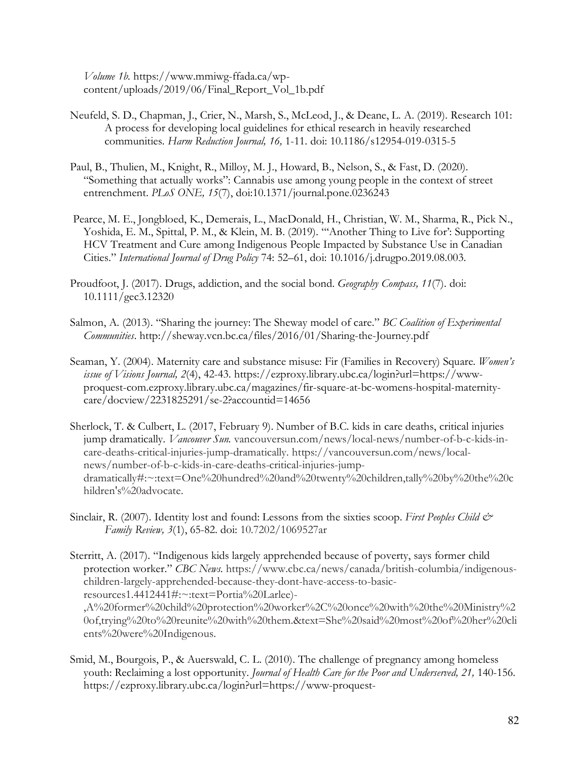*Volume 1b.* https://www.mmiwg-ffada.ca/wpcontent/uploads/2019/06/Final\_Report\_Vol\_1b.pdf

- Neufeld, S. D., Chapman, J., Crier, N., Marsh, S., McLeod, J., & Deane, L. A. (2019). Research 101: A process for developing local guidelines for ethical research in heavily researched communities. *Harm Reduction Journal, 16,* 1-11. doi: 10.1186/s12954-019-0315-5
- Paul, B., Thulien, M., Knight, R., Milloy, M. J., Howard, B., Nelson, S., & Fast, D. (2020). "Something that actually works": Cannabis use among young people in the context of street entrenchment. *PLoS ONE, 15*(7), doi:10.1371/journal.pone.0236243
- Pearce, M. E., Jongbloed, K., Demerais, L., MacDonald, H., Christian, W. M., Sharma, R., Pick N., Yoshida, E. M., Spittal, P. M., & Klein, M. B. (2019). "'Another Thing to Live for': Supporting HCV Treatment and Cure among Indigenous People Impacted by Substance Use in Canadian Cities." *International Journal of Drug Policy* 74: 52–61, doi: 10.1016/j.drugpo.2019.08.003.
- Proudfoot, J. (2017). Drugs, addiction, and the social bond. *Geography Compass, 11*(7). doi: 10.1111/gec3.12320
- Salmon, A. (2013). "Sharing the journey: The Sheway model of care." *BC Coalition of Experimental Communities*. http://sheway.vcn.bc.ca/files/2016/01/Sharing-the-Journey.pdf
- Seaman, Y. (2004). Maternity care and substance misuse: Fir (Families in Recovery) Square. *Women's issue of Visions Journal, 2*(4), 42-43. https://ezproxy.library.ubc.ca/login?url=https://wwwproquest-com.ezproxy.library.ubc.ca/magazines/fir-square-at-bc-womens-hospital-maternitycare/docview/2231825291/se-2?accountid=14656
- Sherlock, T. & Culbert, L. (2017, February 9). Number of B.C. kids in care deaths, critical injuries jump dramatically. *Vancouver Sun.* vancouversun.com/news/local-news/number-of-b-c-kids-incare-deaths-critical-injuries-jump-dramatically. https://vancouversun.com/news/localnews/number-of-b-c-kids-in-care-deaths-critical-injuries-jumpdramatically#:~:text=One%20hundred%20and%20twenty%20children,tally%20by%20the%20c hildren's%20advocate.
- Sinclair, R. (2007). Identity lost and found: Lessons from the sixties scoop. *First Peoples Child & Family Review, 3*(1), 65-82. doi: 10.7202/1069527ar
- Sterritt, A. (2017). "Indigenous kids largely apprehended because of poverty, says former child protection worker." *CBC News*. https://www.cbc.ca/news/canada/british-columbia/indigenouschildren-largely-apprehended-because-they-dont-have-access-to-basicresources1.4412441#:~:text=Portia%20Larlee)- ,A%20former%20child%20protection%20worker%2C%20once%20with%20the%20Ministry%2 0of,trying%20to%20reunite%20with%20them.&text=She%20said%20most%20of%20her%20cli
- Smid, M., Bourgois, P., & Auerswald, C. L. (2010). The challenge of pregnancy among homeless youth: Reclaiming a lost opportunity. *Journal of Health Care for the Poor and Underserved*, 21, 140-156. https://ezproxy.library.ubc.ca/login?url=https://www-proquest-

ents%20were%20Indigenous.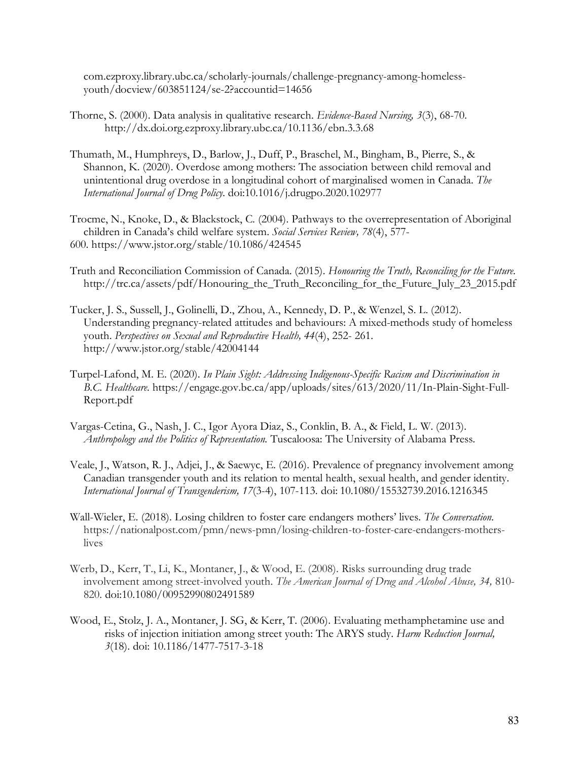com.ezproxy.library.ubc.ca/scholarly-journals/challenge-pregnancy-among-homelessyouth/docview/603851124/se-2?accountid=14656

- Thorne, S. (2000). Data analysis in qualitative research. *Evidence-Based Nursing, 3*(3), 68-70. http://dx.doi.org.ezproxy.library.ubc.ca/10.1136/ebn.3.3.68
- Thumath, M., Humphreys, D., Barlow, J., Duff, P., Braschel, M., Bingham, B., Pierre, S., & Shannon, K. (2020). Overdose among mothers: The association between child removal and unintentional drug overdose in a longitudinal cohort of marginalised women in Canada. *The International Journal of Drug Policy.* doi:10.1016/j.drugpo.2020.102977
- Trocme, N., Knoke, D., & Blackstock, C. (2004). Pathways to the overrepresentation of Aboriginal children in Canada's child welfare system. *Social Services Review, 78*(4), 577- 600. https://www.jstor.org/stable/10.1086/424545
- Truth and Reconciliation Commission of Canada. (2015). *Honouring the Truth, Reconciling for the Future.*  http://trc.ca/assets/pdf/Honouring\_the\_Truth\_Reconciling\_for\_the\_Future\_July\_23\_2015.pdf
- Tucker, J. S., Sussell, J., Golinelli, D., Zhou, A., Kennedy, D. P., & Wenzel, S. L. (2012). Understanding pregnancy-related attitudes and behaviours: A mixed-methods study of homeless youth. *Perspectives on Sexual and Reproductive Health, 44*(4), 252- 261. http://www.jstor.org/stable/42004144
- Turpel-Lafond, M. E. (2020). *In Plain Sight: Addressing Indigenous-Specific Racism and Discrimination in B.C. Healthcare.* https://engage.gov.bc.ca/app/uploads/sites/613/2020/11/In-Plain-Sight-Full-Report.pdf
- Vargas-Cetina, G., Nash, J. C., Igor Ayora Diaz, S., Conklin, B. A., & Field, L. W. (2013). *Anthropology and the Politics of Representation.* Tuscaloosa: The University of Alabama Press.
- Veale, J., Watson, R. J., Adjei, J., & Saewyc, E. (2016). Prevalence of pregnancy involvement among Canadian transgender youth and its relation to mental health, sexual health, and gender identity. *International Journal of Transgenderism, 17*(3-4), 107-113. doi: 10.1080/15532739.2016.1216345
- Wall-Wieler, E. (2018). Losing children to foster care endangers mothers' lives. *The Conversation.*  https://nationalpost.com/pmn/news-pmn/losing-children-to-foster-care-endangers-motherslives
- Werb, D., Kerr, T., Li, K., Montaner, J., & Wood, E. (2008). Risks surrounding drug trade involvement among street-involved youth. *The American Journal of Drug and Alcohol Abuse, 34,* 810- 820. doi:10.1080/00952990802491589
- Wood, E., Stolz, J. A., Montaner, J. SG, & Kerr, T. (2006). Evaluating methamphetamine use and risks of injection initiation among street youth: The ARYS study. *Harm Reduction Journal, 3*(18). doi: 10.1186/1477-7517-3-18